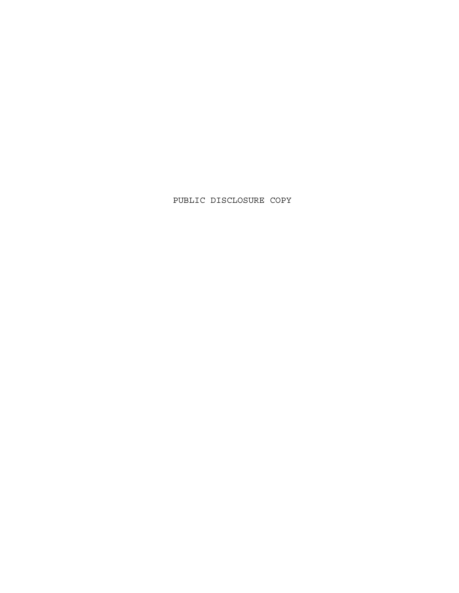PUBLIC DISCLOSURE COPY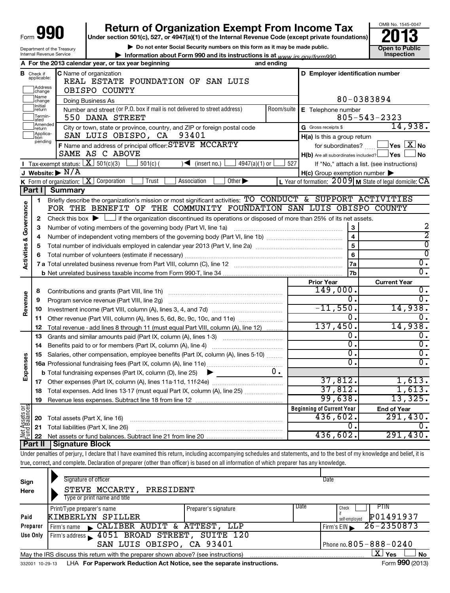| Form ' | aqu<br>w<br>w |
|--------|---------------|
|--------|---------------|

Department of the Treasury Internal Revenue Service

# **990** Return of Organization Exempt From Income Tax **Punce 13**

**| Do not enter Social Security numbers on this form as it may be made public.**

**| Information about Form 990 and its instructions is at Inspection** *www.irs.gov/form990.*



|                         |                                             | A For the 2013 calendar year, or tax year beginning                                                                                                                        | and ending |                                                                       |                                                             |  |  |
|-------------------------|---------------------------------------------|----------------------------------------------------------------------------------------------------------------------------------------------------------------------------|------------|-----------------------------------------------------------------------|-------------------------------------------------------------|--|--|
|                         | <b>B</b> Check if<br>applicable:<br>Address | C Name of organization<br>REAL ESTATE FOUNDATION OF SAN LUIS                                                                                                               |            | D Employer identification number                                      |                                                             |  |  |
|                         | change<br>Name                              | OBISPO COUNTY                                                                                                                                                              |            | 80-0383894                                                            |                                                             |  |  |
|                         | change<br>Initial                           | Doing Business As                                                                                                                                                          |            |                                                                       |                                                             |  |  |
|                         | return<br>Termin-<br>ated                   | Number and street (or P.O. box if mail is not delivered to street address)<br>550 DANA STREET                                                                              | Room/suite | E Telephone number                                                    | $805 - 543 - 2323$                                          |  |  |
|                         | Amended<br>Ireturn                          | City or town, state or province, country, and ZIP or foreign postal code                                                                                                   |            | G Gross receipts \$                                                   | 14,938.                                                     |  |  |
|                         | Applica-<br>tion                            | SAN LUIS OBISPO, CA<br>93401                                                                                                                                               |            | H(a) Is this a group return                                           |                                                             |  |  |
|                         | pending                                     | F Name and address of principal officer: STEVE MCCARTY<br>SAME AS C ABOVE                                                                                                  |            | for subordinates?<br>$H(b)$ Are all subordinates included? $\Box$ Yes | $\Box$ Yes $\boxed{\mathrm{X}}$ No<br><b>No</b>             |  |  |
|                         |                                             | Tax-exempt status: $X \overline{501(c)(3)}$<br>$\frac{1}{4947(a)(1)}$ or<br>$501(c)$ (<br>$\sqrt{\bullet}$ (insert no.)                                                    | 527        |                                                                       | If "No," attach a list. (see instructions)                  |  |  |
|                         |                                             | J Website: $\triangleright$ N/A                                                                                                                                            |            | $H(c)$ Group exemption number $\blacktriangleright$                   |                                                             |  |  |
|                         |                                             | <b>K</b> Form of organization: $X$ Corporation<br>Other $\blacktriangleright$<br>Trust<br>Association                                                                      |            |                                                                       | L Year of formation: $2009$ M State of legal domicile: $CA$ |  |  |
|                         | Part I                                      | <b>Summary</b>                                                                                                                                                             |            |                                                                       |                                                             |  |  |
|                         | 1                                           | Briefly describe the organization's mission or most significant activities: TO CONDUCT & SUPPORT ACTIVITIES                                                                |            |                                                                       |                                                             |  |  |
| Activities & Governance |                                             | FOR THE BENEFIT OF THE COMMUNITY FOUNDATION SAN LUIS OBISPO COUNTY                                                                                                         |            |                                                                       |                                                             |  |  |
|                         | 2                                           | Check this box $\blacktriangleright$ $\Box$ if the organization discontinued its operations or disposed of more than 25% of its net assets.                                |            |                                                                       |                                                             |  |  |
|                         | З                                           | Number of voting members of the governing body (Part VI, line 1a)                                                                                                          |            | $\mathbf 3$                                                           | 2                                                           |  |  |
|                         | 4                                           |                                                                                                                                                                            |            |                                                                       | 2                                                           |  |  |
|                         | 5                                           |                                                                                                                                                                            | 5          | ⊽                                                                     |                                                             |  |  |
|                         | 6                                           |                                                                                                                                                                            | 6          | $\overline{0}$                                                        |                                                             |  |  |
|                         |                                             |                                                                                                                                                                            |            | <b>7a</b>                                                             | $\overline{0}$ .                                            |  |  |
|                         |                                             |                                                                                                                                                                            |            | 7b                                                                    | $\overline{0}$ .                                            |  |  |
|                         |                                             |                                                                                                                                                                            |            | <b>Prior Year</b>                                                     | <b>Current Year</b>                                         |  |  |
|                         | 8                                           |                                                                                                                                                                            |            | 149,000.                                                              | 0.<br>$\overline{0}$ .                                      |  |  |
| Revenue                 | 9                                           |                                                                                                                                                                            |            | 0.                                                                    |                                                             |  |  |
|                         | 10                                          |                                                                                                                                                                            |            | $-11,550.$                                                            | 14,938.                                                     |  |  |
|                         | 11                                          | Other revenue (Part VIII, column (A), lines 5, 6d, 8c, 9c, 10c, and 11e)                                                                                                   |            | 0.                                                                    | $\overline{0}$ .                                            |  |  |
|                         | 12                                          | Total revenue - add lines 8 through 11 (must equal Part VIII, column (A), line 12)                                                                                         |            | 137,450.                                                              | 14,938.                                                     |  |  |
|                         | 13                                          | Grants and similar amounts paid (Part IX, column (A), lines 1-3)                                                                                                           |            | О.                                                                    | 0.                                                          |  |  |
|                         | 14                                          | Benefits paid to or for members (Part IX, column (A), line 4)                                                                                                              |            | О.                                                                    | $\overline{0}$ .                                            |  |  |
|                         | 15                                          | Salaries, other compensation, employee benefits (Part IX, column (A), lines 5-10)                                                                                          |            | σ.                                                                    | $\overline{0}$ .                                            |  |  |
| Expenses                |                                             |                                                                                                                                                                            |            | 0.                                                                    | $\overline{0}$ .                                            |  |  |
|                         |                                             | <b>b</b> Total fundraising expenses (Part IX, column (D), line 25)<br>$\blacktriangleright$                                                                                | υ.         |                                                                       |                                                             |  |  |
|                         |                                             |                                                                                                                                                                            |            | 37,812.                                                               | 1,613.                                                      |  |  |
|                         | 18                                          | Total expenses. Add lines 13-17 (must equal Part IX, column (A), line 25)                                                                                                  |            | 37,812.                                                               | 1,613.                                                      |  |  |
|                         | 19                                          | Revenue less expenses. Subtract line 18 from line 12                                                                                                                       |            | 99,638.                                                               | 13,325.                                                     |  |  |
|                         |                                             |                                                                                                                                                                            |            | <b>Beginning of Current Year</b>                                      | <b>End of Year</b>                                          |  |  |
|                         | 20                                          | Total assets (Part X, line 16)                                                                                                                                             | 436,602.   | 291,430.                                                              |                                                             |  |  |
| Net Assets or           | 21                                          | Total liabilities (Part X, line 26)                                                                                                                                        |            | 0.                                                                    | 0.                                                          |  |  |
|                         | 22                                          |                                                                                                                                                                            |            | 436,602.                                                              | 291,430.                                                    |  |  |
|                         | Part II                                     | <b>Signature Block</b>                                                                                                                                                     |            |                                                                       |                                                             |  |  |
|                         |                                             | Under penalties of perjury, I declare that I have examined this return, including accompanying schedules and statements, and to the best of my knowledge and belief, it is |            |                                                                       |                                                             |  |  |
|                         |                                             | true, correct, and complete. Declaration of preparer (other than officer) is based on all information of which preparer has any knowledge.                                 |            |                                                                       |                                                             |  |  |

| Sign     | Signature of officer                                                              |                              | Date                         |
|----------|-----------------------------------------------------------------------------------|------------------------------|------------------------------|
| Here     | STEVE MCCARTY,<br>PRESIDENT<br>Type or print name and title                       |                              |                              |
|          | Print/Type preparer's name                                                        | Preparer's signature         | Date<br><b>PTIN</b><br>Check |
| Paid     | KIMBERLYN SPILLER                                                                 |                              | P01491937<br>self-emploved   |
| Preparer | CALIBER AUDIT & ATTEST, LLP<br>Firm's name                                        |                              | 26-2350873<br>Firm's $EIN$   |
| Use Only | Firm's address 1051 BROAD STREET, SUITE 120                                       |                              |                              |
|          | SAN LUIS OBISPO, CA 93401                                                         | Phone no. $805 - 888 - 0240$ |                              |
|          | May the IRS discuss this return with the preparer shown above? (see instructions) |                              | X I<br>∣ Yes<br><b>No</b>    |
|          |                                                                                   |                              | $\sim$                       |

332001 10-29-13 LHA For Paperwork Reduction Act Notice, see the separate instructions. Form 990 (2013)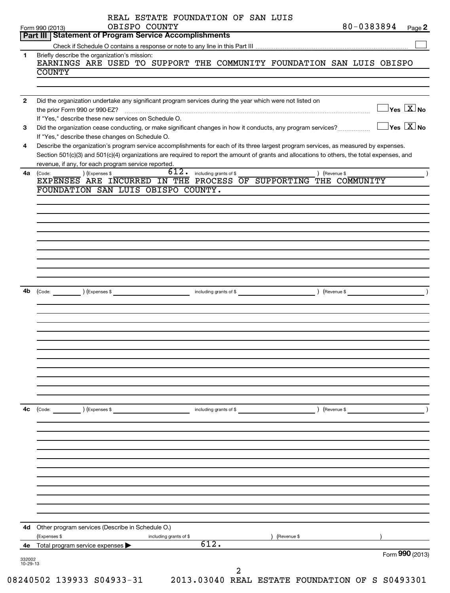|              | 80-0383894<br>OBISPO COUNTY<br>$Page$ 2<br>Form 990 (2013)<br>Part III   Statement of Program Service Accomplishments                                                                                                                                                       |
|--------------|-----------------------------------------------------------------------------------------------------------------------------------------------------------------------------------------------------------------------------------------------------------------------------|
|              |                                                                                                                                                                                                                                                                             |
| 1.           | Briefly describe the organization's mission:                                                                                                                                                                                                                                |
|              | EARNINGS ARE USED TO SUPPORT THE COMMUNITY FOUNDATION SAN LUIS OBISPO                                                                                                                                                                                                       |
|              | <b>COUNTY</b>                                                                                                                                                                                                                                                               |
|              |                                                                                                                                                                                                                                                                             |
| $\mathbf{2}$ | Did the organization undertake any significant program services during the year which were not listed on                                                                                                                                                                    |
|              | $\Box$ Yes $\boxed{\text{X}}$ No                                                                                                                                                                                                                                            |
|              | If "Yes," describe these new services on Schedule O.                                                                                                                                                                                                                        |
| 3            | $\Box$ Yes $[\overline{\mathrm{X}}]$ No<br>Did the organization cease conducting, or make significant changes in how it conducts, any program services?                                                                                                                     |
|              | If "Yes," describe these changes on Schedule O.                                                                                                                                                                                                                             |
| 4            | Describe the organization's program service accomplishments for each of its three largest program services, as measured by expenses.                                                                                                                                        |
|              | Section 501(c)(3) and 501(c)(4) organizations are required to report the amount of grants and allocations to others, the total expenses, and                                                                                                                                |
|              | revenue, if any, for each program service reported.                                                                                                                                                                                                                         |
| 4a           | $\overline{612.}$ including grants of \$<br>) (Expenses \$<br>) (Revenue \$<br>(Code:                                                                                                                                                                                       |
|              | EXPENSES ARE INCURRED IN THE PROCESS OF SUPPORTING THE COMMUNITY                                                                                                                                                                                                            |
|              | FOUNDATION SAN LUIS OBISPO COUNTY.                                                                                                                                                                                                                                          |
|              |                                                                                                                                                                                                                                                                             |
|              |                                                                                                                                                                                                                                                                             |
|              |                                                                                                                                                                                                                                                                             |
|              |                                                                                                                                                                                                                                                                             |
|              |                                                                                                                                                                                                                                                                             |
|              |                                                                                                                                                                                                                                                                             |
|              |                                                                                                                                                                                                                                                                             |
|              |                                                                                                                                                                                                                                                                             |
|              |                                                                                                                                                                                                                                                                             |
|              |                                                                                                                                                                                                                                                                             |
|              | 4b (Code: <u>In a set of the set of the set of the set of the set of the set of the set of the set of the set of the set of the set of the set of the set of the set of the set of the set of the set of the set of the set of t</u><br>including grants of \$ (Revenue \$) |
|              |                                                                                                                                                                                                                                                                             |
|              |                                                                                                                                                                                                                                                                             |
|              |                                                                                                                                                                                                                                                                             |
|              |                                                                                                                                                                                                                                                                             |
|              |                                                                                                                                                                                                                                                                             |
|              |                                                                                                                                                                                                                                                                             |
|              |                                                                                                                                                                                                                                                                             |
|              |                                                                                                                                                                                                                                                                             |
|              |                                                                                                                                                                                                                                                                             |
|              |                                                                                                                                                                                                                                                                             |
|              |                                                                                                                                                                                                                                                                             |
| 4c           | (Code:<br>) (Expenses \$<br>including grants of \$<br>(Revenue \$                                                                                                                                                                                                           |
|              |                                                                                                                                                                                                                                                                             |
|              |                                                                                                                                                                                                                                                                             |
|              |                                                                                                                                                                                                                                                                             |
|              |                                                                                                                                                                                                                                                                             |
|              |                                                                                                                                                                                                                                                                             |
|              |                                                                                                                                                                                                                                                                             |
|              |                                                                                                                                                                                                                                                                             |
|              |                                                                                                                                                                                                                                                                             |
|              |                                                                                                                                                                                                                                                                             |
|              |                                                                                                                                                                                                                                                                             |
|              |                                                                                                                                                                                                                                                                             |
|              |                                                                                                                                                                                                                                                                             |
|              | 4d Other program services (Describe in Schedule O.)                                                                                                                                                                                                                         |
|              |                                                                                                                                                                                                                                                                             |
|              | (Revenue \$<br>(Expenses \$<br>including grants of \$                                                                                                                                                                                                                       |
| 4е           | 612.<br>Total program service expenses ><br>Form 990 (2013)                                                                                                                                                                                                                 |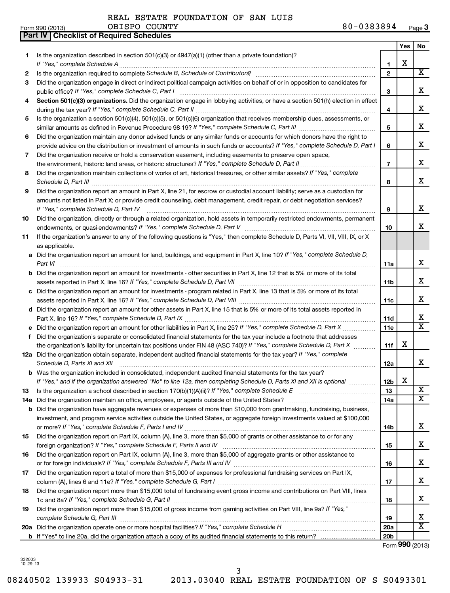**Part IV Checklist of Required Schedules**

REAL ESTATE FOUNDATION OF SAN LUIS

| Is the organization described in section $501(c)(3)$ or $4947(a)(1)$ (other than a private foundation)?<br>1<br>х<br>If "Yes," complete Schedule A<br>1<br>$\overline{\text{X}}$<br>$\mathbf{2}$<br>2<br>Did the organization engage in direct or indirect political campaign activities on behalf of or in opposition to candidates for<br>З<br>x<br>public office? If "Yes," complete Schedule C, Part I<br>З<br>Section 501(c)(3) organizations. Did the organization engage in lobbying activities, or have a section 501(h) election in effect<br>4<br>x<br>4<br>Is the organization a section 501(c)(4), 501(c)(5), or 501(c)(6) organization that receives membership dues, assessments, or<br>5<br>x<br>5<br>Did the organization maintain any donor advised funds or any similar funds or accounts for which donors have the right to<br>6<br>x<br>provide advice on the distribution or investment of amounts in such funds or accounts? If "Yes," complete Schedule D, Part I<br>6<br>Did the organization receive or hold a conservation easement, including easements to preserve open space,<br>7<br>x<br>the environment, historic land areas, or historic structures? If "Yes," complete Schedule D, Part II<br>$\overline{7}$<br>.<br>Did the organization maintain collections of works of art, historical treasures, or other similar assets? If "Yes," complete<br>8<br>x<br>Schedule D, Part III<br>8<br>Did the organization report an amount in Part X, line 21, for escrow or custodial account liability; serve as a custodian for<br>9<br>amounts not listed in Part X; or provide credit counseling, debt management, credit repair, or debt negotiation services?<br>x<br>If "Yes," complete Schedule D, Part IV<br>9<br>Did the organization, directly or through a related organization, hold assets in temporarily restricted endowments, permanent<br>10<br>X.<br>10<br>If the organization's answer to any of the following questions is "Yes," then complete Schedule D, Parts VI, VII, VIII, IX, or X<br>11<br>as applicable.<br>a Did the organization report an amount for land, buildings, and equipment in Part X, line 10? If "Yes," complete Schedule D,<br>x<br>Part VI<br>11a<br><b>b</b> Did the organization report an amount for investments - other securities in Part X, line 12 that is 5% or more of its total<br>x<br>assets reported in Part X, line 16? If "Yes," complete Schedule D, Part VII [[[[[[[[[[[[[[[[[[[[[[[[[[[[[[]]]]<br>11 <sub>b</sub><br>c Did the organization report an amount for investments - program related in Part X, line 13 that is 5% or more of its total<br>x<br>11c<br>d Did the organization report an amount for other assets in Part X, line 15 that is 5% or more of its total assets reported in<br>x<br>11d<br>$\overline{\mathtt{x}}$<br>11e<br>Did the organization's separate or consolidated financial statements for the tax year include a footnote that addresses<br>f<br>x<br>the organization's liability for uncertain tax positions under FIN 48 (ASC 740)? If "Yes," complete Schedule D, Part X<br>11f<br>12a Did the organization obtain separate, independent audited financial statements for the tax year? If "Yes," complete<br>x<br>Schedule D, Parts XI and XII<br>12a<br><b>b</b> Was the organization included in consolidated, independent audited financial statements for the tax year?<br>X<br>If "Yes," and if the organization answered "No" to line 12a, then completing Schedule D, Parts XI and XII is optional www.<br>12 <sub>b</sub><br>X<br>13<br>13<br>$\overline{\textbf{X}}$<br>Did the organization maintain an office, employees, or agents outside of the United States?<br>14a<br>14a<br>Did the organization have aggregate revenues or expenses of more than \$10,000 from grantmaking, fundraising, business,<br>b<br>investment, and program service activities outside the United States, or aggregate foreign investments valued at \$100,000<br>x<br>14b<br>Did the organization report on Part IX, column (A), line 3, more than \$5,000 of grants or other assistance to or for any<br>15<br>x<br>15<br>Did the organization report on Part IX, column (A), line 3, more than \$5,000 of aggregate grants or other assistance to<br>16<br>x<br>16<br>Did the organization report a total of more than \$15,000 of expenses for professional fundraising services on Part IX,<br>17<br>x<br>17<br>Did the organization report more than \$15,000 total of fundraising event gross income and contributions on Part VIII, lines<br>18<br>x<br>18<br>Did the organization report more than \$15,000 of gross income from gaming activities on Part VIII, line 9a? If "Yes,"<br>19<br>x<br>19<br>$\overline{\text{X}}$<br>20a Did the organization operate one or more hospital facilities? If "Yes," complete Schedule H<br>20a<br>20 <sub>b</sub> |  | <b>Yes</b> | No |
|---------------------------------------------------------------------------------------------------------------------------------------------------------------------------------------------------------------------------------------------------------------------------------------------------------------------------------------------------------------------------------------------------------------------------------------------------------------------------------------------------------------------------------------------------------------------------------------------------------------------------------------------------------------------------------------------------------------------------------------------------------------------------------------------------------------------------------------------------------------------------------------------------------------------------------------------------------------------------------------------------------------------------------------------------------------------------------------------------------------------------------------------------------------------------------------------------------------------------------------------------------------------------------------------------------------------------------------------------------------------------------------------------------------------------------------------------------------------------------------------------------------------------------------------------------------------------------------------------------------------------------------------------------------------------------------------------------------------------------------------------------------------------------------------------------------------------------------------------------------------------------------------------------------------------------------------------------------------------------------------------------------------------------------------------------------------------------------------------------------------------------------------------------------------------------------------------------------------------------------------------------------------------------------------------------------------------------------------------------------------------------------------------------------------------------------------------------------------------------------------------------------------------------------------------------------------------------------------------------------------------------------------------------------------------------------------------------------------------------------------------------------------------------------------------------------------------------------------------------------------------------------------------------------------------------------------------------------------------------------------------------------------------------------------------------------------------------------------------------------------------------------------------------------------------------------------------------------------------------------------------------------------------------------------------------------------------------------------------------------------------------------------------------------------------------------------------------------------------------------------------------------------------------------------------------------------------------------------------------------------------------------------------------------------------------------------------------------------------------------------------------------------------------------------------------------------------------------------------------------------------------------------------------------------------------------------------------------------------------------------------------------------------------------------------------------------------------------------------------------------------------------------------------------------------------------------------------------------------------------------------------------------------------------------------------------------------------------------------------------------------------------------------------------------------------------------------------------------------------------------------------------------------------------------------------------------------------------------------------------------------------------------------------------------------------------------------------------------------------------------------------------------------------------------------------------------------------------------------------------------------------------------|--|------------|----|
|                                                                                                                                                                                                                                                                                                                                                                                                                                                                                                                                                                                                                                                                                                                                                                                                                                                                                                                                                                                                                                                                                                                                                                                                                                                                                                                                                                                                                                                                                                                                                                                                                                                                                                                                                                                                                                                                                                                                                                                                                                                                                                                                                                                                                                                                                                                                                                                                                                                                                                                                                                                                                                                                                                                                                                                                                                                                                                                                                                                                                                                                                                                                                                                                                                                                                                                                                                                                                                                                                                                                                                                                                                                                                                                                                                                                                                                                                                                                                                                                                                                                                                                                                                                                                                                                                                                                                                                                                                                                                                                                                                                                                                                                                                                                                                                                                                                                                             |  |            |    |
|                                                                                                                                                                                                                                                                                                                                                                                                                                                                                                                                                                                                                                                                                                                                                                                                                                                                                                                                                                                                                                                                                                                                                                                                                                                                                                                                                                                                                                                                                                                                                                                                                                                                                                                                                                                                                                                                                                                                                                                                                                                                                                                                                                                                                                                                                                                                                                                                                                                                                                                                                                                                                                                                                                                                                                                                                                                                                                                                                                                                                                                                                                                                                                                                                                                                                                                                                                                                                                                                                                                                                                                                                                                                                                                                                                                                                                                                                                                                                                                                                                                                                                                                                                                                                                                                                                                                                                                                                                                                                                                                                                                                                                                                                                                                                                                                                                                                                             |  |            |    |
|                                                                                                                                                                                                                                                                                                                                                                                                                                                                                                                                                                                                                                                                                                                                                                                                                                                                                                                                                                                                                                                                                                                                                                                                                                                                                                                                                                                                                                                                                                                                                                                                                                                                                                                                                                                                                                                                                                                                                                                                                                                                                                                                                                                                                                                                                                                                                                                                                                                                                                                                                                                                                                                                                                                                                                                                                                                                                                                                                                                                                                                                                                                                                                                                                                                                                                                                                                                                                                                                                                                                                                                                                                                                                                                                                                                                                                                                                                                                                                                                                                                                                                                                                                                                                                                                                                                                                                                                                                                                                                                                                                                                                                                                                                                                                                                                                                                                                             |  |            |    |
|                                                                                                                                                                                                                                                                                                                                                                                                                                                                                                                                                                                                                                                                                                                                                                                                                                                                                                                                                                                                                                                                                                                                                                                                                                                                                                                                                                                                                                                                                                                                                                                                                                                                                                                                                                                                                                                                                                                                                                                                                                                                                                                                                                                                                                                                                                                                                                                                                                                                                                                                                                                                                                                                                                                                                                                                                                                                                                                                                                                                                                                                                                                                                                                                                                                                                                                                                                                                                                                                                                                                                                                                                                                                                                                                                                                                                                                                                                                                                                                                                                                                                                                                                                                                                                                                                                                                                                                                                                                                                                                                                                                                                                                                                                                                                                                                                                                                                             |  |            |    |
|                                                                                                                                                                                                                                                                                                                                                                                                                                                                                                                                                                                                                                                                                                                                                                                                                                                                                                                                                                                                                                                                                                                                                                                                                                                                                                                                                                                                                                                                                                                                                                                                                                                                                                                                                                                                                                                                                                                                                                                                                                                                                                                                                                                                                                                                                                                                                                                                                                                                                                                                                                                                                                                                                                                                                                                                                                                                                                                                                                                                                                                                                                                                                                                                                                                                                                                                                                                                                                                                                                                                                                                                                                                                                                                                                                                                                                                                                                                                                                                                                                                                                                                                                                                                                                                                                                                                                                                                                                                                                                                                                                                                                                                                                                                                                                                                                                                                                             |  |            |    |
|                                                                                                                                                                                                                                                                                                                                                                                                                                                                                                                                                                                                                                                                                                                                                                                                                                                                                                                                                                                                                                                                                                                                                                                                                                                                                                                                                                                                                                                                                                                                                                                                                                                                                                                                                                                                                                                                                                                                                                                                                                                                                                                                                                                                                                                                                                                                                                                                                                                                                                                                                                                                                                                                                                                                                                                                                                                                                                                                                                                                                                                                                                                                                                                                                                                                                                                                                                                                                                                                                                                                                                                                                                                                                                                                                                                                                                                                                                                                                                                                                                                                                                                                                                                                                                                                                                                                                                                                                                                                                                                                                                                                                                                                                                                                                                                                                                                                                             |  |            |    |
|                                                                                                                                                                                                                                                                                                                                                                                                                                                                                                                                                                                                                                                                                                                                                                                                                                                                                                                                                                                                                                                                                                                                                                                                                                                                                                                                                                                                                                                                                                                                                                                                                                                                                                                                                                                                                                                                                                                                                                                                                                                                                                                                                                                                                                                                                                                                                                                                                                                                                                                                                                                                                                                                                                                                                                                                                                                                                                                                                                                                                                                                                                                                                                                                                                                                                                                                                                                                                                                                                                                                                                                                                                                                                                                                                                                                                                                                                                                                                                                                                                                                                                                                                                                                                                                                                                                                                                                                                                                                                                                                                                                                                                                                                                                                                                                                                                                                                             |  |            |    |
|                                                                                                                                                                                                                                                                                                                                                                                                                                                                                                                                                                                                                                                                                                                                                                                                                                                                                                                                                                                                                                                                                                                                                                                                                                                                                                                                                                                                                                                                                                                                                                                                                                                                                                                                                                                                                                                                                                                                                                                                                                                                                                                                                                                                                                                                                                                                                                                                                                                                                                                                                                                                                                                                                                                                                                                                                                                                                                                                                                                                                                                                                                                                                                                                                                                                                                                                                                                                                                                                                                                                                                                                                                                                                                                                                                                                                                                                                                                                                                                                                                                                                                                                                                                                                                                                                                                                                                                                                                                                                                                                                                                                                                                                                                                                                                                                                                                                                             |  |            |    |
|                                                                                                                                                                                                                                                                                                                                                                                                                                                                                                                                                                                                                                                                                                                                                                                                                                                                                                                                                                                                                                                                                                                                                                                                                                                                                                                                                                                                                                                                                                                                                                                                                                                                                                                                                                                                                                                                                                                                                                                                                                                                                                                                                                                                                                                                                                                                                                                                                                                                                                                                                                                                                                                                                                                                                                                                                                                                                                                                                                                                                                                                                                                                                                                                                                                                                                                                                                                                                                                                                                                                                                                                                                                                                                                                                                                                                                                                                                                                                                                                                                                                                                                                                                                                                                                                                                                                                                                                                                                                                                                                                                                                                                                                                                                                                                                                                                                                                             |  |            |    |
|                                                                                                                                                                                                                                                                                                                                                                                                                                                                                                                                                                                                                                                                                                                                                                                                                                                                                                                                                                                                                                                                                                                                                                                                                                                                                                                                                                                                                                                                                                                                                                                                                                                                                                                                                                                                                                                                                                                                                                                                                                                                                                                                                                                                                                                                                                                                                                                                                                                                                                                                                                                                                                                                                                                                                                                                                                                                                                                                                                                                                                                                                                                                                                                                                                                                                                                                                                                                                                                                                                                                                                                                                                                                                                                                                                                                                                                                                                                                                                                                                                                                                                                                                                                                                                                                                                                                                                                                                                                                                                                                                                                                                                                                                                                                                                                                                                                                                             |  |            |    |
|                                                                                                                                                                                                                                                                                                                                                                                                                                                                                                                                                                                                                                                                                                                                                                                                                                                                                                                                                                                                                                                                                                                                                                                                                                                                                                                                                                                                                                                                                                                                                                                                                                                                                                                                                                                                                                                                                                                                                                                                                                                                                                                                                                                                                                                                                                                                                                                                                                                                                                                                                                                                                                                                                                                                                                                                                                                                                                                                                                                                                                                                                                                                                                                                                                                                                                                                                                                                                                                                                                                                                                                                                                                                                                                                                                                                                                                                                                                                                                                                                                                                                                                                                                                                                                                                                                                                                                                                                                                                                                                                                                                                                                                                                                                                                                                                                                                                                             |  |            |    |
|                                                                                                                                                                                                                                                                                                                                                                                                                                                                                                                                                                                                                                                                                                                                                                                                                                                                                                                                                                                                                                                                                                                                                                                                                                                                                                                                                                                                                                                                                                                                                                                                                                                                                                                                                                                                                                                                                                                                                                                                                                                                                                                                                                                                                                                                                                                                                                                                                                                                                                                                                                                                                                                                                                                                                                                                                                                                                                                                                                                                                                                                                                                                                                                                                                                                                                                                                                                                                                                                                                                                                                                                                                                                                                                                                                                                                                                                                                                                                                                                                                                                                                                                                                                                                                                                                                                                                                                                                                                                                                                                                                                                                                                                                                                                                                                                                                                                                             |  |            |    |
|                                                                                                                                                                                                                                                                                                                                                                                                                                                                                                                                                                                                                                                                                                                                                                                                                                                                                                                                                                                                                                                                                                                                                                                                                                                                                                                                                                                                                                                                                                                                                                                                                                                                                                                                                                                                                                                                                                                                                                                                                                                                                                                                                                                                                                                                                                                                                                                                                                                                                                                                                                                                                                                                                                                                                                                                                                                                                                                                                                                                                                                                                                                                                                                                                                                                                                                                                                                                                                                                                                                                                                                                                                                                                                                                                                                                                                                                                                                                                                                                                                                                                                                                                                                                                                                                                                                                                                                                                                                                                                                                                                                                                                                                                                                                                                                                                                                                                             |  |            |    |
|                                                                                                                                                                                                                                                                                                                                                                                                                                                                                                                                                                                                                                                                                                                                                                                                                                                                                                                                                                                                                                                                                                                                                                                                                                                                                                                                                                                                                                                                                                                                                                                                                                                                                                                                                                                                                                                                                                                                                                                                                                                                                                                                                                                                                                                                                                                                                                                                                                                                                                                                                                                                                                                                                                                                                                                                                                                                                                                                                                                                                                                                                                                                                                                                                                                                                                                                                                                                                                                                                                                                                                                                                                                                                                                                                                                                                                                                                                                                                                                                                                                                                                                                                                                                                                                                                                                                                                                                                                                                                                                                                                                                                                                                                                                                                                                                                                                                                             |  |            |    |
|                                                                                                                                                                                                                                                                                                                                                                                                                                                                                                                                                                                                                                                                                                                                                                                                                                                                                                                                                                                                                                                                                                                                                                                                                                                                                                                                                                                                                                                                                                                                                                                                                                                                                                                                                                                                                                                                                                                                                                                                                                                                                                                                                                                                                                                                                                                                                                                                                                                                                                                                                                                                                                                                                                                                                                                                                                                                                                                                                                                                                                                                                                                                                                                                                                                                                                                                                                                                                                                                                                                                                                                                                                                                                                                                                                                                                                                                                                                                                                                                                                                                                                                                                                                                                                                                                                                                                                                                                                                                                                                                                                                                                                                                                                                                                                                                                                                                                             |  |            |    |
|                                                                                                                                                                                                                                                                                                                                                                                                                                                                                                                                                                                                                                                                                                                                                                                                                                                                                                                                                                                                                                                                                                                                                                                                                                                                                                                                                                                                                                                                                                                                                                                                                                                                                                                                                                                                                                                                                                                                                                                                                                                                                                                                                                                                                                                                                                                                                                                                                                                                                                                                                                                                                                                                                                                                                                                                                                                                                                                                                                                                                                                                                                                                                                                                                                                                                                                                                                                                                                                                                                                                                                                                                                                                                                                                                                                                                                                                                                                                                                                                                                                                                                                                                                                                                                                                                                                                                                                                                                                                                                                                                                                                                                                                                                                                                                                                                                                                                             |  |            |    |
|                                                                                                                                                                                                                                                                                                                                                                                                                                                                                                                                                                                                                                                                                                                                                                                                                                                                                                                                                                                                                                                                                                                                                                                                                                                                                                                                                                                                                                                                                                                                                                                                                                                                                                                                                                                                                                                                                                                                                                                                                                                                                                                                                                                                                                                                                                                                                                                                                                                                                                                                                                                                                                                                                                                                                                                                                                                                                                                                                                                                                                                                                                                                                                                                                                                                                                                                                                                                                                                                                                                                                                                                                                                                                                                                                                                                                                                                                                                                                                                                                                                                                                                                                                                                                                                                                                                                                                                                                                                                                                                                                                                                                                                                                                                                                                                                                                                                                             |  |            |    |
|                                                                                                                                                                                                                                                                                                                                                                                                                                                                                                                                                                                                                                                                                                                                                                                                                                                                                                                                                                                                                                                                                                                                                                                                                                                                                                                                                                                                                                                                                                                                                                                                                                                                                                                                                                                                                                                                                                                                                                                                                                                                                                                                                                                                                                                                                                                                                                                                                                                                                                                                                                                                                                                                                                                                                                                                                                                                                                                                                                                                                                                                                                                                                                                                                                                                                                                                                                                                                                                                                                                                                                                                                                                                                                                                                                                                                                                                                                                                                                                                                                                                                                                                                                                                                                                                                                                                                                                                                                                                                                                                                                                                                                                                                                                                                                                                                                                                                             |  |            |    |
|                                                                                                                                                                                                                                                                                                                                                                                                                                                                                                                                                                                                                                                                                                                                                                                                                                                                                                                                                                                                                                                                                                                                                                                                                                                                                                                                                                                                                                                                                                                                                                                                                                                                                                                                                                                                                                                                                                                                                                                                                                                                                                                                                                                                                                                                                                                                                                                                                                                                                                                                                                                                                                                                                                                                                                                                                                                                                                                                                                                                                                                                                                                                                                                                                                                                                                                                                                                                                                                                                                                                                                                                                                                                                                                                                                                                                                                                                                                                                                                                                                                                                                                                                                                                                                                                                                                                                                                                                                                                                                                                                                                                                                                                                                                                                                                                                                                                                             |  |            |    |
|                                                                                                                                                                                                                                                                                                                                                                                                                                                                                                                                                                                                                                                                                                                                                                                                                                                                                                                                                                                                                                                                                                                                                                                                                                                                                                                                                                                                                                                                                                                                                                                                                                                                                                                                                                                                                                                                                                                                                                                                                                                                                                                                                                                                                                                                                                                                                                                                                                                                                                                                                                                                                                                                                                                                                                                                                                                                                                                                                                                                                                                                                                                                                                                                                                                                                                                                                                                                                                                                                                                                                                                                                                                                                                                                                                                                                                                                                                                                                                                                                                                                                                                                                                                                                                                                                                                                                                                                                                                                                                                                                                                                                                                                                                                                                                                                                                                                                             |  |            |    |
|                                                                                                                                                                                                                                                                                                                                                                                                                                                                                                                                                                                                                                                                                                                                                                                                                                                                                                                                                                                                                                                                                                                                                                                                                                                                                                                                                                                                                                                                                                                                                                                                                                                                                                                                                                                                                                                                                                                                                                                                                                                                                                                                                                                                                                                                                                                                                                                                                                                                                                                                                                                                                                                                                                                                                                                                                                                                                                                                                                                                                                                                                                                                                                                                                                                                                                                                                                                                                                                                                                                                                                                                                                                                                                                                                                                                                                                                                                                                                                                                                                                                                                                                                                                                                                                                                                                                                                                                                                                                                                                                                                                                                                                                                                                                                                                                                                                                                             |  |            |    |
|                                                                                                                                                                                                                                                                                                                                                                                                                                                                                                                                                                                                                                                                                                                                                                                                                                                                                                                                                                                                                                                                                                                                                                                                                                                                                                                                                                                                                                                                                                                                                                                                                                                                                                                                                                                                                                                                                                                                                                                                                                                                                                                                                                                                                                                                                                                                                                                                                                                                                                                                                                                                                                                                                                                                                                                                                                                                                                                                                                                                                                                                                                                                                                                                                                                                                                                                                                                                                                                                                                                                                                                                                                                                                                                                                                                                                                                                                                                                                                                                                                                                                                                                                                                                                                                                                                                                                                                                                                                                                                                                                                                                                                                                                                                                                                                                                                                                                             |  |            |    |
|                                                                                                                                                                                                                                                                                                                                                                                                                                                                                                                                                                                                                                                                                                                                                                                                                                                                                                                                                                                                                                                                                                                                                                                                                                                                                                                                                                                                                                                                                                                                                                                                                                                                                                                                                                                                                                                                                                                                                                                                                                                                                                                                                                                                                                                                                                                                                                                                                                                                                                                                                                                                                                                                                                                                                                                                                                                                                                                                                                                                                                                                                                                                                                                                                                                                                                                                                                                                                                                                                                                                                                                                                                                                                                                                                                                                                                                                                                                                                                                                                                                                                                                                                                                                                                                                                                                                                                                                                                                                                                                                                                                                                                                                                                                                                                                                                                                                                             |  |            |    |
|                                                                                                                                                                                                                                                                                                                                                                                                                                                                                                                                                                                                                                                                                                                                                                                                                                                                                                                                                                                                                                                                                                                                                                                                                                                                                                                                                                                                                                                                                                                                                                                                                                                                                                                                                                                                                                                                                                                                                                                                                                                                                                                                                                                                                                                                                                                                                                                                                                                                                                                                                                                                                                                                                                                                                                                                                                                                                                                                                                                                                                                                                                                                                                                                                                                                                                                                                                                                                                                                                                                                                                                                                                                                                                                                                                                                                                                                                                                                                                                                                                                                                                                                                                                                                                                                                                                                                                                                                                                                                                                                                                                                                                                                                                                                                                                                                                                                                             |  |            |    |
|                                                                                                                                                                                                                                                                                                                                                                                                                                                                                                                                                                                                                                                                                                                                                                                                                                                                                                                                                                                                                                                                                                                                                                                                                                                                                                                                                                                                                                                                                                                                                                                                                                                                                                                                                                                                                                                                                                                                                                                                                                                                                                                                                                                                                                                                                                                                                                                                                                                                                                                                                                                                                                                                                                                                                                                                                                                                                                                                                                                                                                                                                                                                                                                                                                                                                                                                                                                                                                                                                                                                                                                                                                                                                                                                                                                                                                                                                                                                                                                                                                                                                                                                                                                                                                                                                                                                                                                                                                                                                                                                                                                                                                                                                                                                                                                                                                                                                             |  |            |    |
|                                                                                                                                                                                                                                                                                                                                                                                                                                                                                                                                                                                                                                                                                                                                                                                                                                                                                                                                                                                                                                                                                                                                                                                                                                                                                                                                                                                                                                                                                                                                                                                                                                                                                                                                                                                                                                                                                                                                                                                                                                                                                                                                                                                                                                                                                                                                                                                                                                                                                                                                                                                                                                                                                                                                                                                                                                                                                                                                                                                                                                                                                                                                                                                                                                                                                                                                                                                                                                                                                                                                                                                                                                                                                                                                                                                                                                                                                                                                                                                                                                                                                                                                                                                                                                                                                                                                                                                                                                                                                                                                                                                                                                                                                                                                                                                                                                                                                             |  |            |    |
|                                                                                                                                                                                                                                                                                                                                                                                                                                                                                                                                                                                                                                                                                                                                                                                                                                                                                                                                                                                                                                                                                                                                                                                                                                                                                                                                                                                                                                                                                                                                                                                                                                                                                                                                                                                                                                                                                                                                                                                                                                                                                                                                                                                                                                                                                                                                                                                                                                                                                                                                                                                                                                                                                                                                                                                                                                                                                                                                                                                                                                                                                                                                                                                                                                                                                                                                                                                                                                                                                                                                                                                                                                                                                                                                                                                                                                                                                                                                                                                                                                                                                                                                                                                                                                                                                                                                                                                                                                                                                                                                                                                                                                                                                                                                                                                                                                                                                             |  |            |    |
|                                                                                                                                                                                                                                                                                                                                                                                                                                                                                                                                                                                                                                                                                                                                                                                                                                                                                                                                                                                                                                                                                                                                                                                                                                                                                                                                                                                                                                                                                                                                                                                                                                                                                                                                                                                                                                                                                                                                                                                                                                                                                                                                                                                                                                                                                                                                                                                                                                                                                                                                                                                                                                                                                                                                                                                                                                                                                                                                                                                                                                                                                                                                                                                                                                                                                                                                                                                                                                                                                                                                                                                                                                                                                                                                                                                                                                                                                                                                                                                                                                                                                                                                                                                                                                                                                                                                                                                                                                                                                                                                                                                                                                                                                                                                                                                                                                                                                             |  |            |    |
|                                                                                                                                                                                                                                                                                                                                                                                                                                                                                                                                                                                                                                                                                                                                                                                                                                                                                                                                                                                                                                                                                                                                                                                                                                                                                                                                                                                                                                                                                                                                                                                                                                                                                                                                                                                                                                                                                                                                                                                                                                                                                                                                                                                                                                                                                                                                                                                                                                                                                                                                                                                                                                                                                                                                                                                                                                                                                                                                                                                                                                                                                                                                                                                                                                                                                                                                                                                                                                                                                                                                                                                                                                                                                                                                                                                                                                                                                                                                                                                                                                                                                                                                                                                                                                                                                                                                                                                                                                                                                                                                                                                                                                                                                                                                                                                                                                                                                             |  |            |    |
|                                                                                                                                                                                                                                                                                                                                                                                                                                                                                                                                                                                                                                                                                                                                                                                                                                                                                                                                                                                                                                                                                                                                                                                                                                                                                                                                                                                                                                                                                                                                                                                                                                                                                                                                                                                                                                                                                                                                                                                                                                                                                                                                                                                                                                                                                                                                                                                                                                                                                                                                                                                                                                                                                                                                                                                                                                                                                                                                                                                                                                                                                                                                                                                                                                                                                                                                                                                                                                                                                                                                                                                                                                                                                                                                                                                                                                                                                                                                                                                                                                                                                                                                                                                                                                                                                                                                                                                                                                                                                                                                                                                                                                                                                                                                                                                                                                                                                             |  |            |    |
|                                                                                                                                                                                                                                                                                                                                                                                                                                                                                                                                                                                                                                                                                                                                                                                                                                                                                                                                                                                                                                                                                                                                                                                                                                                                                                                                                                                                                                                                                                                                                                                                                                                                                                                                                                                                                                                                                                                                                                                                                                                                                                                                                                                                                                                                                                                                                                                                                                                                                                                                                                                                                                                                                                                                                                                                                                                                                                                                                                                                                                                                                                                                                                                                                                                                                                                                                                                                                                                                                                                                                                                                                                                                                                                                                                                                                                                                                                                                                                                                                                                                                                                                                                                                                                                                                                                                                                                                                                                                                                                                                                                                                                                                                                                                                                                                                                                                                             |  |            |    |
|                                                                                                                                                                                                                                                                                                                                                                                                                                                                                                                                                                                                                                                                                                                                                                                                                                                                                                                                                                                                                                                                                                                                                                                                                                                                                                                                                                                                                                                                                                                                                                                                                                                                                                                                                                                                                                                                                                                                                                                                                                                                                                                                                                                                                                                                                                                                                                                                                                                                                                                                                                                                                                                                                                                                                                                                                                                                                                                                                                                                                                                                                                                                                                                                                                                                                                                                                                                                                                                                                                                                                                                                                                                                                                                                                                                                                                                                                                                                                                                                                                                                                                                                                                                                                                                                                                                                                                                                                                                                                                                                                                                                                                                                                                                                                                                                                                                                                             |  |            |    |
|                                                                                                                                                                                                                                                                                                                                                                                                                                                                                                                                                                                                                                                                                                                                                                                                                                                                                                                                                                                                                                                                                                                                                                                                                                                                                                                                                                                                                                                                                                                                                                                                                                                                                                                                                                                                                                                                                                                                                                                                                                                                                                                                                                                                                                                                                                                                                                                                                                                                                                                                                                                                                                                                                                                                                                                                                                                                                                                                                                                                                                                                                                                                                                                                                                                                                                                                                                                                                                                                                                                                                                                                                                                                                                                                                                                                                                                                                                                                                                                                                                                                                                                                                                                                                                                                                                                                                                                                                                                                                                                                                                                                                                                                                                                                                                                                                                                                                             |  |            |    |
|                                                                                                                                                                                                                                                                                                                                                                                                                                                                                                                                                                                                                                                                                                                                                                                                                                                                                                                                                                                                                                                                                                                                                                                                                                                                                                                                                                                                                                                                                                                                                                                                                                                                                                                                                                                                                                                                                                                                                                                                                                                                                                                                                                                                                                                                                                                                                                                                                                                                                                                                                                                                                                                                                                                                                                                                                                                                                                                                                                                                                                                                                                                                                                                                                                                                                                                                                                                                                                                                                                                                                                                                                                                                                                                                                                                                                                                                                                                                                                                                                                                                                                                                                                                                                                                                                                                                                                                                                                                                                                                                                                                                                                                                                                                                                                                                                                                                                             |  |            |    |
|                                                                                                                                                                                                                                                                                                                                                                                                                                                                                                                                                                                                                                                                                                                                                                                                                                                                                                                                                                                                                                                                                                                                                                                                                                                                                                                                                                                                                                                                                                                                                                                                                                                                                                                                                                                                                                                                                                                                                                                                                                                                                                                                                                                                                                                                                                                                                                                                                                                                                                                                                                                                                                                                                                                                                                                                                                                                                                                                                                                                                                                                                                                                                                                                                                                                                                                                                                                                                                                                                                                                                                                                                                                                                                                                                                                                                                                                                                                                                                                                                                                                                                                                                                                                                                                                                                                                                                                                                                                                                                                                                                                                                                                                                                                                                                                                                                                                                             |  |            |    |
|                                                                                                                                                                                                                                                                                                                                                                                                                                                                                                                                                                                                                                                                                                                                                                                                                                                                                                                                                                                                                                                                                                                                                                                                                                                                                                                                                                                                                                                                                                                                                                                                                                                                                                                                                                                                                                                                                                                                                                                                                                                                                                                                                                                                                                                                                                                                                                                                                                                                                                                                                                                                                                                                                                                                                                                                                                                                                                                                                                                                                                                                                                                                                                                                                                                                                                                                                                                                                                                                                                                                                                                                                                                                                                                                                                                                                                                                                                                                                                                                                                                                                                                                                                                                                                                                                                                                                                                                                                                                                                                                                                                                                                                                                                                                                                                                                                                                                             |  |            |    |
|                                                                                                                                                                                                                                                                                                                                                                                                                                                                                                                                                                                                                                                                                                                                                                                                                                                                                                                                                                                                                                                                                                                                                                                                                                                                                                                                                                                                                                                                                                                                                                                                                                                                                                                                                                                                                                                                                                                                                                                                                                                                                                                                                                                                                                                                                                                                                                                                                                                                                                                                                                                                                                                                                                                                                                                                                                                                                                                                                                                                                                                                                                                                                                                                                                                                                                                                                                                                                                                                                                                                                                                                                                                                                                                                                                                                                                                                                                                                                                                                                                                                                                                                                                                                                                                                                                                                                                                                                                                                                                                                                                                                                                                                                                                                                                                                                                                                                             |  |            |    |
|                                                                                                                                                                                                                                                                                                                                                                                                                                                                                                                                                                                                                                                                                                                                                                                                                                                                                                                                                                                                                                                                                                                                                                                                                                                                                                                                                                                                                                                                                                                                                                                                                                                                                                                                                                                                                                                                                                                                                                                                                                                                                                                                                                                                                                                                                                                                                                                                                                                                                                                                                                                                                                                                                                                                                                                                                                                                                                                                                                                                                                                                                                                                                                                                                                                                                                                                                                                                                                                                                                                                                                                                                                                                                                                                                                                                                                                                                                                                                                                                                                                                                                                                                                                                                                                                                                                                                                                                                                                                                                                                                                                                                                                                                                                                                                                                                                                                                             |  |            |    |
|                                                                                                                                                                                                                                                                                                                                                                                                                                                                                                                                                                                                                                                                                                                                                                                                                                                                                                                                                                                                                                                                                                                                                                                                                                                                                                                                                                                                                                                                                                                                                                                                                                                                                                                                                                                                                                                                                                                                                                                                                                                                                                                                                                                                                                                                                                                                                                                                                                                                                                                                                                                                                                                                                                                                                                                                                                                                                                                                                                                                                                                                                                                                                                                                                                                                                                                                                                                                                                                                                                                                                                                                                                                                                                                                                                                                                                                                                                                                                                                                                                                                                                                                                                                                                                                                                                                                                                                                                                                                                                                                                                                                                                                                                                                                                                                                                                                                                             |  |            |    |
|                                                                                                                                                                                                                                                                                                                                                                                                                                                                                                                                                                                                                                                                                                                                                                                                                                                                                                                                                                                                                                                                                                                                                                                                                                                                                                                                                                                                                                                                                                                                                                                                                                                                                                                                                                                                                                                                                                                                                                                                                                                                                                                                                                                                                                                                                                                                                                                                                                                                                                                                                                                                                                                                                                                                                                                                                                                                                                                                                                                                                                                                                                                                                                                                                                                                                                                                                                                                                                                                                                                                                                                                                                                                                                                                                                                                                                                                                                                                                                                                                                                                                                                                                                                                                                                                                                                                                                                                                                                                                                                                                                                                                                                                                                                                                                                                                                                                                             |  |            |    |
|                                                                                                                                                                                                                                                                                                                                                                                                                                                                                                                                                                                                                                                                                                                                                                                                                                                                                                                                                                                                                                                                                                                                                                                                                                                                                                                                                                                                                                                                                                                                                                                                                                                                                                                                                                                                                                                                                                                                                                                                                                                                                                                                                                                                                                                                                                                                                                                                                                                                                                                                                                                                                                                                                                                                                                                                                                                                                                                                                                                                                                                                                                                                                                                                                                                                                                                                                                                                                                                                                                                                                                                                                                                                                                                                                                                                                                                                                                                                                                                                                                                                                                                                                                                                                                                                                                                                                                                                                                                                                                                                                                                                                                                                                                                                                                                                                                                                                             |  |            |    |
|                                                                                                                                                                                                                                                                                                                                                                                                                                                                                                                                                                                                                                                                                                                                                                                                                                                                                                                                                                                                                                                                                                                                                                                                                                                                                                                                                                                                                                                                                                                                                                                                                                                                                                                                                                                                                                                                                                                                                                                                                                                                                                                                                                                                                                                                                                                                                                                                                                                                                                                                                                                                                                                                                                                                                                                                                                                                                                                                                                                                                                                                                                                                                                                                                                                                                                                                                                                                                                                                                                                                                                                                                                                                                                                                                                                                                                                                                                                                                                                                                                                                                                                                                                                                                                                                                                                                                                                                                                                                                                                                                                                                                                                                                                                                                                                                                                                                                             |  |            |    |
|                                                                                                                                                                                                                                                                                                                                                                                                                                                                                                                                                                                                                                                                                                                                                                                                                                                                                                                                                                                                                                                                                                                                                                                                                                                                                                                                                                                                                                                                                                                                                                                                                                                                                                                                                                                                                                                                                                                                                                                                                                                                                                                                                                                                                                                                                                                                                                                                                                                                                                                                                                                                                                                                                                                                                                                                                                                                                                                                                                                                                                                                                                                                                                                                                                                                                                                                                                                                                                                                                                                                                                                                                                                                                                                                                                                                                                                                                                                                                                                                                                                                                                                                                                                                                                                                                                                                                                                                                                                                                                                                                                                                                                                                                                                                                                                                                                                                                             |  |            |    |
|                                                                                                                                                                                                                                                                                                                                                                                                                                                                                                                                                                                                                                                                                                                                                                                                                                                                                                                                                                                                                                                                                                                                                                                                                                                                                                                                                                                                                                                                                                                                                                                                                                                                                                                                                                                                                                                                                                                                                                                                                                                                                                                                                                                                                                                                                                                                                                                                                                                                                                                                                                                                                                                                                                                                                                                                                                                                                                                                                                                                                                                                                                                                                                                                                                                                                                                                                                                                                                                                                                                                                                                                                                                                                                                                                                                                                                                                                                                                                                                                                                                                                                                                                                                                                                                                                                                                                                                                                                                                                                                                                                                                                                                                                                                                                                                                                                                                                             |  |            |    |
|                                                                                                                                                                                                                                                                                                                                                                                                                                                                                                                                                                                                                                                                                                                                                                                                                                                                                                                                                                                                                                                                                                                                                                                                                                                                                                                                                                                                                                                                                                                                                                                                                                                                                                                                                                                                                                                                                                                                                                                                                                                                                                                                                                                                                                                                                                                                                                                                                                                                                                                                                                                                                                                                                                                                                                                                                                                                                                                                                                                                                                                                                                                                                                                                                                                                                                                                                                                                                                                                                                                                                                                                                                                                                                                                                                                                                                                                                                                                                                                                                                                                                                                                                                                                                                                                                                                                                                                                                                                                                                                                                                                                                                                                                                                                                                                                                                                                                             |  |            |    |
|                                                                                                                                                                                                                                                                                                                                                                                                                                                                                                                                                                                                                                                                                                                                                                                                                                                                                                                                                                                                                                                                                                                                                                                                                                                                                                                                                                                                                                                                                                                                                                                                                                                                                                                                                                                                                                                                                                                                                                                                                                                                                                                                                                                                                                                                                                                                                                                                                                                                                                                                                                                                                                                                                                                                                                                                                                                                                                                                                                                                                                                                                                                                                                                                                                                                                                                                                                                                                                                                                                                                                                                                                                                                                                                                                                                                                                                                                                                                                                                                                                                                                                                                                                                                                                                                                                                                                                                                                                                                                                                                                                                                                                                                                                                                                                                                                                                                                             |  |            |    |

Form (2013) **990**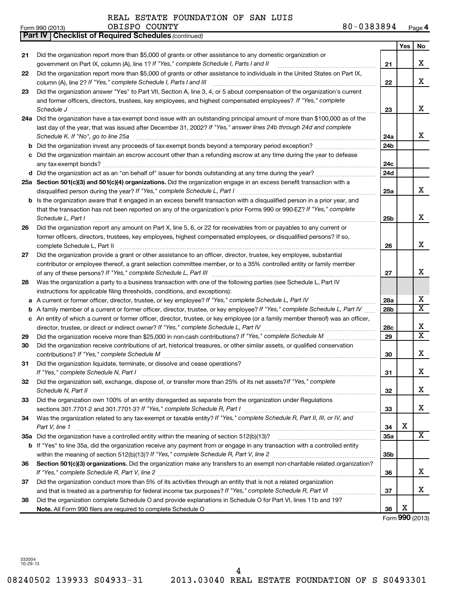| Form 990 (2013) | OBISPC<br><b>COUNTY</b> | $-0383894$<br>o n<br>o u | Page <b>4</b> |
|-----------------|-------------------------|--------------------------|---------------|
|-----------------|-------------------------|--------------------------|---------------|

|    | Part IV   Checklist of Required Schedules (continued)                                                                                                                                                                                                                                                    |                 |     |                         |
|----|----------------------------------------------------------------------------------------------------------------------------------------------------------------------------------------------------------------------------------------------------------------------------------------------------------|-----------------|-----|-------------------------|
|    |                                                                                                                                                                                                                                                                                                          |                 | Yes | No                      |
| 21 | Did the organization report more than \$5,000 of grants or other assistance to any domestic organization or                                                                                                                                                                                              |                 |     |                         |
|    | government on Part IX, column (A), line 1? If "Yes," complete Schedule I, Parts I and II                                                                                                                                                                                                                 | 21              |     | X                       |
| 22 | Did the organization report more than \$5,000 of grants or other assistance to individuals in the United States on Part IX,                                                                                                                                                                              |                 |     |                         |
|    | column (A), line 2? If "Yes," complete Schedule I, Parts I and III                                                                                                                                                                                                                                       | 22              |     | x                       |
| 23 | Did the organization answer "Yes" to Part VII, Section A, line 3, 4, or 5 about compensation of the organization's current                                                                                                                                                                               |                 |     |                         |
|    | and former officers, directors, trustees, key employees, and highest compensated employees? If "Yes," complete                                                                                                                                                                                           |                 |     |                         |
|    | Schedule J                                                                                                                                                                                                                                                                                               | 23              |     | x                       |
|    | 24a Did the organization have a tax-exempt bond issue with an outstanding principal amount of more than \$100,000 as of the                                                                                                                                                                              |                 |     |                         |
|    | last day of the year, that was issued after December 31, 2002? If "Yes," answer lines 24b through 24d and complete                                                                                                                                                                                       |                 |     |                         |
|    | Schedule K. If "No", go to line 25a                                                                                                                                                                                                                                                                      | 24a             |     | x                       |
|    |                                                                                                                                                                                                                                                                                                          | 24b             |     |                         |
|    | c Did the organization maintain an escrow account other than a refunding escrow at any time during the year to defease                                                                                                                                                                                   |                 |     |                         |
|    |                                                                                                                                                                                                                                                                                                          | 24c             |     |                         |
|    |                                                                                                                                                                                                                                                                                                          | 24 <sub>d</sub> |     |                         |
|    | 25a Section 501(c)(3) and 501(c)(4) organizations. Did the organization engage in an excess benefit transaction with a                                                                                                                                                                                   |                 |     |                         |
|    |                                                                                                                                                                                                                                                                                                          | 25a             |     | x                       |
|    | <b>b</b> Is the organization aware that it engaged in an excess benefit transaction with a disqualified person in a prior year, and                                                                                                                                                                      |                 |     |                         |
|    | that the transaction has not been reported on any of the organization's prior Forms 990 or 990-EZ? If "Yes," complete                                                                                                                                                                                    |                 |     |                         |
|    | Schedule L, Part I                                                                                                                                                                                                                                                                                       | 25b             |     | X                       |
| 26 | Did the organization report any amount on Part X, line 5, 6, or 22 for receivables from or payables to any current or                                                                                                                                                                                    |                 |     |                         |
|    | former officers, directors, trustees, key employees, highest compensated employees, or disqualified persons? If so,                                                                                                                                                                                      |                 |     |                         |
|    | complete Schedule L, Part II                                                                                                                                                                                                                                                                             | 26              |     | x                       |
| 27 | Did the organization provide a grant or other assistance to an officer, director, trustee, key employee, substantial                                                                                                                                                                                     |                 |     |                         |
|    | contributor or employee thereof, a grant selection committee member, or to a 35% controlled entity or family member                                                                                                                                                                                      |                 |     |                         |
|    |                                                                                                                                                                                                                                                                                                          | 27              |     | х                       |
| 28 | Was the organization a party to a business transaction with one of the following parties (see Schedule L, Part IV                                                                                                                                                                                        |                 |     |                         |
|    | instructions for applicable filing thresholds, conditions, and exceptions):                                                                                                                                                                                                                              |                 |     |                         |
|    | a A current or former officer, director, trustee, or key employee? If "Yes," complete Schedule L, Part IV                                                                                                                                                                                                | 28a             |     | х                       |
|    | b A family member of a current or former officer, director, trustee, or key employee? If "Yes," complete Schedule L, Part IV                                                                                                                                                                             | 28b             |     | $\overline{\textbf{x}}$ |
|    | c An entity of which a current or former officer, director, trustee, or key employee (or a family member thereof) was an officer,                                                                                                                                                                        |                 |     |                         |
|    | director, trustee, or direct or indirect owner? If "Yes," complete Schedule L, Part IV                                                                                                                                                                                                                   | 28c             |     | х                       |
| 29 |                                                                                                                                                                                                                                                                                                          | 29              |     | $\overline{\texttt{x}}$ |
| 30 | Did the organization receive contributions of art, historical treasures, or other similar assets, or qualified conservation                                                                                                                                                                              |                 |     |                         |
|    |                                                                                                                                                                                                                                                                                                          | 30              |     | х                       |
| 31 | Did the organization liquidate, terminate, or dissolve and cease operations?                                                                                                                                                                                                                             |                 |     |                         |
|    | If "Yes," complete Schedule N, Part I                                                                                                                                                                                                                                                                    | 31              |     | Χ                       |
| 32 | Did the organization sell, exchange, dispose of, or transfer more than 25% of its net assets? If "Yes," complete                                                                                                                                                                                         |                 |     |                         |
|    | Schedule N, Part II                                                                                                                                                                                                                                                                                      | 32              |     | x                       |
| 33 | Did the organization own 100% of an entity disregarded as separate from the organization under Regulations                                                                                                                                                                                               |                 |     | x                       |
|    | sections 301.7701-2 and 301.7701-3? If "Yes," complete Schedule R, Part I [1] [1] [1] [1] [1] [1] sections 301.7701-2 and 301.7701-3? If "Yes," complete Schedule R, Part I<br>Was the organization related to any tax-exempt or taxable entity? If "Yes," complete Schedule R, Part II, III, or IV, and | 33              |     |                         |
| 34 | Part V, line 1                                                                                                                                                                                                                                                                                           | 34              | х   |                         |
|    |                                                                                                                                                                                                                                                                                                          | 35a             |     | x                       |
|    | b If "Yes" to line 35a, did the organization receive any payment from or engage in any transaction with a controlled entity                                                                                                                                                                              |                 |     |                         |
|    |                                                                                                                                                                                                                                                                                                          | 35b             |     |                         |
| 36 | Section 501(c)(3) organizations. Did the organization make any transfers to an exempt non-charitable related organization?                                                                                                                                                                               |                 |     |                         |
|    |                                                                                                                                                                                                                                                                                                          | 36              |     | x                       |
| 37 | Did the organization conduct more than 5% of its activities through an entity that is not a related organization                                                                                                                                                                                         |                 |     |                         |
|    |                                                                                                                                                                                                                                                                                                          | 37              |     | x                       |
| 38 | Did the organization complete Schedule O and provide explanations in Schedule O for Part VI, lines 11b and 19?                                                                                                                                                                                           |                 |     |                         |
|    |                                                                                                                                                                                                                                                                                                          | 38              | х   |                         |
|    |                                                                                                                                                                                                                                                                                                          |                 |     |                         |

Form (2013) **990**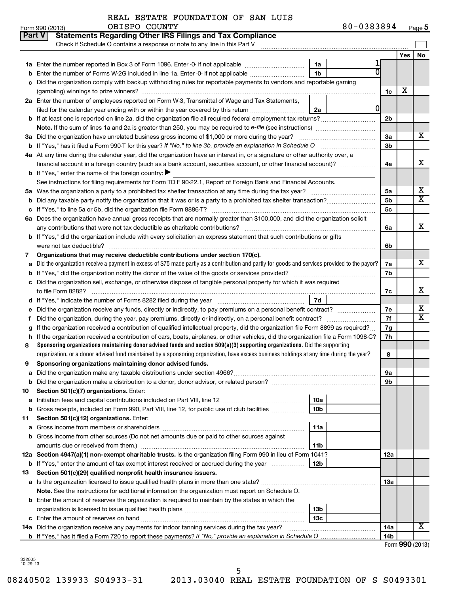|  |  |  | REAL ESTATE FOUNDATION OF SAN LUIS |  |  |  |
|--|--|--|------------------------------------|--|--|--|
|--|--|--|------------------------------------|--|--|--|

| Yes<br>1a<br>1 <sub>b</sub><br>Enter the number of Forms W-2G included in line 1a. Enter -0- if not applicable<br>Did the organization comply with backup withholding rules for reportable payments to vendors and reportable gaming<br>c<br>х<br>1c<br>2a Enter the number of employees reported on Form W-3, Transmittal of Wage and Tax Statements,<br>01<br>filed for the calendar year ending with or within the year covered by this return<br>2a<br>2b<br>Note. If the sum of lines 1a and 2a is greater than 250, you may be required to e-file (see instructions) <i>marrouum</i> manus<br>x<br>3a<br>3a Did the organization have unrelated business gross income of \$1,000 or more during the year?<br>3b<br>4a At any time during the calendar year, did the organization have an interest in, or a signature or other authority over, a<br>financial account in a foreign country (such as a bank account, securities account, or other financial account)?<br>4a<br><b>b</b> If "Yes," enter the name of the foreign country: $\blacktriangleright$<br>See instructions for filing requirements for Form TD F 90-22.1, Report of Foreign Bank and Financial Accounts.<br>5а<br>5а<br>5b<br>b<br>5с<br>6a Does the organization have annual gross receipts that are normally greater than \$100,000, and did the organization solicit<br>6a<br><b>b</b> If "Yes," did the organization include with every solicitation an express statement that such contributions or gifts<br>6b<br>Organizations that may receive deductible contributions under section 170(c).<br>7<br>Did the organization receive a payment in excess of \$75 made partly as a contribution and partly for goods and services provided to the payor?<br>7a<br>a<br>7b<br>Did the organization sell, exchange, or otherwise dispose of tangible personal property for which it was required<br>с<br>7c<br>7d<br>Did the organization receive any funds, directly or indirectly, to pay premiums on a personal benefit contract?<br>7е<br>7f<br>f<br>If the organization received a contribution of qualified intellectual property, did the organization file Form 8899 as required?<br>7g<br>If the organization received a contribution of cars, boats, airplanes, or other vehicles, did the organization file a Form 1098-C?<br>7h<br>h<br>Sponsoring organizations maintaining donor advised funds and section 509(a)(3) supporting organizations. Did the supporting<br>8<br>organization, or a donor advised fund maintained by a sponsoring organization, have excess business holdings at any time during the year?<br>8<br>Sponsoring organizations maintaining donor advised funds.<br>9<br>υа<br>9b<br><b>b</b> Did the organization make a distribution to a donor, donor advisor, or related person?<br>Section 501(c)(7) organizations. Enter:<br>10<br>10a<br>а<br>10 <sub>b</sub><br><b>b</b> Gross receipts, included on Form 990, Part VIII, line 12, for public use of club facilities <i>manumum</i><br>Section 501(c)(12) organizations. Enter:<br>11<br>11a<br>а<br><b>b</b> Gross income from other sources (Do not net amounts due or paid to other sources against<br>amounts due or received from them.)<br>11b<br>12a Section 4947(a)(1) non-exempt charitable trusts. Is the organization filing Form 990 in lieu of Form 1041?<br>12a<br><b>b</b> If "Yes," enter the amount of tax-exempt interest received or accrued during the year<br>12b<br>Section 501(c)(29) qualified nonprofit health insurance issuers.<br>13<br>a Is the organization licensed to issue qualified health plans in more than one state?<br>13a<br>Note. See the instructions for additional information the organization must report on Schedule O.<br><b>b</b> Enter the amount of reserves the organization is required to maintain by the states in which the<br>13b<br>13 <sub>c</sub> | <b>Part V</b> | <b>Statements Regarding Other IRS Filings and Tax Compliance</b><br>Check if Schedule O contains a response or note to any line in this Part V |  |     |  |                            |  |  |  |  |  |  |  |
|-----------------------------------------------------------------------------------------------------------------------------------------------------------------------------------------------------------------------------------------------------------------------------------------------------------------------------------------------------------------------------------------------------------------------------------------------------------------------------------------------------------------------------------------------------------------------------------------------------------------------------------------------------------------------------------------------------------------------------------------------------------------------------------------------------------------------------------------------------------------------------------------------------------------------------------------------------------------------------------------------------------------------------------------------------------------------------------------------------------------------------------------------------------------------------------------------------------------------------------------------------------------------------------------------------------------------------------------------------------------------------------------------------------------------------------------------------------------------------------------------------------------------------------------------------------------------------------------------------------------------------------------------------------------------------------------------------------------------------------------------------------------------------------------------------------------------------------------------------------------------------------------------------------------------------------------------------------------------------------------------------------------------------------------------------------------------------------------------------------------------------------------------------------------------------------------------------------------------------------------------------------------------------------------------------------------------------------------------------------------------------------------------------------------------------------------------------------------------------------------------------------------------------------------------------------------------------------------------------------------------------------------------------------------------------------------------------------------------------------------------------------------------------------------------------------------------------------------------------------------------------------------------------------------------------------------------------------------------------------------------------------------------------------------------------------------------------------------------------------------------------------------------------------------------------------------------------------------------------------------------------------------------------------------------------------------------------------------------------------------------------------------------------------------------------------------------------------------------------------------------------------------------------------------------------------------------------------------------------------------------------------------------------------------------------------------------------------------------------------------------------------------------------------------------------------------------------------------------------------------------------------------|---------------|------------------------------------------------------------------------------------------------------------------------------------------------|--|-----|--|----------------------------|--|--|--|--|--|--|--|
|                                                                                                                                                                                                                                                                                                                                                                                                                                                                                                                                                                                                                                                                                                                                                                                                                                                                                                                                                                                                                                                                                                                                                                                                                                                                                                                                                                                                                                                                                                                                                                                                                                                                                                                                                                                                                                                                                                                                                                                                                                                                                                                                                                                                                                                                                                                                                                                                                                                                                                                                                                                                                                                                                                                                                                                                                                                                                                                                                                                                                                                                                                                                                                                                                                                                                                                                                                                                                                                                                                                                                                                                                                                                                                                                                                                                                                                                                         |               |                                                                                                                                                |  |     |  | No                         |  |  |  |  |  |  |  |
|                                                                                                                                                                                                                                                                                                                                                                                                                                                                                                                                                                                                                                                                                                                                                                                                                                                                                                                                                                                                                                                                                                                                                                                                                                                                                                                                                                                                                                                                                                                                                                                                                                                                                                                                                                                                                                                                                                                                                                                                                                                                                                                                                                                                                                                                                                                                                                                                                                                                                                                                                                                                                                                                                                                                                                                                                                                                                                                                                                                                                                                                                                                                                                                                                                                                                                                                                                                                                                                                                                                                                                                                                                                                                                                                                                                                                                                                                         |               |                                                                                                                                                |  |     |  |                            |  |  |  |  |  |  |  |
|                                                                                                                                                                                                                                                                                                                                                                                                                                                                                                                                                                                                                                                                                                                                                                                                                                                                                                                                                                                                                                                                                                                                                                                                                                                                                                                                                                                                                                                                                                                                                                                                                                                                                                                                                                                                                                                                                                                                                                                                                                                                                                                                                                                                                                                                                                                                                                                                                                                                                                                                                                                                                                                                                                                                                                                                                                                                                                                                                                                                                                                                                                                                                                                                                                                                                                                                                                                                                                                                                                                                                                                                                                                                                                                                                                                                                                                                                         |               |                                                                                                                                                |  |     |  |                            |  |  |  |  |  |  |  |
|                                                                                                                                                                                                                                                                                                                                                                                                                                                                                                                                                                                                                                                                                                                                                                                                                                                                                                                                                                                                                                                                                                                                                                                                                                                                                                                                                                                                                                                                                                                                                                                                                                                                                                                                                                                                                                                                                                                                                                                                                                                                                                                                                                                                                                                                                                                                                                                                                                                                                                                                                                                                                                                                                                                                                                                                                                                                                                                                                                                                                                                                                                                                                                                                                                                                                                                                                                                                                                                                                                                                                                                                                                                                                                                                                                                                                                                                                         |               |                                                                                                                                                |  |     |  |                            |  |  |  |  |  |  |  |
|                                                                                                                                                                                                                                                                                                                                                                                                                                                                                                                                                                                                                                                                                                                                                                                                                                                                                                                                                                                                                                                                                                                                                                                                                                                                                                                                                                                                                                                                                                                                                                                                                                                                                                                                                                                                                                                                                                                                                                                                                                                                                                                                                                                                                                                                                                                                                                                                                                                                                                                                                                                                                                                                                                                                                                                                                                                                                                                                                                                                                                                                                                                                                                                                                                                                                                                                                                                                                                                                                                                                                                                                                                                                                                                                                                                                                                                                                         |               |                                                                                                                                                |  |     |  |                            |  |  |  |  |  |  |  |
|                                                                                                                                                                                                                                                                                                                                                                                                                                                                                                                                                                                                                                                                                                                                                                                                                                                                                                                                                                                                                                                                                                                                                                                                                                                                                                                                                                                                                                                                                                                                                                                                                                                                                                                                                                                                                                                                                                                                                                                                                                                                                                                                                                                                                                                                                                                                                                                                                                                                                                                                                                                                                                                                                                                                                                                                                                                                                                                                                                                                                                                                                                                                                                                                                                                                                                                                                                                                                                                                                                                                                                                                                                                                                                                                                                                                                                                                                         |               |                                                                                                                                                |  |     |  |                            |  |  |  |  |  |  |  |
|                                                                                                                                                                                                                                                                                                                                                                                                                                                                                                                                                                                                                                                                                                                                                                                                                                                                                                                                                                                                                                                                                                                                                                                                                                                                                                                                                                                                                                                                                                                                                                                                                                                                                                                                                                                                                                                                                                                                                                                                                                                                                                                                                                                                                                                                                                                                                                                                                                                                                                                                                                                                                                                                                                                                                                                                                                                                                                                                                                                                                                                                                                                                                                                                                                                                                                                                                                                                                                                                                                                                                                                                                                                                                                                                                                                                                                                                                         |               |                                                                                                                                                |  |     |  |                            |  |  |  |  |  |  |  |
|                                                                                                                                                                                                                                                                                                                                                                                                                                                                                                                                                                                                                                                                                                                                                                                                                                                                                                                                                                                                                                                                                                                                                                                                                                                                                                                                                                                                                                                                                                                                                                                                                                                                                                                                                                                                                                                                                                                                                                                                                                                                                                                                                                                                                                                                                                                                                                                                                                                                                                                                                                                                                                                                                                                                                                                                                                                                                                                                                                                                                                                                                                                                                                                                                                                                                                                                                                                                                                                                                                                                                                                                                                                                                                                                                                                                                                                                                         |               |                                                                                                                                                |  |     |  |                            |  |  |  |  |  |  |  |
|                                                                                                                                                                                                                                                                                                                                                                                                                                                                                                                                                                                                                                                                                                                                                                                                                                                                                                                                                                                                                                                                                                                                                                                                                                                                                                                                                                                                                                                                                                                                                                                                                                                                                                                                                                                                                                                                                                                                                                                                                                                                                                                                                                                                                                                                                                                                                                                                                                                                                                                                                                                                                                                                                                                                                                                                                                                                                                                                                                                                                                                                                                                                                                                                                                                                                                                                                                                                                                                                                                                                                                                                                                                                                                                                                                                                                                                                                         |               |                                                                                                                                                |  |     |  |                            |  |  |  |  |  |  |  |
|                                                                                                                                                                                                                                                                                                                                                                                                                                                                                                                                                                                                                                                                                                                                                                                                                                                                                                                                                                                                                                                                                                                                                                                                                                                                                                                                                                                                                                                                                                                                                                                                                                                                                                                                                                                                                                                                                                                                                                                                                                                                                                                                                                                                                                                                                                                                                                                                                                                                                                                                                                                                                                                                                                                                                                                                                                                                                                                                                                                                                                                                                                                                                                                                                                                                                                                                                                                                                                                                                                                                                                                                                                                                                                                                                                                                                                                                                         |               |                                                                                                                                                |  |     |  |                            |  |  |  |  |  |  |  |
|                                                                                                                                                                                                                                                                                                                                                                                                                                                                                                                                                                                                                                                                                                                                                                                                                                                                                                                                                                                                                                                                                                                                                                                                                                                                                                                                                                                                                                                                                                                                                                                                                                                                                                                                                                                                                                                                                                                                                                                                                                                                                                                                                                                                                                                                                                                                                                                                                                                                                                                                                                                                                                                                                                                                                                                                                                                                                                                                                                                                                                                                                                                                                                                                                                                                                                                                                                                                                                                                                                                                                                                                                                                                                                                                                                                                                                                                                         |               |                                                                                                                                                |  |     |  |                            |  |  |  |  |  |  |  |
|                                                                                                                                                                                                                                                                                                                                                                                                                                                                                                                                                                                                                                                                                                                                                                                                                                                                                                                                                                                                                                                                                                                                                                                                                                                                                                                                                                                                                                                                                                                                                                                                                                                                                                                                                                                                                                                                                                                                                                                                                                                                                                                                                                                                                                                                                                                                                                                                                                                                                                                                                                                                                                                                                                                                                                                                                                                                                                                                                                                                                                                                                                                                                                                                                                                                                                                                                                                                                                                                                                                                                                                                                                                                                                                                                                                                                                                                                         |               |                                                                                                                                                |  |     |  |                            |  |  |  |  |  |  |  |
|                                                                                                                                                                                                                                                                                                                                                                                                                                                                                                                                                                                                                                                                                                                                                                                                                                                                                                                                                                                                                                                                                                                                                                                                                                                                                                                                                                                                                                                                                                                                                                                                                                                                                                                                                                                                                                                                                                                                                                                                                                                                                                                                                                                                                                                                                                                                                                                                                                                                                                                                                                                                                                                                                                                                                                                                                                                                                                                                                                                                                                                                                                                                                                                                                                                                                                                                                                                                                                                                                                                                                                                                                                                                                                                                                                                                                                                                                         |               |                                                                                                                                                |  |     |  | x                          |  |  |  |  |  |  |  |
|                                                                                                                                                                                                                                                                                                                                                                                                                                                                                                                                                                                                                                                                                                                                                                                                                                                                                                                                                                                                                                                                                                                                                                                                                                                                                                                                                                                                                                                                                                                                                                                                                                                                                                                                                                                                                                                                                                                                                                                                                                                                                                                                                                                                                                                                                                                                                                                                                                                                                                                                                                                                                                                                                                                                                                                                                                                                                                                                                                                                                                                                                                                                                                                                                                                                                                                                                                                                                                                                                                                                                                                                                                                                                                                                                                                                                                                                                         |               |                                                                                                                                                |  |     |  |                            |  |  |  |  |  |  |  |
|                                                                                                                                                                                                                                                                                                                                                                                                                                                                                                                                                                                                                                                                                                                                                                                                                                                                                                                                                                                                                                                                                                                                                                                                                                                                                                                                                                                                                                                                                                                                                                                                                                                                                                                                                                                                                                                                                                                                                                                                                                                                                                                                                                                                                                                                                                                                                                                                                                                                                                                                                                                                                                                                                                                                                                                                                                                                                                                                                                                                                                                                                                                                                                                                                                                                                                                                                                                                                                                                                                                                                                                                                                                                                                                                                                                                                                                                                         |               |                                                                                                                                                |  |     |  |                            |  |  |  |  |  |  |  |
|                                                                                                                                                                                                                                                                                                                                                                                                                                                                                                                                                                                                                                                                                                                                                                                                                                                                                                                                                                                                                                                                                                                                                                                                                                                                                                                                                                                                                                                                                                                                                                                                                                                                                                                                                                                                                                                                                                                                                                                                                                                                                                                                                                                                                                                                                                                                                                                                                                                                                                                                                                                                                                                                                                                                                                                                                                                                                                                                                                                                                                                                                                                                                                                                                                                                                                                                                                                                                                                                                                                                                                                                                                                                                                                                                                                                                                                                                         |               |                                                                                                                                                |  |     |  | х                          |  |  |  |  |  |  |  |
|                                                                                                                                                                                                                                                                                                                                                                                                                                                                                                                                                                                                                                                                                                                                                                                                                                                                                                                                                                                                                                                                                                                                                                                                                                                                                                                                                                                                                                                                                                                                                                                                                                                                                                                                                                                                                                                                                                                                                                                                                                                                                                                                                                                                                                                                                                                                                                                                                                                                                                                                                                                                                                                                                                                                                                                                                                                                                                                                                                                                                                                                                                                                                                                                                                                                                                                                                                                                                                                                                                                                                                                                                                                                                                                                                                                                                                                                                         |               |                                                                                                                                                |  |     |  | $\overline{\textbf{X}}$    |  |  |  |  |  |  |  |
|                                                                                                                                                                                                                                                                                                                                                                                                                                                                                                                                                                                                                                                                                                                                                                                                                                                                                                                                                                                                                                                                                                                                                                                                                                                                                                                                                                                                                                                                                                                                                                                                                                                                                                                                                                                                                                                                                                                                                                                                                                                                                                                                                                                                                                                                                                                                                                                                                                                                                                                                                                                                                                                                                                                                                                                                                                                                                                                                                                                                                                                                                                                                                                                                                                                                                                                                                                                                                                                                                                                                                                                                                                                                                                                                                                                                                                                                                         |               |                                                                                                                                                |  |     |  |                            |  |  |  |  |  |  |  |
|                                                                                                                                                                                                                                                                                                                                                                                                                                                                                                                                                                                                                                                                                                                                                                                                                                                                                                                                                                                                                                                                                                                                                                                                                                                                                                                                                                                                                                                                                                                                                                                                                                                                                                                                                                                                                                                                                                                                                                                                                                                                                                                                                                                                                                                                                                                                                                                                                                                                                                                                                                                                                                                                                                                                                                                                                                                                                                                                                                                                                                                                                                                                                                                                                                                                                                                                                                                                                                                                                                                                                                                                                                                                                                                                                                                                                                                                                         |               |                                                                                                                                                |  |     |  |                            |  |  |  |  |  |  |  |
|                                                                                                                                                                                                                                                                                                                                                                                                                                                                                                                                                                                                                                                                                                                                                                                                                                                                                                                                                                                                                                                                                                                                                                                                                                                                                                                                                                                                                                                                                                                                                                                                                                                                                                                                                                                                                                                                                                                                                                                                                                                                                                                                                                                                                                                                                                                                                                                                                                                                                                                                                                                                                                                                                                                                                                                                                                                                                                                                                                                                                                                                                                                                                                                                                                                                                                                                                                                                                                                                                                                                                                                                                                                                                                                                                                                                                                                                                         |               |                                                                                                                                                |  |     |  | x                          |  |  |  |  |  |  |  |
|                                                                                                                                                                                                                                                                                                                                                                                                                                                                                                                                                                                                                                                                                                                                                                                                                                                                                                                                                                                                                                                                                                                                                                                                                                                                                                                                                                                                                                                                                                                                                                                                                                                                                                                                                                                                                                                                                                                                                                                                                                                                                                                                                                                                                                                                                                                                                                                                                                                                                                                                                                                                                                                                                                                                                                                                                                                                                                                                                                                                                                                                                                                                                                                                                                                                                                                                                                                                                                                                                                                                                                                                                                                                                                                                                                                                                                                                                         |               |                                                                                                                                                |  |     |  |                            |  |  |  |  |  |  |  |
|                                                                                                                                                                                                                                                                                                                                                                                                                                                                                                                                                                                                                                                                                                                                                                                                                                                                                                                                                                                                                                                                                                                                                                                                                                                                                                                                                                                                                                                                                                                                                                                                                                                                                                                                                                                                                                                                                                                                                                                                                                                                                                                                                                                                                                                                                                                                                                                                                                                                                                                                                                                                                                                                                                                                                                                                                                                                                                                                                                                                                                                                                                                                                                                                                                                                                                                                                                                                                                                                                                                                                                                                                                                                                                                                                                                                                                                                                         |               |                                                                                                                                                |  |     |  |                            |  |  |  |  |  |  |  |
|                                                                                                                                                                                                                                                                                                                                                                                                                                                                                                                                                                                                                                                                                                                                                                                                                                                                                                                                                                                                                                                                                                                                                                                                                                                                                                                                                                                                                                                                                                                                                                                                                                                                                                                                                                                                                                                                                                                                                                                                                                                                                                                                                                                                                                                                                                                                                                                                                                                                                                                                                                                                                                                                                                                                                                                                                                                                                                                                                                                                                                                                                                                                                                                                                                                                                                                                                                                                                                                                                                                                                                                                                                                                                                                                                                                                                                                                                         |               |                                                                                                                                                |  |     |  |                            |  |  |  |  |  |  |  |
|                                                                                                                                                                                                                                                                                                                                                                                                                                                                                                                                                                                                                                                                                                                                                                                                                                                                                                                                                                                                                                                                                                                                                                                                                                                                                                                                                                                                                                                                                                                                                                                                                                                                                                                                                                                                                                                                                                                                                                                                                                                                                                                                                                                                                                                                                                                                                                                                                                                                                                                                                                                                                                                                                                                                                                                                                                                                                                                                                                                                                                                                                                                                                                                                                                                                                                                                                                                                                                                                                                                                                                                                                                                                                                                                                                                                                                                                                         |               |                                                                                                                                                |  |     |  | x                          |  |  |  |  |  |  |  |
|                                                                                                                                                                                                                                                                                                                                                                                                                                                                                                                                                                                                                                                                                                                                                                                                                                                                                                                                                                                                                                                                                                                                                                                                                                                                                                                                                                                                                                                                                                                                                                                                                                                                                                                                                                                                                                                                                                                                                                                                                                                                                                                                                                                                                                                                                                                                                                                                                                                                                                                                                                                                                                                                                                                                                                                                                                                                                                                                                                                                                                                                                                                                                                                                                                                                                                                                                                                                                                                                                                                                                                                                                                                                                                                                                                                                                                                                                         |               |                                                                                                                                                |  |     |  |                            |  |  |  |  |  |  |  |
|                                                                                                                                                                                                                                                                                                                                                                                                                                                                                                                                                                                                                                                                                                                                                                                                                                                                                                                                                                                                                                                                                                                                                                                                                                                                                                                                                                                                                                                                                                                                                                                                                                                                                                                                                                                                                                                                                                                                                                                                                                                                                                                                                                                                                                                                                                                                                                                                                                                                                                                                                                                                                                                                                                                                                                                                                                                                                                                                                                                                                                                                                                                                                                                                                                                                                                                                                                                                                                                                                                                                                                                                                                                                                                                                                                                                                                                                                         |               |                                                                                                                                                |  |     |  |                            |  |  |  |  |  |  |  |
|                                                                                                                                                                                                                                                                                                                                                                                                                                                                                                                                                                                                                                                                                                                                                                                                                                                                                                                                                                                                                                                                                                                                                                                                                                                                                                                                                                                                                                                                                                                                                                                                                                                                                                                                                                                                                                                                                                                                                                                                                                                                                                                                                                                                                                                                                                                                                                                                                                                                                                                                                                                                                                                                                                                                                                                                                                                                                                                                                                                                                                                                                                                                                                                                                                                                                                                                                                                                                                                                                                                                                                                                                                                                                                                                                                                                                                                                                         |               |                                                                                                                                                |  |     |  | х                          |  |  |  |  |  |  |  |
|                                                                                                                                                                                                                                                                                                                                                                                                                                                                                                                                                                                                                                                                                                                                                                                                                                                                                                                                                                                                                                                                                                                                                                                                                                                                                                                                                                                                                                                                                                                                                                                                                                                                                                                                                                                                                                                                                                                                                                                                                                                                                                                                                                                                                                                                                                                                                                                                                                                                                                                                                                                                                                                                                                                                                                                                                                                                                                                                                                                                                                                                                                                                                                                                                                                                                                                                                                                                                                                                                                                                                                                                                                                                                                                                                                                                                                                                                         |               |                                                                                                                                                |  |     |  |                            |  |  |  |  |  |  |  |
|                                                                                                                                                                                                                                                                                                                                                                                                                                                                                                                                                                                                                                                                                                                                                                                                                                                                                                                                                                                                                                                                                                                                                                                                                                                                                                                                                                                                                                                                                                                                                                                                                                                                                                                                                                                                                                                                                                                                                                                                                                                                                                                                                                                                                                                                                                                                                                                                                                                                                                                                                                                                                                                                                                                                                                                                                                                                                                                                                                                                                                                                                                                                                                                                                                                                                                                                                                                                                                                                                                                                                                                                                                                                                                                                                                                                                                                                                         |               |                                                                                                                                                |  |     |  | х<br>$\overline{\text{X}}$ |  |  |  |  |  |  |  |
|                                                                                                                                                                                                                                                                                                                                                                                                                                                                                                                                                                                                                                                                                                                                                                                                                                                                                                                                                                                                                                                                                                                                                                                                                                                                                                                                                                                                                                                                                                                                                                                                                                                                                                                                                                                                                                                                                                                                                                                                                                                                                                                                                                                                                                                                                                                                                                                                                                                                                                                                                                                                                                                                                                                                                                                                                                                                                                                                                                                                                                                                                                                                                                                                                                                                                                                                                                                                                                                                                                                                                                                                                                                                                                                                                                                                                                                                                         |               |                                                                                                                                                |  |     |  |                            |  |  |  |  |  |  |  |
|                                                                                                                                                                                                                                                                                                                                                                                                                                                                                                                                                                                                                                                                                                                                                                                                                                                                                                                                                                                                                                                                                                                                                                                                                                                                                                                                                                                                                                                                                                                                                                                                                                                                                                                                                                                                                                                                                                                                                                                                                                                                                                                                                                                                                                                                                                                                                                                                                                                                                                                                                                                                                                                                                                                                                                                                                                                                                                                                                                                                                                                                                                                                                                                                                                                                                                                                                                                                                                                                                                                                                                                                                                                                                                                                                                                                                                                                                         |               |                                                                                                                                                |  |     |  |                            |  |  |  |  |  |  |  |
|                                                                                                                                                                                                                                                                                                                                                                                                                                                                                                                                                                                                                                                                                                                                                                                                                                                                                                                                                                                                                                                                                                                                                                                                                                                                                                                                                                                                                                                                                                                                                                                                                                                                                                                                                                                                                                                                                                                                                                                                                                                                                                                                                                                                                                                                                                                                                                                                                                                                                                                                                                                                                                                                                                                                                                                                                                                                                                                                                                                                                                                                                                                                                                                                                                                                                                                                                                                                                                                                                                                                                                                                                                                                                                                                                                                                                                                                                         |               |                                                                                                                                                |  |     |  |                            |  |  |  |  |  |  |  |
|                                                                                                                                                                                                                                                                                                                                                                                                                                                                                                                                                                                                                                                                                                                                                                                                                                                                                                                                                                                                                                                                                                                                                                                                                                                                                                                                                                                                                                                                                                                                                                                                                                                                                                                                                                                                                                                                                                                                                                                                                                                                                                                                                                                                                                                                                                                                                                                                                                                                                                                                                                                                                                                                                                                                                                                                                                                                                                                                                                                                                                                                                                                                                                                                                                                                                                                                                                                                                                                                                                                                                                                                                                                                                                                                                                                                                                                                                         |               |                                                                                                                                                |  |     |  |                            |  |  |  |  |  |  |  |
|                                                                                                                                                                                                                                                                                                                                                                                                                                                                                                                                                                                                                                                                                                                                                                                                                                                                                                                                                                                                                                                                                                                                                                                                                                                                                                                                                                                                                                                                                                                                                                                                                                                                                                                                                                                                                                                                                                                                                                                                                                                                                                                                                                                                                                                                                                                                                                                                                                                                                                                                                                                                                                                                                                                                                                                                                                                                                                                                                                                                                                                                                                                                                                                                                                                                                                                                                                                                                                                                                                                                                                                                                                                                                                                                                                                                                                                                                         |               |                                                                                                                                                |  |     |  |                            |  |  |  |  |  |  |  |
|                                                                                                                                                                                                                                                                                                                                                                                                                                                                                                                                                                                                                                                                                                                                                                                                                                                                                                                                                                                                                                                                                                                                                                                                                                                                                                                                                                                                                                                                                                                                                                                                                                                                                                                                                                                                                                                                                                                                                                                                                                                                                                                                                                                                                                                                                                                                                                                                                                                                                                                                                                                                                                                                                                                                                                                                                                                                                                                                                                                                                                                                                                                                                                                                                                                                                                                                                                                                                                                                                                                                                                                                                                                                                                                                                                                                                                                                                         |               |                                                                                                                                                |  |     |  |                            |  |  |  |  |  |  |  |
|                                                                                                                                                                                                                                                                                                                                                                                                                                                                                                                                                                                                                                                                                                                                                                                                                                                                                                                                                                                                                                                                                                                                                                                                                                                                                                                                                                                                                                                                                                                                                                                                                                                                                                                                                                                                                                                                                                                                                                                                                                                                                                                                                                                                                                                                                                                                                                                                                                                                                                                                                                                                                                                                                                                                                                                                                                                                                                                                                                                                                                                                                                                                                                                                                                                                                                                                                                                                                                                                                                                                                                                                                                                                                                                                                                                                                                                                                         |               |                                                                                                                                                |  |     |  |                            |  |  |  |  |  |  |  |
|                                                                                                                                                                                                                                                                                                                                                                                                                                                                                                                                                                                                                                                                                                                                                                                                                                                                                                                                                                                                                                                                                                                                                                                                                                                                                                                                                                                                                                                                                                                                                                                                                                                                                                                                                                                                                                                                                                                                                                                                                                                                                                                                                                                                                                                                                                                                                                                                                                                                                                                                                                                                                                                                                                                                                                                                                                                                                                                                                                                                                                                                                                                                                                                                                                                                                                                                                                                                                                                                                                                                                                                                                                                                                                                                                                                                                                                                                         |               |                                                                                                                                                |  |     |  |                            |  |  |  |  |  |  |  |
|                                                                                                                                                                                                                                                                                                                                                                                                                                                                                                                                                                                                                                                                                                                                                                                                                                                                                                                                                                                                                                                                                                                                                                                                                                                                                                                                                                                                                                                                                                                                                                                                                                                                                                                                                                                                                                                                                                                                                                                                                                                                                                                                                                                                                                                                                                                                                                                                                                                                                                                                                                                                                                                                                                                                                                                                                                                                                                                                                                                                                                                                                                                                                                                                                                                                                                                                                                                                                                                                                                                                                                                                                                                                                                                                                                                                                                                                                         |               |                                                                                                                                                |  |     |  |                            |  |  |  |  |  |  |  |
|                                                                                                                                                                                                                                                                                                                                                                                                                                                                                                                                                                                                                                                                                                                                                                                                                                                                                                                                                                                                                                                                                                                                                                                                                                                                                                                                                                                                                                                                                                                                                                                                                                                                                                                                                                                                                                                                                                                                                                                                                                                                                                                                                                                                                                                                                                                                                                                                                                                                                                                                                                                                                                                                                                                                                                                                                                                                                                                                                                                                                                                                                                                                                                                                                                                                                                                                                                                                                                                                                                                                                                                                                                                                                                                                                                                                                                                                                         |               |                                                                                                                                                |  |     |  |                            |  |  |  |  |  |  |  |
|                                                                                                                                                                                                                                                                                                                                                                                                                                                                                                                                                                                                                                                                                                                                                                                                                                                                                                                                                                                                                                                                                                                                                                                                                                                                                                                                                                                                                                                                                                                                                                                                                                                                                                                                                                                                                                                                                                                                                                                                                                                                                                                                                                                                                                                                                                                                                                                                                                                                                                                                                                                                                                                                                                                                                                                                                                                                                                                                                                                                                                                                                                                                                                                                                                                                                                                                                                                                                                                                                                                                                                                                                                                                                                                                                                                                                                                                                         |               |                                                                                                                                                |  |     |  |                            |  |  |  |  |  |  |  |
|                                                                                                                                                                                                                                                                                                                                                                                                                                                                                                                                                                                                                                                                                                                                                                                                                                                                                                                                                                                                                                                                                                                                                                                                                                                                                                                                                                                                                                                                                                                                                                                                                                                                                                                                                                                                                                                                                                                                                                                                                                                                                                                                                                                                                                                                                                                                                                                                                                                                                                                                                                                                                                                                                                                                                                                                                                                                                                                                                                                                                                                                                                                                                                                                                                                                                                                                                                                                                                                                                                                                                                                                                                                                                                                                                                                                                                                                                         |               |                                                                                                                                                |  |     |  |                            |  |  |  |  |  |  |  |
|                                                                                                                                                                                                                                                                                                                                                                                                                                                                                                                                                                                                                                                                                                                                                                                                                                                                                                                                                                                                                                                                                                                                                                                                                                                                                                                                                                                                                                                                                                                                                                                                                                                                                                                                                                                                                                                                                                                                                                                                                                                                                                                                                                                                                                                                                                                                                                                                                                                                                                                                                                                                                                                                                                                                                                                                                                                                                                                                                                                                                                                                                                                                                                                                                                                                                                                                                                                                                                                                                                                                                                                                                                                                                                                                                                                                                                                                                         |               |                                                                                                                                                |  |     |  |                            |  |  |  |  |  |  |  |
|                                                                                                                                                                                                                                                                                                                                                                                                                                                                                                                                                                                                                                                                                                                                                                                                                                                                                                                                                                                                                                                                                                                                                                                                                                                                                                                                                                                                                                                                                                                                                                                                                                                                                                                                                                                                                                                                                                                                                                                                                                                                                                                                                                                                                                                                                                                                                                                                                                                                                                                                                                                                                                                                                                                                                                                                                                                                                                                                                                                                                                                                                                                                                                                                                                                                                                                                                                                                                                                                                                                                                                                                                                                                                                                                                                                                                                                                                         |               |                                                                                                                                                |  |     |  |                            |  |  |  |  |  |  |  |
|                                                                                                                                                                                                                                                                                                                                                                                                                                                                                                                                                                                                                                                                                                                                                                                                                                                                                                                                                                                                                                                                                                                                                                                                                                                                                                                                                                                                                                                                                                                                                                                                                                                                                                                                                                                                                                                                                                                                                                                                                                                                                                                                                                                                                                                                                                                                                                                                                                                                                                                                                                                                                                                                                                                                                                                                                                                                                                                                                                                                                                                                                                                                                                                                                                                                                                                                                                                                                                                                                                                                                                                                                                                                                                                                                                                                                                                                                         |               |                                                                                                                                                |  |     |  |                            |  |  |  |  |  |  |  |
|                                                                                                                                                                                                                                                                                                                                                                                                                                                                                                                                                                                                                                                                                                                                                                                                                                                                                                                                                                                                                                                                                                                                                                                                                                                                                                                                                                                                                                                                                                                                                                                                                                                                                                                                                                                                                                                                                                                                                                                                                                                                                                                                                                                                                                                                                                                                                                                                                                                                                                                                                                                                                                                                                                                                                                                                                                                                                                                                                                                                                                                                                                                                                                                                                                                                                                                                                                                                                                                                                                                                                                                                                                                                                                                                                                                                                                                                                         |               |                                                                                                                                                |  |     |  |                            |  |  |  |  |  |  |  |
|                                                                                                                                                                                                                                                                                                                                                                                                                                                                                                                                                                                                                                                                                                                                                                                                                                                                                                                                                                                                                                                                                                                                                                                                                                                                                                                                                                                                                                                                                                                                                                                                                                                                                                                                                                                                                                                                                                                                                                                                                                                                                                                                                                                                                                                                                                                                                                                                                                                                                                                                                                                                                                                                                                                                                                                                                                                                                                                                                                                                                                                                                                                                                                                                                                                                                                                                                                                                                                                                                                                                                                                                                                                                                                                                                                                                                                                                                         |               |                                                                                                                                                |  |     |  |                            |  |  |  |  |  |  |  |
|                                                                                                                                                                                                                                                                                                                                                                                                                                                                                                                                                                                                                                                                                                                                                                                                                                                                                                                                                                                                                                                                                                                                                                                                                                                                                                                                                                                                                                                                                                                                                                                                                                                                                                                                                                                                                                                                                                                                                                                                                                                                                                                                                                                                                                                                                                                                                                                                                                                                                                                                                                                                                                                                                                                                                                                                                                                                                                                                                                                                                                                                                                                                                                                                                                                                                                                                                                                                                                                                                                                                                                                                                                                                                                                                                                                                                                                                                         |               |                                                                                                                                                |  |     |  |                            |  |  |  |  |  |  |  |
|                                                                                                                                                                                                                                                                                                                                                                                                                                                                                                                                                                                                                                                                                                                                                                                                                                                                                                                                                                                                                                                                                                                                                                                                                                                                                                                                                                                                                                                                                                                                                                                                                                                                                                                                                                                                                                                                                                                                                                                                                                                                                                                                                                                                                                                                                                                                                                                                                                                                                                                                                                                                                                                                                                                                                                                                                                                                                                                                                                                                                                                                                                                                                                                                                                                                                                                                                                                                                                                                                                                                                                                                                                                                                                                                                                                                                                                                                         |               |                                                                                                                                                |  |     |  |                            |  |  |  |  |  |  |  |
|                                                                                                                                                                                                                                                                                                                                                                                                                                                                                                                                                                                                                                                                                                                                                                                                                                                                                                                                                                                                                                                                                                                                                                                                                                                                                                                                                                                                                                                                                                                                                                                                                                                                                                                                                                                                                                                                                                                                                                                                                                                                                                                                                                                                                                                                                                                                                                                                                                                                                                                                                                                                                                                                                                                                                                                                                                                                                                                                                                                                                                                                                                                                                                                                                                                                                                                                                                                                                                                                                                                                                                                                                                                                                                                                                                                                                                                                                         |               |                                                                                                                                                |  |     |  |                            |  |  |  |  |  |  |  |
|                                                                                                                                                                                                                                                                                                                                                                                                                                                                                                                                                                                                                                                                                                                                                                                                                                                                                                                                                                                                                                                                                                                                                                                                                                                                                                                                                                                                                                                                                                                                                                                                                                                                                                                                                                                                                                                                                                                                                                                                                                                                                                                                                                                                                                                                                                                                                                                                                                                                                                                                                                                                                                                                                                                                                                                                                                                                                                                                                                                                                                                                                                                                                                                                                                                                                                                                                                                                                                                                                                                                                                                                                                                                                                                                                                                                                                                                                         |               |                                                                                                                                                |  |     |  |                            |  |  |  |  |  |  |  |
|                                                                                                                                                                                                                                                                                                                                                                                                                                                                                                                                                                                                                                                                                                                                                                                                                                                                                                                                                                                                                                                                                                                                                                                                                                                                                                                                                                                                                                                                                                                                                                                                                                                                                                                                                                                                                                                                                                                                                                                                                                                                                                                                                                                                                                                                                                                                                                                                                                                                                                                                                                                                                                                                                                                                                                                                                                                                                                                                                                                                                                                                                                                                                                                                                                                                                                                                                                                                                                                                                                                                                                                                                                                                                                                                                                                                                                                                                         |               |                                                                                                                                                |  |     |  |                            |  |  |  |  |  |  |  |
|                                                                                                                                                                                                                                                                                                                                                                                                                                                                                                                                                                                                                                                                                                                                                                                                                                                                                                                                                                                                                                                                                                                                                                                                                                                                                                                                                                                                                                                                                                                                                                                                                                                                                                                                                                                                                                                                                                                                                                                                                                                                                                                                                                                                                                                                                                                                                                                                                                                                                                                                                                                                                                                                                                                                                                                                                                                                                                                                                                                                                                                                                                                                                                                                                                                                                                                                                                                                                                                                                                                                                                                                                                                                                                                                                                                                                                                                                         |               | 14a Did the organization receive any payments for indoor tanning services during the tax year?                                                 |  | 14a |  | х                          |  |  |  |  |  |  |  |
| <b>b</b> If "Yes," has it filed a Form 720 to report these payments? If "No," provide an explanation in Schedule O<br>14b                                                                                                                                                                                                                                                                                                                                                                                                                                                                                                                                                                                                                                                                                                                                                                                                                                                                                                                                                                                                                                                                                                                                                                                                                                                                                                                                                                                                                                                                                                                                                                                                                                                                                                                                                                                                                                                                                                                                                                                                                                                                                                                                                                                                                                                                                                                                                                                                                                                                                                                                                                                                                                                                                                                                                                                                                                                                                                                                                                                                                                                                                                                                                                                                                                                                                                                                                                                                                                                                                                                                                                                                                                                                                                                                                               |               |                                                                                                                                                |  |     |  |                            |  |  |  |  |  |  |  |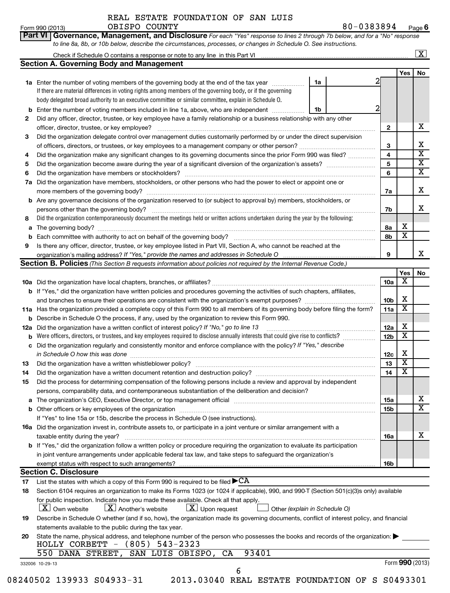REAL ESTATE FOUNDATION OF SAN LUIS OBISPO COUNTY

**Part VI Governance, Management, and Disclosure** 

Form 990 (2013) OBISPO\_COUNTY 8 U-U3 8 3 8 9 4 Page 80-0383894 Page 6

*For each "Yes" response to lines 2 through 7b below, and for a "No" response*

|          |                                                                                                                                                                                                                                |                 | Yes                     | No |
|----------|--------------------------------------------------------------------------------------------------------------------------------------------------------------------------------------------------------------------------------|-----------------|-------------------------|----|
|          | 1a<br>1a Enter the number of voting members of the governing body at the end of the tax year <i>manumum</i>                                                                                                                    |                 |                         |    |
|          | If there are material differences in voting rights among members of the governing body, or if the governing                                                                                                                    |                 |                         |    |
|          | body delegated broad authority to an executive committee or similar committee, explain in Schedule O.                                                                                                                          |                 |                         |    |
|          | Enter the number of voting members included in line 1a, above, who are independent<br>1b                                                                                                                                       | 2               |                         |    |
| 2        | Did any officer, director, trustee, or key employee have a family relationship or a business relationship with any other                                                                                                       |                 |                         |    |
|          | officer, director, trustee, or key employee?                                                                                                                                                                                   | $\mathbf{2}$    |                         |    |
| З        | Did the organization delegate control over management duties customarily performed by or under the direct supervision                                                                                                          |                 |                         |    |
|          |                                                                                                                                                                                                                                | 3               |                         |    |
|          |                                                                                                                                                                                                                                | 4               |                         |    |
| 4        | Did the organization make any significant changes to its governing documents since the prior Form 990 was filed?                                                                                                               |                 |                         |    |
| 5        |                                                                                                                                                                                                                                | 5               |                         |    |
| 6        |                                                                                                                                                                                                                                | 6               |                         |    |
| 7а       | Did the organization have members, stockholders, or other persons who had the power to elect or appoint one or                                                                                                                 |                 |                         |    |
|          |                                                                                                                                                                                                                                | 7a              |                         |    |
|          | <b>b</b> Are any governance decisions of the organization reserved to (or subject to approval by) members, stockholders, or                                                                                                    |                 |                         |    |
|          | persons other than the governing body?                                                                                                                                                                                         | 7b              |                         |    |
| 8        | Did the organization contemporaneously document the meetings held or written actions undertaken during the year by the following:                                                                                              |                 |                         |    |
|          |                                                                                                                                                                                                                                |                 | Х                       |    |
| a        |                                                                                                                                                                                                                                | 8а              |                         |    |
| b        |                                                                                                                                                                                                                                | 8b              | X                       |    |
| 9        | Is there any officer, director, trustee, or key employee listed in Part VII, Section A, who cannot be reached at the                                                                                                           |                 |                         |    |
|          | organization's mailing address? If "Yes," provide the names and addresses in Schedule O                                                                                                                                        | 9               |                         |    |
|          | <b>Section B. Policies</b> (This Section B requests information about policies not required by the Internal Revenue Code.)                                                                                                     |                 |                         |    |
|          |                                                                                                                                                                                                                                |                 | Yes                     |    |
|          |                                                                                                                                                                                                                                | 10a             | X                       |    |
|          | <b>b</b> If "Yes," did the organization have written policies and procedures governing the activities of such chapters, affiliates,                                                                                            |                 |                         |    |
|          |                                                                                                                                                                                                                                | 10 <sub>b</sub> | X                       |    |
|          |                                                                                                                                                                                                                                |                 | х                       |    |
|          | 11a Has the organization provided a complete copy of this Form 990 to all members of its governing body before filing the form?                                                                                                | 11a             |                         |    |
|          | <b>b</b> Describe in Schedule O the process, if any, used by the organization to review this Form 990.                                                                                                                         |                 |                         |    |
| 12a      | Did the organization have a written conflict of interest policy? If "No," go to line 13                                                                                                                                        | 12a             | х                       |    |
|          | Were officers, directors, or trustees, and key employees required to disclose annually interests that could give rise to conflicts?                                                                                            | 12 <sub>b</sub> | $\overline{\textbf{x}}$ |    |
| c        | Did the organization regularly and consistently monitor and enforce compliance with the policy? If "Yes," describe                                                                                                             |                 |                         |    |
|          | in Schedule O how this was done                                                                                                                                                                                                | 12c             | X                       |    |
| 13       |                                                                                                                                                                                                                                | 13              | $\overline{\textbf{X}}$ |    |
| 14       | Did the organization have a written document retention and destruction policy? [11] manufaction manufaction in                                                                                                                 | 14              | $\overline{\mathbf{X}}$ |    |
|          |                                                                                                                                                                                                                                |                 |                         |    |
| 15       | Did the process for determining compensation of the following persons include a review and approval by independent                                                                                                             |                 |                         |    |
|          | persons, comparability data, and contemporaneous substantiation of the deliberation and decision?                                                                                                                              |                 |                         |    |
|          | a The organization's CEO, Executive Director, or top management official manufactured content content of the organization's CEO, Executive Director, or top management official manufactured content of the state of the conte | 15a             |                         |    |
|          |                                                                                                                                                                                                                                |                 |                         |    |
|          |                                                                                                                                                                                                                                | 15 <sub>b</sub> |                         |    |
|          |                                                                                                                                                                                                                                |                 |                         |    |
|          | If "Yes" to line 15a or 15b, describe the process in Schedule O (see instructions).                                                                                                                                            |                 |                         |    |
|          | 16a Did the organization invest in, contribute assets to, or participate in a joint venture or similar arrangement with a                                                                                                      |                 |                         |    |
|          | taxable entity during the year?                                                                                                                                                                                                | <b>16a</b>      |                         |    |
|          | b If "Yes," did the organization follow a written policy or procedure requiring the organization to evaluate its participation                                                                                                 |                 |                         |    |
|          | in joint venture arrangements under applicable federal tax law, and take steps to safeguard the organization's                                                                                                                 |                 |                         |    |
|          | exempt status with respect to such arrangements?                                                                                                                                                                               | 16b             |                         |    |
|          | <b>Section C. Disclosure</b>                                                                                                                                                                                                   |                 |                         |    |
|          | List the states with which a copy of this Form 990 is required to be filed $\blacktriangleright$ CA                                                                                                                            |                 |                         |    |
| 17<br>18 | Section 6104 requires an organization to make its Forms 1023 (or 1024 if applicable), 990, and 990-T (Section 501(c)(3)s only) available                                                                                       |                 |                         |    |
|          |                                                                                                                                                                                                                                |                 |                         |    |
|          | for public inspection. Indicate how you made these available. Check all that apply.                                                                                                                                            |                 |                         |    |
|          | $\lfloor x \rfloor$ Upon request<br>$\lfloor \underline{X} \rfloor$ Another's website<br>$ \underline{X} $ Own website<br>Other (explain in Schedule O)                                                                        |                 |                         |    |
| 19       | Describe in Schedule O whether (and if so, how), the organization made its governing documents, conflict of interest policy, and financial                                                                                     |                 |                         |    |
|          | statements available to the public during the tax year.                                                                                                                                                                        |                 |                         |    |
| 20       | State the name, physical address, and telephone number of the person who possesses the books and records of the organization:                                                                                                  |                 |                         |    |
|          | HOLLY CORBETT - (805) 543-2323                                                                                                                                                                                                 |                 |                         |    |
|          | 93401<br>550 DANA STREET, SAN LUIS OBISPO, CA                                                                                                                                                                                  |                 | Form 990 (2013)         |    |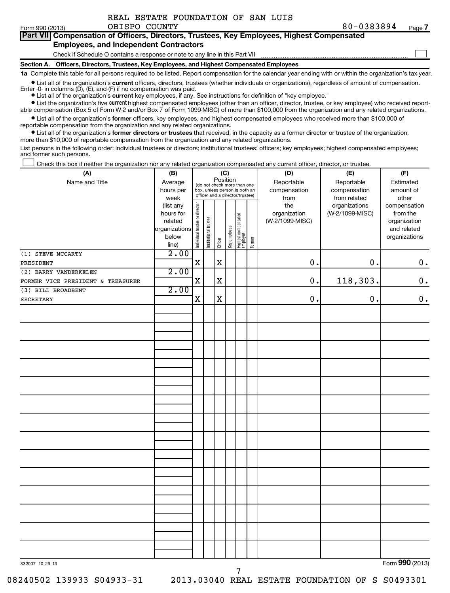$\sim$ 

#### **Part VII Compensation of Officers, Directors, Trustees, Key Employees, Highest Compensated Employees, and Independent Contractors**

Check if Schedule O contains a response or note to any line in this Part VII

**Section A. Officers, Directors, Trustees, Key Employees, and Highest Compensated Employees**

**1a**  Complete this table for all persons required to be listed. Report compensation for the calendar year ending with or within the organization's tax year. • List all of the organization's current officers, directors, trustees (whether individuals or organizations), regardless of amount of compensation.

Enter -0- in columns  $(D)$ ,  $(E)$ , and  $(F)$  if no compensation was paid.

**•** List all of the organization's **current** key employees, if any. See instructions for definition of "key employee."

**•** List the organization's five *current* highest compensated employees (other than an officer, director, trustee, or key employee) who received reportable compensation (Box 5 of Form W-2 and/or Box 7 of Form 1099-MISC) of more than \$100,000 from the organization and any related organizations.

 $\bullet$  List all of the organization's former officers, key employees, and highest compensated employees who received more than \$100,000 of reportable compensation from the organization and any related organizations.

**•** List all of the organization's former directors or trustees that received, in the capacity as a former director or trustee of the organization, more than \$10,000 of reportable compensation from the organization and any related organizations.

List persons in the following order: individual trustees or directors; institutional trustees; officers; key employees; highest compensated employees; and former such persons.

Check this box if neither the organization nor any related organization compensated any current officer, director, or trustee.  $\pm$ 

| (A)                               | (B)                                                                  |                                |                                                                                                 | (C)<br>Position |              |                                   |        | (D)                                            | (E)                                              | (F)                                                                      |  |  |  |  |
|-----------------------------------|----------------------------------------------------------------------|--------------------------------|-------------------------------------------------------------------------------------------------|-----------------|--------------|-----------------------------------|--------|------------------------------------------------|--------------------------------------------------|--------------------------------------------------------------------------|--|--|--|--|
| Name and Title                    | Average<br>hours per<br>week                                         |                                | (do not check more than one<br>box, unless person is both an<br>officer and a director/trustee) |                 |              |                                   |        | Reportable<br>compensation                     | Reportable<br>compensation                       | Estimated<br>amount of<br>other                                          |  |  |  |  |
|                                   | (list any<br>hours for<br>related<br>organizations<br>below<br>line) | Individual trustee or director | Institutional trustee                                                                           | Officer         | Key employee | Highest compensated<br>  employee | Former | from<br>the<br>organization<br>(W-2/1099-MISC) | from related<br>organizations<br>(W-2/1099-MISC) | compensation<br>from the<br>organization<br>and related<br>organizations |  |  |  |  |
| (1) STEVE MCCARTY                 | 2.00                                                                 |                                |                                                                                                 |                 |              |                                   |        |                                                |                                                  |                                                                          |  |  |  |  |
| PRESIDENT                         |                                                                      | $\mathbf X$                    |                                                                                                 | $\mathbf X$     |              |                                   |        | 0.                                             | 0.                                               | $0 \cdot$                                                                |  |  |  |  |
| (2) BARRY VANDERKELEN             | 2.00                                                                 |                                |                                                                                                 |                 |              |                                   |        |                                                |                                                  |                                                                          |  |  |  |  |
| FORMER VICE PRESIDENT & TREASURER |                                                                      | $\mathbf x$                    |                                                                                                 | X               |              |                                   |        | 0.                                             | 118,303.                                         | $\mathbf 0$ .                                                            |  |  |  |  |
| (3) BILL BROADBENT                | 2.00                                                                 |                                |                                                                                                 |                 |              |                                   |        |                                                |                                                  |                                                                          |  |  |  |  |
| <b>SECRETARY</b>                  |                                                                      | $\mathbf X$                    |                                                                                                 | X               |              |                                   |        | 0.                                             | 0.                                               | $\mathbf 0$ .                                                            |  |  |  |  |
|                                   |                                                                      |                                |                                                                                                 |                 |              |                                   |        |                                                |                                                  |                                                                          |  |  |  |  |
|                                   |                                                                      |                                |                                                                                                 |                 |              |                                   |        |                                                |                                                  |                                                                          |  |  |  |  |
|                                   |                                                                      |                                |                                                                                                 |                 |              |                                   |        |                                                |                                                  |                                                                          |  |  |  |  |
|                                   |                                                                      |                                |                                                                                                 |                 |              |                                   |        |                                                |                                                  |                                                                          |  |  |  |  |
|                                   |                                                                      |                                |                                                                                                 |                 |              |                                   |        |                                                |                                                  |                                                                          |  |  |  |  |
|                                   |                                                                      |                                |                                                                                                 |                 |              |                                   |        |                                                |                                                  |                                                                          |  |  |  |  |
|                                   |                                                                      |                                |                                                                                                 |                 |              |                                   |        |                                                |                                                  |                                                                          |  |  |  |  |
|                                   |                                                                      |                                |                                                                                                 |                 |              |                                   |        |                                                |                                                  |                                                                          |  |  |  |  |
|                                   |                                                                      |                                |                                                                                                 |                 |              |                                   |        |                                                |                                                  |                                                                          |  |  |  |  |
|                                   |                                                                      |                                |                                                                                                 |                 |              |                                   |        |                                                |                                                  |                                                                          |  |  |  |  |
|                                   |                                                                      |                                |                                                                                                 |                 |              |                                   |        |                                                |                                                  |                                                                          |  |  |  |  |
|                                   |                                                                      |                                |                                                                                                 |                 |              |                                   |        |                                                |                                                  |                                                                          |  |  |  |  |
|                                   |                                                                      |                                |                                                                                                 |                 |              |                                   |        |                                                |                                                  |                                                                          |  |  |  |  |
|                                   |                                                                      |                                |                                                                                                 |                 |              |                                   |        |                                                |                                                  |                                                                          |  |  |  |  |
|                                   |                                                                      |                                |                                                                                                 |                 |              |                                   |        |                                                |                                                  |                                                                          |  |  |  |  |
|                                   |                                                                      |                                |                                                                                                 |                 |              |                                   |        |                                                |                                                  |                                                                          |  |  |  |  |
|                                   |                                                                      |                                |                                                                                                 |                 |              |                                   |        |                                                |                                                  |                                                                          |  |  |  |  |
| 332007 10-29-13                   |                                                                      |                                |                                                                                                 |                 |              |                                   |        |                                                |                                                  | Form 990 (2013)                                                          |  |  |  |  |

7

Form 990 (2013) **990**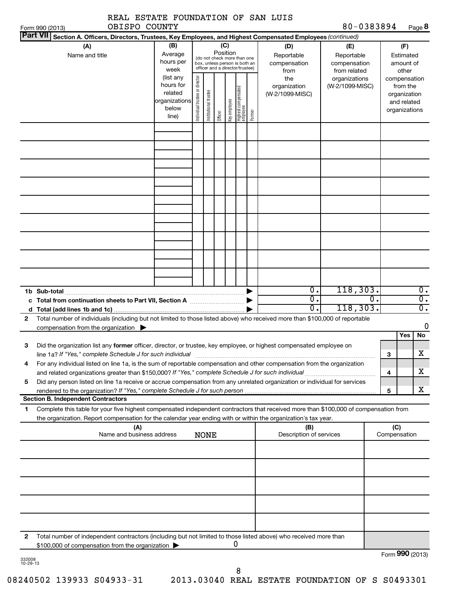|              | OBISPO COUNTY<br>Form 990 (2013)                                                                                                                                                                                                                                                                                                                                                                                                                  | EDIAIB POUNDAIION                                                                                           |                                |                       |         |                                 |                                                                                                                                        |        |                                                                                     | 80-0383894                                                                            |                     |                                                                                                                    | Page 8                                                |
|--------------|---------------------------------------------------------------------------------------------------------------------------------------------------------------------------------------------------------------------------------------------------------------------------------------------------------------------------------------------------------------------------------------------------------------------------------------------------|-------------------------------------------------------------------------------------------------------------|--------------------------------|-----------------------|---------|---------------------------------|----------------------------------------------------------------------------------------------------------------------------------------|--------|-------------------------------------------------------------------------------------|---------------------------------------------------------------------------------------|---------------------|--------------------------------------------------------------------------------------------------------------------|-------------------------------------------------------|
|              | <b>Part VII</b><br>Section A. Officers, Directors, Trustees, Key Employees, and Highest Compensated Employees (continued)                                                                                                                                                                                                                                                                                                                         |                                                                                                             |                                |                       |         |                                 |                                                                                                                                        |        |                                                                                     |                                                                                       |                     |                                                                                                                    |                                                       |
|              | (A)<br>Name and title                                                                                                                                                                                                                                                                                                                                                                                                                             | (B)<br>Average<br>hours per<br>week<br>(list any<br>hours for<br>related<br>organizations<br>below<br>line) | Individual trustee or director | Institutional trustee | Officer | (C)<br>Position<br>Key employee | (do not check more than one<br>box, unless person is both an<br>officer and a director/trustee)<br>  Highest compensated<br>  employee | Former | (D)<br>Reportable<br>compensation<br>from<br>the<br>organization<br>(W-2/1099-MISC) | (E)<br>Reportable<br>compensation<br>from related<br>organizations<br>(W-2/1099-MISC) |                     | (F)<br>Estimated<br>amount of<br>other<br>compensation<br>from the<br>organization<br>and related<br>organizations |                                                       |
|              |                                                                                                                                                                                                                                                                                                                                                                                                                                                   |                                                                                                             |                                |                       |         |                                 |                                                                                                                                        |        |                                                                                     |                                                                                       |                     |                                                                                                                    |                                                       |
|              |                                                                                                                                                                                                                                                                                                                                                                                                                                                   |                                                                                                             |                                |                       |         |                                 |                                                                                                                                        |        |                                                                                     |                                                                                       |                     |                                                                                                                    |                                                       |
|              |                                                                                                                                                                                                                                                                                                                                                                                                                                                   |                                                                                                             |                                |                       |         |                                 |                                                                                                                                        |        |                                                                                     |                                                                                       |                     |                                                                                                                    |                                                       |
| d            | 1b Sub-total                                                                                                                                                                                                                                                                                                                                                                                                                                      |                                                                                                             |                                |                       |         |                                 |                                                                                                                                        |        | О.<br>0.<br>σ.                                                                      | 118, 303.<br>О.<br>118,303.                                                           |                     |                                                                                                                    | $\overline{0}$ .<br>$\overline{\mathfrak{o}}$ .<br>σ. |
| $\mathbf{2}$ | Total number of individuals (including but not limited to those listed above) who received more than \$100,000 of reportable<br>compensation from the organization $\qquad \qquad$                                                                                                                                                                                                                                                                |                                                                                                             |                                |                       |         |                                 |                                                                                                                                        |        |                                                                                     |                                                                                       |                     |                                                                                                                    | 0                                                     |
| З            | Did the organization list any former officer, director, or trustee, key employee, or highest compensated employee on<br>line 1a? If "Yes," complete Schedule J for such individual                                                                                                                                                                                                                                                                |                                                                                                             |                                |                       |         |                                 |                                                                                                                                        |        |                                                                                     |                                                                                       | 3                   | Yes                                                                                                                | No<br>х                                               |
| 5            | For any individual listed on line 1a, is the sum of reportable compensation and other compensation from the organization<br>4<br>and related organizations greater than \$150,000? If "Yes," complete Schedule J for such individual<br>Did any person listed on line 1a receive or accrue compensation from any unrelated organization or individual for services<br>rendered to the organization? If "Yes," complete Schedule J for such person |                                                                                                             |                                |                       |         |                                 |                                                                                                                                        |        | 4<br>5                                                                              |                                                                                       | x<br>x.             |                                                                                                                    |                                                       |
|              | <b>Section B. Independent Contractors</b>                                                                                                                                                                                                                                                                                                                                                                                                         |                                                                                                             |                                |                       |         |                                 |                                                                                                                                        |        |                                                                                     |                                                                                       |                     |                                                                                                                    |                                                       |
| 1            | Complete this table for your five highest compensated independent contractors that received more than \$100,000 of compensation from<br>the organization. Report compensation for the calendar year ending with or within the organization's tax year.                                                                                                                                                                                            |                                                                                                             |                                |                       |         |                                 |                                                                                                                                        |        |                                                                                     |                                                                                       |                     |                                                                                                                    |                                                       |
|              | (A)<br>Name and business address                                                                                                                                                                                                                                                                                                                                                                                                                  |                                                                                                             |                                | <b>NONE</b>           |         |                                 |                                                                                                                                        |        | (B)<br>Description of services                                                      |                                                                                       | (C)<br>Compensation |                                                                                                                    |                                                       |
|              |                                                                                                                                                                                                                                                                                                                                                                                                                                                   |                                                                                                             |                                |                       |         |                                 |                                                                                                                                        |        |                                                                                     |                                                                                       |                     |                                                                                                                    |                                                       |
|              |                                                                                                                                                                                                                                                                                                                                                                                                                                                   |                                                                                                             |                                |                       |         |                                 |                                                                                                                                        |        |                                                                                     |                                                                                       |                     |                                                                                                                    |                                                       |

**2** Total number of independent contractors (including but not limited to those listed above) who received more than \$100,000 of compensation from the organization 0

Form (2013) **990**

332008 10-29-13

8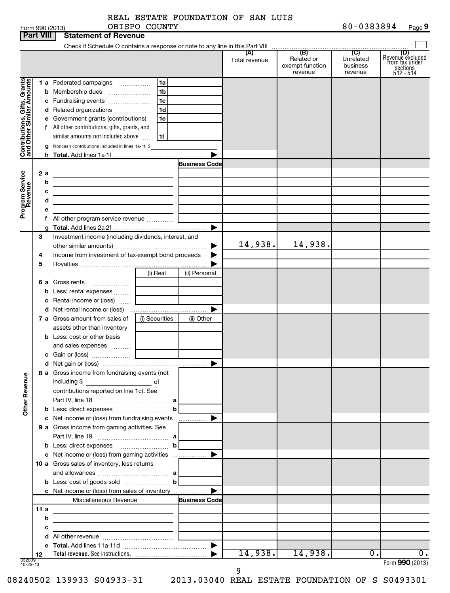|  | Form 990 (2013) |  |
|--|-----------------|--|

| Form 990 (2013) | OBISPO | 0383894 | o      |
|-----------------|--------|---------|--------|
|                 | COUNTY | 80-     | Page 5 |

|                                                           |     |   |                                                                                                                                                                                               |                |                      | Total revenue | Related or<br>exempt function<br>revenue | Unrelated<br>business<br>revenue | (D)<br>Revenue excluded<br>from tax under<br>sections<br>$512 - 514$ |
|-----------------------------------------------------------|-----|---|-----------------------------------------------------------------------------------------------------------------------------------------------------------------------------------------------|----------------|----------------------|---------------|------------------------------------------|----------------------------------|----------------------------------------------------------------------|
|                                                           |     |   | 1 a Federated campaigns                                                                                                                                                                       | 1a             |                      |               |                                          |                                  |                                                                      |
| Contributions, Gifts, Grants<br>and Other Similar Amounts |     |   |                                                                                                                                                                                               | l 1b           |                      |               |                                          |                                  |                                                                      |
|                                                           |     |   |                                                                                                                                                                                               | 1 <sub>c</sub> |                      |               |                                          |                                  |                                                                      |
|                                                           |     |   | d Related organizations                                                                                                                                                                       | 1 <sub>d</sub> |                      |               |                                          |                                  |                                                                      |
|                                                           |     |   | e Government grants (contributions)                                                                                                                                                           | 1e             |                      |               |                                          |                                  |                                                                      |
|                                                           |     |   | f All other contributions, gifts, grants, and                                                                                                                                                 |                |                      |               |                                          |                                  |                                                                      |
|                                                           |     |   | similar amounts not included above                                                                                                                                                            | 1f             |                      |               |                                          |                                  |                                                                      |
|                                                           |     |   | Noncash contributions included in lines 1a-1f: \$                                                                                                                                             |                |                      |               |                                          |                                  |                                                                      |
|                                                           |     |   |                                                                                                                                                                                               |                |                      |               |                                          |                                  |                                                                      |
|                                                           |     |   |                                                                                                                                                                                               |                | <b>Business Code</b> |               |                                          |                                  |                                                                      |
|                                                           | 2 а | b | <u> 1989 - Johann Barn, mars ann an t-Amhain Aonaich ann an t-Aonaich ann an t-Aonaich ann an t-Aonaich ann an t-</u>                                                                         |                |                      |               |                                          |                                  |                                                                      |
|                                                           |     | с | the contract of the contract of the contract of the contract of the contract of                                                                                                               |                |                      |               |                                          |                                  |                                                                      |
|                                                           |     | d | <u> 1989 - Johann Barn, mars ann an t-Amhain ann an t-Amhain an t-Amhain an t-Amhain an t-Amhain an t-Amhain an t-</u><br><u> 1989 - Johann Stein, mars an deus Amerikaansk kommunister (</u> |                |                      |               |                                          |                                  |                                                                      |
| Program Service<br>Revenue                                |     | е |                                                                                                                                                                                               |                |                      |               |                                          |                                  |                                                                      |
|                                                           |     |   |                                                                                                                                                                                               |                |                      |               |                                          |                                  |                                                                      |
|                                                           |     |   |                                                                                                                                                                                               |                | ▶                    |               |                                          |                                  |                                                                      |
|                                                           | 3   |   | Investment income (including dividends, interest, and                                                                                                                                         |                |                      |               |                                          |                                  |                                                                      |
|                                                           |     |   |                                                                                                                                                                                               |                | ▶                    | 14,938.       | 14,938.                                  |                                  |                                                                      |
|                                                           | 4   |   | Income from investment of tax-exempt bond proceeds                                                                                                                                            |                |                      |               |                                          |                                  |                                                                      |
|                                                           | 5   |   |                                                                                                                                                                                               |                |                      |               |                                          |                                  |                                                                      |
|                                                           |     |   |                                                                                                                                                                                               | (i) Real       | (ii) Personal        |               |                                          |                                  |                                                                      |
|                                                           |     |   | <b>6 a</b> Gross rents                                                                                                                                                                        |                |                      |               |                                          |                                  |                                                                      |
|                                                           |     |   |                                                                                                                                                                                               |                |                      |               |                                          |                                  |                                                                      |
|                                                           |     |   | <b>c</b> Rental income or (loss) $\ldots$                                                                                                                                                     |                | ▶                    |               |                                          |                                  |                                                                      |
|                                                           |     |   | <b>7 a</b> Gross amount from sales of                                                                                                                                                         | (i) Securities | (ii) Other           |               |                                          |                                  |                                                                      |
|                                                           |     |   | assets other than inventory                                                                                                                                                                   |                |                      |               |                                          |                                  |                                                                      |
|                                                           |     |   | <b>b</b> Less: cost or other basis                                                                                                                                                            |                |                      |               |                                          |                                  |                                                                      |
|                                                           |     |   | and sales expenses                                                                                                                                                                            |                |                      |               |                                          |                                  |                                                                      |
|                                                           |     |   |                                                                                                                                                                                               |                |                      |               |                                          |                                  |                                                                      |
|                                                           |     |   |                                                                                                                                                                                               |                |                      |               |                                          |                                  |                                                                      |
|                                                           |     |   | 8 a Gross income from fundraising events (not                                                                                                                                                 |                |                      |               |                                          |                                  |                                                                      |
|                                                           |     |   | including \$<br>and the contract of the contract of                                                                                                                                           |                |                      |               |                                          |                                  |                                                                      |
| <b>Other Revenue</b>                                      |     |   | contributions reported on line 1c). See                                                                                                                                                       |                |                      |               |                                          |                                  |                                                                      |
|                                                           |     |   |                                                                                                                                                                                               |                |                      |               |                                          |                                  |                                                                      |
|                                                           |     |   |                                                                                                                                                                                               |                | b<br>▶               |               |                                          |                                  |                                                                      |
|                                                           |     |   | c Net income or (loss) from fundraising events<br>9 a Gross income from gaming activities. See                                                                                                |                | .                    |               |                                          |                                  |                                                                      |
|                                                           |     |   |                                                                                                                                                                                               |                |                      |               |                                          |                                  |                                                                      |
|                                                           |     |   |                                                                                                                                                                                               |                |                      |               |                                          |                                  |                                                                      |
|                                                           |     |   |                                                                                                                                                                                               |                |                      |               |                                          |                                  |                                                                      |
|                                                           |     |   | 10 a Gross sales of inventory, less returns                                                                                                                                                   |                |                      |               |                                          |                                  |                                                                      |
|                                                           |     |   |                                                                                                                                                                                               |                |                      |               |                                          |                                  |                                                                      |
|                                                           |     |   | <b>b</b> Less: cost of goods sold $\ldots$ <b>b</b>                                                                                                                                           |                |                      |               |                                          |                                  |                                                                      |
|                                                           |     |   | c Net income or (loss) from sales of inventory                                                                                                                                                |                |                      |               |                                          |                                  |                                                                      |
|                                                           |     |   | Miscellaneous Revenue                                                                                                                                                                         |                | <b>Business Code</b> |               |                                          |                                  |                                                                      |
|                                                           | 11a |   | the control of the control of the control of the control of the control of the control of                                                                                                     |                |                      |               |                                          |                                  |                                                                      |
|                                                           |     | b | the control of the control of the control of the control of the control of                                                                                                                    |                |                      |               |                                          |                                  |                                                                      |
|                                                           |     | с | <u> 1989 - Johann Barbara, martin a</u>                                                                                                                                                       |                |                      |               |                                          |                                  |                                                                      |
|                                                           |     | d |                                                                                                                                                                                               |                |                      |               |                                          |                                  |                                                                      |
|                                                           | 12  |   |                                                                                                                                                                                               |                |                      | 14,938.       | 14,938.                                  | Ο.                               | $\overline{0}$ .                                                     |
| 332009<br>10-29-13                                        |     |   |                                                                                                                                                                                               |                |                      |               |                                          |                                  | Form 990 (2013)                                                      |

08240502 139933 S04933-31 2013.03040 REAL ESTATE FOUNDATION OF S S0493301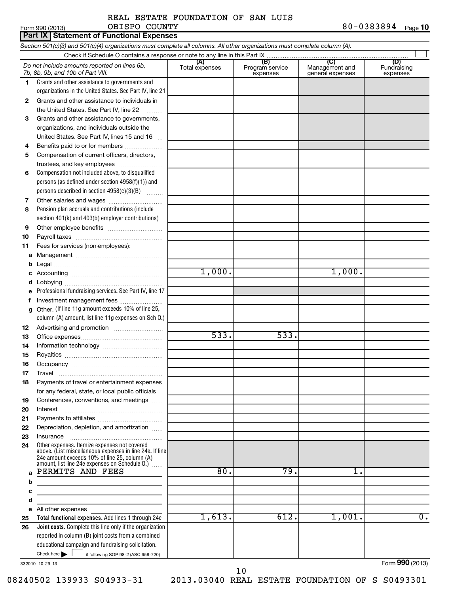### REAL ESTATE FOUNDATION OF SAN LUIS OBISPO COUNTY

Form 990 (2013) **OBISPO** COUNTY 8 0-0 3 8 3 8 9 4 <sub>Page</sub> **10** 

|          | Part IX   Statement of Functional Expenses                                                                                                                |                       |                                    |                                           |                                |  |  |  |  |  |
|----------|-----------------------------------------------------------------------------------------------------------------------------------------------------------|-----------------------|------------------------------------|-------------------------------------------|--------------------------------|--|--|--|--|--|
|          | Section 501(c)(3) and 501(c)(4) organizations must complete all columns. All other organizations must complete column (A).                                |                       |                                    |                                           |                                |  |  |  |  |  |
|          |                                                                                                                                                           |                       |                                    |                                           |                                |  |  |  |  |  |
|          | Do not include amounts reported on lines 6b,<br>7b, 8b, 9b, and 10b of Part VIII.                                                                         | (A)<br>Total expenses | (B)<br>Program service<br>expenses | (C)<br>Management and<br>general expenses | (D)<br>Fundraising<br>expenses |  |  |  |  |  |
| 1.       | Grants and other assistance to governments and                                                                                                            |                       |                                    |                                           |                                |  |  |  |  |  |
|          | organizations in the United States. See Part IV, line 21                                                                                                  |                       |                                    |                                           |                                |  |  |  |  |  |
| 2        | Grants and other assistance to individuals in                                                                                                             |                       |                                    |                                           |                                |  |  |  |  |  |
|          | the United States. See Part IV, line 22                                                                                                                   |                       |                                    |                                           |                                |  |  |  |  |  |
| З        | Grants and other assistance to governments,                                                                                                               |                       |                                    |                                           |                                |  |  |  |  |  |
|          | organizations, and individuals outside the                                                                                                                |                       |                                    |                                           |                                |  |  |  |  |  |
|          | United States. See Part IV, lines 15 and 16                                                                                                               |                       |                                    |                                           |                                |  |  |  |  |  |
| 4        | Benefits paid to or for members                                                                                                                           |                       |                                    |                                           |                                |  |  |  |  |  |
| 5        | Compensation of current officers, directors,                                                                                                              |                       |                                    |                                           |                                |  |  |  |  |  |
|          | trustees, and key employees<br>Compensation not included above, to disqualified                                                                           |                       |                                    |                                           |                                |  |  |  |  |  |
| 6        | persons (as defined under section 4958(f)(1)) and                                                                                                         |                       |                                    |                                           |                                |  |  |  |  |  |
|          | persons described in section 4958(c)(3)(B)                                                                                                                |                       |                                    |                                           |                                |  |  |  |  |  |
| 7        |                                                                                                                                                           |                       |                                    |                                           |                                |  |  |  |  |  |
| 8        | Pension plan accruals and contributions (include                                                                                                          |                       |                                    |                                           |                                |  |  |  |  |  |
|          | section 401(k) and 403(b) employer contributions)                                                                                                         |                       |                                    |                                           |                                |  |  |  |  |  |
| 9        |                                                                                                                                                           |                       |                                    |                                           |                                |  |  |  |  |  |
| 10       |                                                                                                                                                           |                       |                                    |                                           |                                |  |  |  |  |  |
| 11       | Fees for services (non-employees):                                                                                                                        |                       |                                    |                                           |                                |  |  |  |  |  |
| a        |                                                                                                                                                           |                       |                                    |                                           |                                |  |  |  |  |  |
| b        |                                                                                                                                                           |                       |                                    |                                           |                                |  |  |  |  |  |
| с        |                                                                                                                                                           | 1,000.                |                                    | 1,000.                                    |                                |  |  |  |  |  |
| d        |                                                                                                                                                           |                       |                                    |                                           |                                |  |  |  |  |  |
|          | Professional fundraising services. See Part IV, line 17                                                                                                   |                       |                                    |                                           |                                |  |  |  |  |  |
|          | Investment management fees                                                                                                                                |                       |                                    |                                           |                                |  |  |  |  |  |
| g        | Other. (If line 11g amount exceeds 10% of line 25,                                                                                                        |                       |                                    |                                           |                                |  |  |  |  |  |
|          | column (A) amount, list line 11g expenses on Sch 0.)                                                                                                      |                       |                                    |                                           |                                |  |  |  |  |  |
| 12       |                                                                                                                                                           |                       |                                    |                                           |                                |  |  |  |  |  |
| 13       |                                                                                                                                                           | 533.                  | 533.                               |                                           |                                |  |  |  |  |  |
| 14       |                                                                                                                                                           |                       |                                    |                                           |                                |  |  |  |  |  |
| 15       |                                                                                                                                                           |                       |                                    |                                           |                                |  |  |  |  |  |
| 16       |                                                                                                                                                           |                       |                                    |                                           |                                |  |  |  |  |  |
| 17<br>18 | Payments of travel or entertainment expenses                                                                                                              |                       |                                    |                                           |                                |  |  |  |  |  |
|          | for any federal, state, or local public officials                                                                                                         |                       |                                    |                                           |                                |  |  |  |  |  |
| 19       | Conferences, conventions, and meetings                                                                                                                    |                       |                                    |                                           |                                |  |  |  |  |  |
| 20       | Interest                                                                                                                                                  |                       |                                    |                                           |                                |  |  |  |  |  |
| 21       |                                                                                                                                                           |                       |                                    |                                           |                                |  |  |  |  |  |
| 22       | Depreciation, depletion, and amortization                                                                                                                 |                       |                                    |                                           |                                |  |  |  |  |  |
| 23       | Insurance                                                                                                                                                 |                       |                                    |                                           |                                |  |  |  |  |  |
| 24       | Other expenses. Itemize expenses not covered<br>above. (List miscellaneous expenses in line 24e. If line<br>24e amount exceeds 10% of line 25, column (A) |                       |                                    |                                           |                                |  |  |  |  |  |
| a        | amount, list line 24e expenses on Schedule O.) [<br>PERMITS AND FEES                                                                                      | 80.                   | 79.                                | ı.                                        |                                |  |  |  |  |  |
| b        | the control of the control of the control of the control of the control of                                                                                |                       |                                    |                                           |                                |  |  |  |  |  |
| c        |                                                                                                                                                           |                       |                                    |                                           |                                |  |  |  |  |  |
| d        |                                                                                                                                                           |                       |                                    |                                           |                                |  |  |  |  |  |
| е        | All other expenses                                                                                                                                        |                       |                                    |                                           |                                |  |  |  |  |  |
| 25       | Total functional expenses. Add lines 1 through 24e                                                                                                        | 1,613.                | 612.                               | 1,001.                                    | $\overline{0}$ .               |  |  |  |  |  |
| 26       | Joint costs. Complete this line only if the organization                                                                                                  |                       |                                    |                                           |                                |  |  |  |  |  |
|          | reported in column (B) joint costs from a combined                                                                                                        |                       |                                    |                                           |                                |  |  |  |  |  |
|          | educational campaign and fundraising solicitation.                                                                                                        |                       |                                    |                                           |                                |  |  |  |  |  |
|          | Check here $\blacktriangleright$<br>if following SOP 98-2 (ASC 958-720)                                                                                   |                       |                                    |                                           |                                |  |  |  |  |  |

Form **990** (2013)

10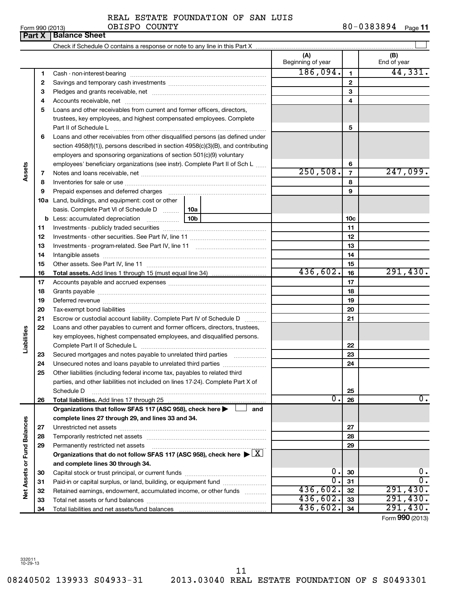| <b>Part X   Balance Sheet</b> |                                    |            |         |
|-------------------------------|------------------------------------|------------|---------|
| Form 990 (2013)               | OBISPO COUNTY                      | 80-0383894 | Page 11 |
|                               | REAL ESTATE FOUNDATION OF SAN LUIS |            |         |

| (A)<br>(B)<br>Beginning of year<br>End of year<br>186,094.<br>44,331.<br>$\mathbf{1}$<br>1<br>$\overline{2}$<br>2<br>3<br>з<br>4<br>4<br>Loans and other receivables from current and former officers, directors,<br>5<br>trustees, key employees, and highest compensated employees. Complete<br>5<br>Loans and other receivables from other disqualified persons (as defined under<br>6<br>section 4958(f)(1)), persons described in section 4958(c)(3)(B), and contributing<br>employers and sponsoring organizations of section 501(c)(9) voluntary<br>employees' beneficiary organizations (see instr). Complete Part II of Sch L<br>6<br>Assets<br>250,508.<br>247,099.<br>$\overline{7}$<br>7<br>8<br>8<br>9<br>Prepaid expenses and deferred charges [11] [11] prepaid expenses and deferred charges [11] [11] minimum and the Prepaid expenses and deferred charges [11] minimum and the Prepaid expenses and the Prepaid experiment of Prep<br>9<br><b>10a</b> Land, buildings, and equipment: cost or other<br>basis. Complete Part VI of Schedule D  10a<br>10 <sub>b</sub><br><b>b</b> Less: accumulated depreciation<br>10 <sub>c</sub><br>11<br>11<br>12<br>12<br>13<br>13<br>14<br>14<br>15<br>15<br>436,602.<br>291,430.<br>16<br>16<br>17<br>17<br>18<br>18<br>19<br>19<br>20<br>20<br>21<br>Escrow or custodial account liability. Complete Part IV of Schedule D<br>21<br>Loans and other payables to current and former officers, directors, trustees,<br>22<br>Liabilities<br>key employees, highest compensated employees, and disqualified persons.<br>22<br>23<br>Secured mortgages and notes payable to unrelated third parties<br>23<br>24<br>24<br>Unsecured notes and loans payable to unrelated third parties<br>25<br>Other liabilities (including federal income tax, payables to related third<br>parties, and other liabilities not included on lines 17-24). Complete Part X of<br>25<br>Schedule D<br>$\overline{0}$ .<br>0.<br>26<br>26<br>Organizations that follow SFAS 117 (ASC 958), check here<br>and<br>Net Assets or Fund Balances<br>complete lines 27 through 29, and lines 33 and 34.<br>27<br>27<br>28<br>28<br>Permanently restricted net assets<br>29<br>29<br>Organizations that do not follow SFAS 117 (ASC 958), check here $\blacktriangleright \lfloor \underline{X} \rfloor$<br>and complete lines 30 through 34. |  |    |    |    |    |
|---------------------------------------------------------------------------------------------------------------------------------------------------------------------------------------------------------------------------------------------------------------------------------------------------------------------------------------------------------------------------------------------------------------------------------------------------------------------------------------------------------------------------------------------------------------------------------------------------------------------------------------------------------------------------------------------------------------------------------------------------------------------------------------------------------------------------------------------------------------------------------------------------------------------------------------------------------------------------------------------------------------------------------------------------------------------------------------------------------------------------------------------------------------------------------------------------------------------------------------------------------------------------------------------------------------------------------------------------------------------------------------------------------------------------------------------------------------------------------------------------------------------------------------------------------------------------------------------------------------------------------------------------------------------------------------------------------------------------------------------------------------------------------------------------------------------------------------------------------------------------------------------------------------------------------------------------------------------------------------------------------------------------------------------------------------------------------------------------------------------------------------------------------------------------------------------------------------------------------------------------------------------------------------------------------------------------------------------------------------------------|--|----|----|----|----|
|                                                                                                                                                                                                                                                                                                                                                                                                                                                                                                                                                                                                                                                                                                                                                                                                                                                                                                                                                                                                                                                                                                                                                                                                                                                                                                                                                                                                                                                                                                                                                                                                                                                                                                                                                                                                                                                                                                                                                                                                                                                                                                                                                                                                                                                                                                                                                                           |  |    |    |    |    |
|                                                                                                                                                                                                                                                                                                                                                                                                                                                                                                                                                                                                                                                                                                                                                                                                                                                                                                                                                                                                                                                                                                                                                                                                                                                                                                                                                                                                                                                                                                                                                                                                                                                                                                                                                                                                                                                                                                                                                                                                                                                                                                                                                                                                                                                                                                                                                                           |  |    |    |    |    |
|                                                                                                                                                                                                                                                                                                                                                                                                                                                                                                                                                                                                                                                                                                                                                                                                                                                                                                                                                                                                                                                                                                                                                                                                                                                                                                                                                                                                                                                                                                                                                                                                                                                                                                                                                                                                                                                                                                                                                                                                                                                                                                                                                                                                                                                                                                                                                                           |  |    |    |    |    |
|                                                                                                                                                                                                                                                                                                                                                                                                                                                                                                                                                                                                                                                                                                                                                                                                                                                                                                                                                                                                                                                                                                                                                                                                                                                                                                                                                                                                                                                                                                                                                                                                                                                                                                                                                                                                                                                                                                                                                                                                                                                                                                                                                                                                                                                                                                                                                                           |  |    |    |    |    |
|                                                                                                                                                                                                                                                                                                                                                                                                                                                                                                                                                                                                                                                                                                                                                                                                                                                                                                                                                                                                                                                                                                                                                                                                                                                                                                                                                                                                                                                                                                                                                                                                                                                                                                                                                                                                                                                                                                                                                                                                                                                                                                                                                                                                                                                                                                                                                                           |  |    |    |    |    |
|                                                                                                                                                                                                                                                                                                                                                                                                                                                                                                                                                                                                                                                                                                                                                                                                                                                                                                                                                                                                                                                                                                                                                                                                                                                                                                                                                                                                                                                                                                                                                                                                                                                                                                                                                                                                                                                                                                                                                                                                                                                                                                                                                                                                                                                                                                                                                                           |  |    |    |    |    |
|                                                                                                                                                                                                                                                                                                                                                                                                                                                                                                                                                                                                                                                                                                                                                                                                                                                                                                                                                                                                                                                                                                                                                                                                                                                                                                                                                                                                                                                                                                                                                                                                                                                                                                                                                                                                                                                                                                                                                                                                                                                                                                                                                                                                                                                                                                                                                                           |  |    |    |    |    |
|                                                                                                                                                                                                                                                                                                                                                                                                                                                                                                                                                                                                                                                                                                                                                                                                                                                                                                                                                                                                                                                                                                                                                                                                                                                                                                                                                                                                                                                                                                                                                                                                                                                                                                                                                                                                                                                                                                                                                                                                                                                                                                                                                                                                                                                                                                                                                                           |  |    |    |    |    |
|                                                                                                                                                                                                                                                                                                                                                                                                                                                                                                                                                                                                                                                                                                                                                                                                                                                                                                                                                                                                                                                                                                                                                                                                                                                                                                                                                                                                                                                                                                                                                                                                                                                                                                                                                                                                                                                                                                                                                                                                                                                                                                                                                                                                                                                                                                                                                                           |  |    |    |    |    |
|                                                                                                                                                                                                                                                                                                                                                                                                                                                                                                                                                                                                                                                                                                                                                                                                                                                                                                                                                                                                                                                                                                                                                                                                                                                                                                                                                                                                                                                                                                                                                                                                                                                                                                                                                                                                                                                                                                                                                                                                                                                                                                                                                                                                                                                                                                                                                                           |  |    |    |    |    |
|                                                                                                                                                                                                                                                                                                                                                                                                                                                                                                                                                                                                                                                                                                                                                                                                                                                                                                                                                                                                                                                                                                                                                                                                                                                                                                                                                                                                                                                                                                                                                                                                                                                                                                                                                                                                                                                                                                                                                                                                                                                                                                                                                                                                                                                                                                                                                                           |  |    |    |    |    |
|                                                                                                                                                                                                                                                                                                                                                                                                                                                                                                                                                                                                                                                                                                                                                                                                                                                                                                                                                                                                                                                                                                                                                                                                                                                                                                                                                                                                                                                                                                                                                                                                                                                                                                                                                                                                                                                                                                                                                                                                                                                                                                                                                                                                                                                                                                                                                                           |  |    |    |    |    |
|                                                                                                                                                                                                                                                                                                                                                                                                                                                                                                                                                                                                                                                                                                                                                                                                                                                                                                                                                                                                                                                                                                                                                                                                                                                                                                                                                                                                                                                                                                                                                                                                                                                                                                                                                                                                                                                                                                                                                                                                                                                                                                                                                                                                                                                                                                                                                                           |  |    |    |    |    |
|                                                                                                                                                                                                                                                                                                                                                                                                                                                                                                                                                                                                                                                                                                                                                                                                                                                                                                                                                                                                                                                                                                                                                                                                                                                                                                                                                                                                                                                                                                                                                                                                                                                                                                                                                                                                                                                                                                                                                                                                                                                                                                                                                                                                                                                                                                                                                                           |  |    |    |    |    |
|                                                                                                                                                                                                                                                                                                                                                                                                                                                                                                                                                                                                                                                                                                                                                                                                                                                                                                                                                                                                                                                                                                                                                                                                                                                                                                                                                                                                                                                                                                                                                                                                                                                                                                                                                                                                                                                                                                                                                                                                                                                                                                                                                                                                                                                                                                                                                                           |  |    |    |    |    |
|                                                                                                                                                                                                                                                                                                                                                                                                                                                                                                                                                                                                                                                                                                                                                                                                                                                                                                                                                                                                                                                                                                                                                                                                                                                                                                                                                                                                                                                                                                                                                                                                                                                                                                                                                                                                                                                                                                                                                                                                                                                                                                                                                                                                                                                                                                                                                                           |  |    |    |    |    |
|                                                                                                                                                                                                                                                                                                                                                                                                                                                                                                                                                                                                                                                                                                                                                                                                                                                                                                                                                                                                                                                                                                                                                                                                                                                                                                                                                                                                                                                                                                                                                                                                                                                                                                                                                                                                                                                                                                                                                                                                                                                                                                                                                                                                                                                                                                                                                                           |  |    |    |    |    |
|                                                                                                                                                                                                                                                                                                                                                                                                                                                                                                                                                                                                                                                                                                                                                                                                                                                                                                                                                                                                                                                                                                                                                                                                                                                                                                                                                                                                                                                                                                                                                                                                                                                                                                                                                                                                                                                                                                                                                                                                                                                                                                                                                                                                                                                                                                                                                                           |  |    |    |    |    |
|                                                                                                                                                                                                                                                                                                                                                                                                                                                                                                                                                                                                                                                                                                                                                                                                                                                                                                                                                                                                                                                                                                                                                                                                                                                                                                                                                                                                                                                                                                                                                                                                                                                                                                                                                                                                                                                                                                                                                                                                                                                                                                                                                                                                                                                                                                                                                                           |  |    |    |    |    |
|                                                                                                                                                                                                                                                                                                                                                                                                                                                                                                                                                                                                                                                                                                                                                                                                                                                                                                                                                                                                                                                                                                                                                                                                                                                                                                                                                                                                                                                                                                                                                                                                                                                                                                                                                                                                                                                                                                                                                                                                                                                                                                                                                                                                                                                                                                                                                                           |  |    |    |    |    |
|                                                                                                                                                                                                                                                                                                                                                                                                                                                                                                                                                                                                                                                                                                                                                                                                                                                                                                                                                                                                                                                                                                                                                                                                                                                                                                                                                                                                                                                                                                                                                                                                                                                                                                                                                                                                                                                                                                                                                                                                                                                                                                                                                                                                                                                                                                                                                                           |  |    |    |    |    |
|                                                                                                                                                                                                                                                                                                                                                                                                                                                                                                                                                                                                                                                                                                                                                                                                                                                                                                                                                                                                                                                                                                                                                                                                                                                                                                                                                                                                                                                                                                                                                                                                                                                                                                                                                                                                                                                                                                                                                                                                                                                                                                                                                                                                                                                                                                                                                                           |  |    |    |    |    |
|                                                                                                                                                                                                                                                                                                                                                                                                                                                                                                                                                                                                                                                                                                                                                                                                                                                                                                                                                                                                                                                                                                                                                                                                                                                                                                                                                                                                                                                                                                                                                                                                                                                                                                                                                                                                                                                                                                                                                                                                                                                                                                                                                                                                                                                                                                                                                                           |  |    |    |    |    |
|                                                                                                                                                                                                                                                                                                                                                                                                                                                                                                                                                                                                                                                                                                                                                                                                                                                                                                                                                                                                                                                                                                                                                                                                                                                                                                                                                                                                                                                                                                                                                                                                                                                                                                                                                                                                                                                                                                                                                                                                                                                                                                                                                                                                                                                                                                                                                                           |  |    |    |    |    |
|                                                                                                                                                                                                                                                                                                                                                                                                                                                                                                                                                                                                                                                                                                                                                                                                                                                                                                                                                                                                                                                                                                                                                                                                                                                                                                                                                                                                                                                                                                                                                                                                                                                                                                                                                                                                                                                                                                                                                                                                                                                                                                                                                                                                                                                                                                                                                                           |  |    |    |    |    |
|                                                                                                                                                                                                                                                                                                                                                                                                                                                                                                                                                                                                                                                                                                                                                                                                                                                                                                                                                                                                                                                                                                                                                                                                                                                                                                                                                                                                                                                                                                                                                                                                                                                                                                                                                                                                                                                                                                                                                                                                                                                                                                                                                                                                                                                                                                                                                                           |  |    |    |    |    |
|                                                                                                                                                                                                                                                                                                                                                                                                                                                                                                                                                                                                                                                                                                                                                                                                                                                                                                                                                                                                                                                                                                                                                                                                                                                                                                                                                                                                                                                                                                                                                                                                                                                                                                                                                                                                                                                                                                                                                                                                                                                                                                                                                                                                                                                                                                                                                                           |  |    |    |    |    |
|                                                                                                                                                                                                                                                                                                                                                                                                                                                                                                                                                                                                                                                                                                                                                                                                                                                                                                                                                                                                                                                                                                                                                                                                                                                                                                                                                                                                                                                                                                                                                                                                                                                                                                                                                                                                                                                                                                                                                                                                                                                                                                                                                                                                                                                                                                                                                                           |  |    |    |    |    |
|                                                                                                                                                                                                                                                                                                                                                                                                                                                                                                                                                                                                                                                                                                                                                                                                                                                                                                                                                                                                                                                                                                                                                                                                                                                                                                                                                                                                                                                                                                                                                                                                                                                                                                                                                                                                                                                                                                                                                                                                                                                                                                                                                                                                                                                                                                                                                                           |  |    |    |    |    |
|                                                                                                                                                                                                                                                                                                                                                                                                                                                                                                                                                                                                                                                                                                                                                                                                                                                                                                                                                                                                                                                                                                                                                                                                                                                                                                                                                                                                                                                                                                                                                                                                                                                                                                                                                                                                                                                                                                                                                                                                                                                                                                                                                                                                                                                                                                                                                                           |  |    |    |    |    |
|                                                                                                                                                                                                                                                                                                                                                                                                                                                                                                                                                                                                                                                                                                                                                                                                                                                                                                                                                                                                                                                                                                                                                                                                                                                                                                                                                                                                                                                                                                                                                                                                                                                                                                                                                                                                                                                                                                                                                                                                                                                                                                                                                                                                                                                                                                                                                                           |  |    |    |    |    |
|                                                                                                                                                                                                                                                                                                                                                                                                                                                                                                                                                                                                                                                                                                                                                                                                                                                                                                                                                                                                                                                                                                                                                                                                                                                                                                                                                                                                                                                                                                                                                                                                                                                                                                                                                                                                                                                                                                                                                                                                                                                                                                                                                                                                                                                                                                                                                                           |  |    |    |    |    |
|                                                                                                                                                                                                                                                                                                                                                                                                                                                                                                                                                                                                                                                                                                                                                                                                                                                                                                                                                                                                                                                                                                                                                                                                                                                                                                                                                                                                                                                                                                                                                                                                                                                                                                                                                                                                                                                                                                                                                                                                                                                                                                                                                                                                                                                                                                                                                                           |  |    |    |    |    |
|                                                                                                                                                                                                                                                                                                                                                                                                                                                                                                                                                                                                                                                                                                                                                                                                                                                                                                                                                                                                                                                                                                                                                                                                                                                                                                                                                                                                                                                                                                                                                                                                                                                                                                                                                                                                                                                                                                                                                                                                                                                                                                                                                                                                                                                                                                                                                                           |  |    |    |    |    |
|                                                                                                                                                                                                                                                                                                                                                                                                                                                                                                                                                                                                                                                                                                                                                                                                                                                                                                                                                                                                                                                                                                                                                                                                                                                                                                                                                                                                                                                                                                                                                                                                                                                                                                                                                                                                                                                                                                                                                                                                                                                                                                                                                                                                                                                                                                                                                                           |  |    |    |    |    |
|                                                                                                                                                                                                                                                                                                                                                                                                                                                                                                                                                                                                                                                                                                                                                                                                                                                                                                                                                                                                                                                                                                                                                                                                                                                                                                                                                                                                                                                                                                                                                                                                                                                                                                                                                                                                                                                                                                                                                                                                                                                                                                                                                                                                                                                                                                                                                                           |  |    |    |    |    |
|                                                                                                                                                                                                                                                                                                                                                                                                                                                                                                                                                                                                                                                                                                                                                                                                                                                                                                                                                                                                                                                                                                                                                                                                                                                                                                                                                                                                                                                                                                                                                                                                                                                                                                                                                                                                                                                                                                                                                                                                                                                                                                                                                                                                                                                                                                                                                                           |  |    |    |    |    |
|                                                                                                                                                                                                                                                                                                                                                                                                                                                                                                                                                                                                                                                                                                                                                                                                                                                                                                                                                                                                                                                                                                                                                                                                                                                                                                                                                                                                                                                                                                                                                                                                                                                                                                                                                                                                                                                                                                                                                                                                                                                                                                                                                                                                                                                                                                                                                                           |  |    |    |    |    |
|                                                                                                                                                                                                                                                                                                                                                                                                                                                                                                                                                                                                                                                                                                                                                                                                                                                                                                                                                                                                                                                                                                                                                                                                                                                                                                                                                                                                                                                                                                                                                                                                                                                                                                                                                                                                                                                                                                                                                                                                                                                                                                                                                                                                                                                                                                                                                                           |  |    |    |    |    |
|                                                                                                                                                                                                                                                                                                                                                                                                                                                                                                                                                                                                                                                                                                                                                                                                                                                                                                                                                                                                                                                                                                                                                                                                                                                                                                                                                                                                                                                                                                                                                                                                                                                                                                                                                                                                                                                                                                                                                                                                                                                                                                                                                                                                                                                                                                                                                                           |  |    |    |    |    |
|                                                                                                                                                                                                                                                                                                                                                                                                                                                                                                                                                                                                                                                                                                                                                                                                                                                                                                                                                                                                                                                                                                                                                                                                                                                                                                                                                                                                                                                                                                                                                                                                                                                                                                                                                                                                                                                                                                                                                                                                                                                                                                                                                                                                                                                                                                                                                                           |  |    |    |    |    |
|                                                                                                                                                                                                                                                                                                                                                                                                                                                                                                                                                                                                                                                                                                                                                                                                                                                                                                                                                                                                                                                                                                                                                                                                                                                                                                                                                                                                                                                                                                                                                                                                                                                                                                                                                                                                                                                                                                                                                                                                                                                                                                                                                                                                                                                                                                                                                                           |  |    |    |    |    |
|                                                                                                                                                                                                                                                                                                                                                                                                                                                                                                                                                                                                                                                                                                                                                                                                                                                                                                                                                                                                                                                                                                                                                                                                                                                                                                                                                                                                                                                                                                                                                                                                                                                                                                                                                                                                                                                                                                                                                                                                                                                                                                                                                                                                                                                                                                                                                                           |  |    |    |    |    |
|                                                                                                                                                                                                                                                                                                                                                                                                                                                                                                                                                                                                                                                                                                                                                                                                                                                                                                                                                                                                                                                                                                                                                                                                                                                                                                                                                                                                                                                                                                                                                                                                                                                                                                                                                                                                                                                                                                                                                                                                                                                                                                                                                                                                                                                                                                                                                                           |  |    |    |    |    |
|                                                                                                                                                                                                                                                                                                                                                                                                                                                                                                                                                                                                                                                                                                                                                                                                                                                                                                                                                                                                                                                                                                                                                                                                                                                                                                                                                                                                                                                                                                                                                                                                                                                                                                                                                                                                                                                                                                                                                                                                                                                                                                                                                                                                                                                                                                                                                                           |  |    |    |    |    |
|                                                                                                                                                                                                                                                                                                                                                                                                                                                                                                                                                                                                                                                                                                                                                                                                                                                                                                                                                                                                                                                                                                                                                                                                                                                                                                                                                                                                                                                                                                                                                                                                                                                                                                                                                                                                                                                                                                                                                                                                                                                                                                                                                                                                                                                                                                                                                                           |  | 30 | 0. | 30 | 0. |
| $\overline{\mathfrak{o}}$ .<br>σ.<br>31<br>Paid-in or capital surplus, or land, building, or equipment fund<br>31                                                                                                                                                                                                                                                                                                                                                                                                                                                                                                                                                                                                                                                                                                                                                                                                                                                                                                                                                                                                                                                                                                                                                                                                                                                                                                                                                                                                                                                                                                                                                                                                                                                                                                                                                                                                                                                                                                                                                                                                                                                                                                                                                                                                                                                         |  |    |    |    |    |
| 436,602.<br>291,430.<br>32<br>Retained earnings, endowment, accumulated income, or other funds<br>32                                                                                                                                                                                                                                                                                                                                                                                                                                                                                                                                                                                                                                                                                                                                                                                                                                                                                                                                                                                                                                                                                                                                                                                                                                                                                                                                                                                                                                                                                                                                                                                                                                                                                                                                                                                                                                                                                                                                                                                                                                                                                                                                                                                                                                                                      |  |    |    |    |    |
| 436,602.<br>291,430.<br>33<br>33                                                                                                                                                                                                                                                                                                                                                                                                                                                                                                                                                                                                                                                                                                                                                                                                                                                                                                                                                                                                                                                                                                                                                                                                                                                                                                                                                                                                                                                                                                                                                                                                                                                                                                                                                                                                                                                                                                                                                                                                                                                                                                                                                                                                                                                                                                                                          |  |    |    |    |    |
| 436,602.<br>291,430.<br>34<br>34                                                                                                                                                                                                                                                                                                                                                                                                                                                                                                                                                                                                                                                                                                                                                                                                                                                                                                                                                                                                                                                                                                                                                                                                                                                                                                                                                                                                                                                                                                                                                                                                                                                                                                                                                                                                                                                                                                                                                                                                                                                                                                                                                                                                                                                                                                                                          |  |    |    |    |    |

Form (2013) **990**

08240502 139933 S04933-31 2013.03040 REAL ESTATE FOUNDATION OF S S0493301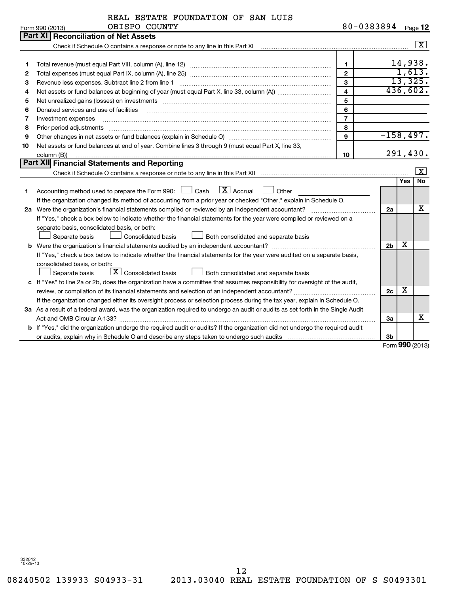Form 990 (2013) **OBISPO** COUNTY 8 0-0 3 8 3 8 9 4 <sub>Page</sub> **12** 

|               | REAL ESTATE FOUNDATION OF SAN LUIS |  |  |
|---------------|------------------------------------|--|--|
| OBISPO COUNTY |                                    |  |  |

|    | Part XI   Reconciliation of Net Assets                                                                                                                                                                                         |                |                     |                   |                    |  |
|----|--------------------------------------------------------------------------------------------------------------------------------------------------------------------------------------------------------------------------------|----------------|---------------------|-------------------|--------------------|--|
|    | Check if Schedule O contains a response or note to any line in this Part XI [11] contains a container contains a response or note to any line in this Part XI [12] contains a container container and the state of the contain |                |                     |                   | $\boxed{\text{X}}$ |  |
|    |                                                                                                                                                                                                                                |                |                     |                   |                    |  |
| 1  |                                                                                                                                                                                                                                | $\mathbf{1}$   |                     |                   | 14,938.            |  |
| 2  |                                                                                                                                                                                                                                | $\overline{2}$ |                     |                   | 1,613.             |  |
| З  | Revenue less expenses. Subtract line 2 from line 1                                                                                                                                                                             | $\mathbf{3}$   | 13,325.<br>436,602. |                   |                    |  |
| 4  | $\overline{\mathbf{4}}$                                                                                                                                                                                                        |                |                     |                   |                    |  |
| 5  |                                                                                                                                                                                                                                | 5              |                     |                   |                    |  |
| 6  | Donated services and use of facilities                                                                                                                                                                                         | 6              |                     |                   |                    |  |
| 7  | Investment expenses                                                                                                                                                                                                            | $\overline{7}$ |                     |                   |                    |  |
| 8  | Prior period adjustments material contents and content and content and content and content and content and content and content and content and content and content and content and content and content and content and content | 8              |                     |                   |                    |  |
| 9  |                                                                                                                                                                                                                                | $\mathbf{Q}$   | $-158, 497.$        |                   |                    |  |
| 10 | Net assets or fund balances at end of year. Combine lines 3 through 9 (must equal Part X, line 33,                                                                                                                             |                |                     |                   |                    |  |
|    | column (B))                                                                                                                                                                                                                    | 10             |                     |                   | 291,430.           |  |
|    | Part XII Financial Statements and Reporting                                                                                                                                                                                    |                |                     |                   |                    |  |
|    | Check if Schedule O contains a response or note to any line in this Part XII musulman contains and contained any official contains a response or note to any line in this Part XII musulman contains and contains a response o |                |                     |                   | $\mathbf{x}$       |  |
|    |                                                                                                                                                                                                                                |                |                     | <b>Yes</b>        | <b>No</b>          |  |
| 1  | $\lfloor \mathbf{X} \rfloor$ Accrual<br>Accounting method used to prepare the Form 990: $\Box$ Cash<br>Other                                                                                                                   |                |                     |                   |                    |  |
|    | If the organization changed its method of accounting from a prior year or checked "Other," explain in Schedule O.                                                                                                              |                |                     |                   |                    |  |
|    | 2a Were the organization's financial statements compiled or reviewed by an independent accountant?                                                                                                                             |                | 2a                  |                   | х                  |  |
|    | If "Yes," check a box below to indicate whether the financial statements for the year were compiled or reviewed on a                                                                                                           |                |                     |                   |                    |  |
|    | separate basis, consolidated basis, or both:                                                                                                                                                                                   |                |                     |                   |                    |  |
|    | Separate basis<br><b>Consolidated basis</b><br>Both consolidated and separate basis                                                                                                                                            |                |                     |                   |                    |  |
|    |                                                                                                                                                                                                                                |                | 2 <sub>b</sub>      | х                 |                    |  |
|    | If "Yes," check a box below to indicate whether the financial statements for the year were audited on a separate basis,                                                                                                        |                |                     |                   |                    |  |
|    | consolidated basis, or both:                                                                                                                                                                                                   |                |                     |                   |                    |  |
|    | $\lfloor x \rfloor$ Consolidated basis<br>Both consolidated and separate basis<br>Separate basis                                                                                                                               |                |                     |                   |                    |  |
|    | c If "Yes" to line 2a or 2b, does the organization have a committee that assumes responsibility for oversight of the audit,                                                                                                    |                |                     |                   |                    |  |
|    |                                                                                                                                                                                                                                |                | 2c                  | x                 |                    |  |
|    | If the organization changed either its oversight process or selection process during the tax year, explain in Schedule O.                                                                                                      |                |                     |                   |                    |  |
|    | 3a As a result of a federal award, was the organization required to undergo an audit or audits as set forth in the Single Audit                                                                                                |                |                     |                   |                    |  |
|    |                                                                                                                                                                                                                                |                | За                  |                   | х                  |  |
|    | b If "Yes," did the organization undergo the required audit or audits? If the organization did not undergo the required audit                                                                                                  |                |                     |                   |                    |  |
|    |                                                                                                                                                                                                                                |                | 3b                  |                   |                    |  |
|    |                                                                                                                                                                                                                                |                |                     | $000 \text{ mas}$ |                    |  |

Form **990** (2013)

12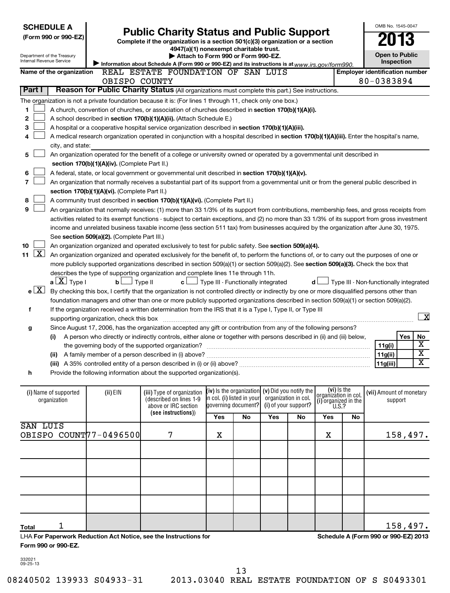| <b>SCHEDULE A</b><br><b>Public Charity Status and Public Support</b><br>(Form 990 or 990-EZ)<br>Complete if the organization is a section 501(c)(3) organization or a section<br>4947(a)(1) nonexempt charitable trust.<br>Department of the Treasury<br>Attach to Form 990 or Form 990-EZ.<br><b>Internal Revenue Service</b><br>Information about Schedule A (Form 990 or 990-EZ) and its instructions is at www.irs.gov/form990. |                          |                                                                                                                                                               |                                                                                                                                               |                                           |                                                   |     |    | OMB No. 1545-0047<br><b>Open to Public</b> | Inspection |                                        |     |                         |
|-------------------------------------------------------------------------------------------------------------------------------------------------------------------------------------------------------------------------------------------------------------------------------------------------------------------------------------------------------------------------------------------------------------------------------------|--------------------------|---------------------------------------------------------------------------------------------------------------------------------------------------------------|-----------------------------------------------------------------------------------------------------------------------------------------------|-------------------------------------------|---------------------------------------------------|-----|----|--------------------------------------------|------------|----------------------------------------|-----|-------------------------|
|                                                                                                                                                                                                                                                                                                                                                                                                                                     | Name of the organization |                                                                                                                                                               | REAL ESTATE FOUNDATION OF SAN LUIS                                                                                                            |                                           |                                                   |     |    |                                            |            | <b>Employer identification number</b>  |     |                         |
|                                                                                                                                                                                                                                                                                                                                                                                                                                     |                          | OBISPO COUNTY                                                                                                                                                 |                                                                                                                                               |                                           |                                                   |     |    |                                            |            | 80-0383894                             |     |                         |
| Part I                                                                                                                                                                                                                                                                                                                                                                                                                              |                          |                                                                                                                                                               | Reason for Public Charity Status (All organizations must complete this part.) See instructions.                                               |                                           |                                                   |     |    |                                            |            |                                        |     |                         |
|                                                                                                                                                                                                                                                                                                                                                                                                                                     |                          |                                                                                                                                                               | The organization is not a private foundation because it is: (For lines 1 through 11, check only one box.)                                     |                                           |                                                   |     |    |                                            |            |                                        |     |                         |
| 1                                                                                                                                                                                                                                                                                                                                                                                                                                   |                          |                                                                                                                                                               | A church, convention of churches, or association of churches described in section 170(b)(1)(A)(i).                                            |                                           |                                                   |     |    |                                            |            |                                        |     |                         |
| 2                                                                                                                                                                                                                                                                                                                                                                                                                                   |                          |                                                                                                                                                               | A school described in section 170(b)(1)(A)(ii). (Attach Schedule E.)                                                                          |                                           |                                                   |     |    |                                            |            |                                        |     |                         |
| 3                                                                                                                                                                                                                                                                                                                                                                                                                                   |                          |                                                                                                                                                               | A hospital or a cooperative hospital service organization described in section 170(b)(1)(A)(iii).                                             |                                           |                                                   |     |    |                                            |            |                                        |     |                         |
| 4                                                                                                                                                                                                                                                                                                                                                                                                                                   |                          |                                                                                                                                                               | A medical research organization operated in conjunction with a hospital described in section 170(b)(1)(A)(iii). Enter the hospital's name,    |                                           |                                                   |     |    |                                            |            |                                        |     |                         |
|                                                                                                                                                                                                                                                                                                                                                                                                                                     | city, and state:         |                                                                                                                                                               |                                                                                                                                               |                                           |                                                   |     |    |                                            |            |                                        |     |                         |
| 5                                                                                                                                                                                                                                                                                                                                                                                                                                   |                          |                                                                                                                                                               | An organization operated for the benefit of a college or university owned or operated by a governmental unit described in                     |                                           |                                                   |     |    |                                            |            |                                        |     |                         |
|                                                                                                                                                                                                                                                                                                                                                                                                                                     |                          | section 170(b)(1)(A)(iv). (Complete Part II.)                                                                                                                 |                                                                                                                                               |                                           |                                                   |     |    |                                            |            |                                        |     |                         |
| 6                                                                                                                                                                                                                                                                                                                                                                                                                                   |                          |                                                                                                                                                               | A federal, state, or local government or governmental unit described in section 170(b)(1)(A)(v).                                              |                                           |                                                   |     |    |                                            |            |                                        |     |                         |
| 7                                                                                                                                                                                                                                                                                                                                                                                                                                   |                          |                                                                                                                                                               | An organization that normally receives a substantial part of its support from a governmental unit or from the general public described in     |                                           |                                                   |     |    |                                            |            |                                        |     |                         |
|                                                                                                                                                                                                                                                                                                                                                                                                                                     |                          | section 170(b)(1)(A)(vi). (Complete Part II.)                                                                                                                 |                                                                                                                                               |                                           |                                                   |     |    |                                            |            |                                        |     |                         |
| 8                                                                                                                                                                                                                                                                                                                                                                                                                                   |                          |                                                                                                                                                               | A community trust described in section 170(b)(1)(A)(vi). (Complete Part II.)                                                                  |                                           |                                                   |     |    |                                            |            |                                        |     |                         |
| 9                                                                                                                                                                                                                                                                                                                                                                                                                                   |                          |                                                                                                                                                               | An organization that normally receives: (1) more than 33 1/3% of its support from contributions, membership fees, and gross receipts from     |                                           |                                                   |     |    |                                            |            |                                        |     |                         |
|                                                                                                                                                                                                                                                                                                                                                                                                                                     |                          |                                                                                                                                                               | activities related to its exempt functions - subject to certain exceptions, and (2) no more than 33 1/3% of its support from gross investment |                                           |                                                   |     |    |                                            |            |                                        |     |                         |
|                                                                                                                                                                                                                                                                                                                                                                                                                                     |                          |                                                                                                                                                               | income and unrelated business taxable income (less section 511 tax) from businesses acquired by the organization after June 30, 1975.         |                                           |                                                   |     |    |                                            |            |                                        |     |                         |
|                                                                                                                                                                                                                                                                                                                                                                                                                                     |                          | See section 509(a)(2). (Complete Part III.)                                                                                                                   |                                                                                                                                               |                                           |                                                   |     |    |                                            |            |                                        |     |                         |
| 10                                                                                                                                                                                                                                                                                                                                                                                                                                  |                          |                                                                                                                                                               | An organization organized and operated exclusively to test for public safety. See section 509(a)(4).                                          |                                           |                                                   |     |    |                                            |            |                                        |     |                         |
| $\mathbf{X}$<br>11                                                                                                                                                                                                                                                                                                                                                                                                                  |                          |                                                                                                                                                               | An organization organized and operated exclusively for the benefit of, to perform the functions of, or to carry out the purposes of one or    |                                           |                                                   |     |    |                                            |            |                                        |     |                         |
|                                                                                                                                                                                                                                                                                                                                                                                                                                     |                          |                                                                                                                                                               | more publicly supported organizations described in section 509(a)(1) or section 509(a)(2). See section 509(a)(3). Check the box that          |                                           |                                                   |     |    |                                            |            |                                        |     |                         |
|                                                                                                                                                                                                                                                                                                                                                                                                                                     |                          |                                                                                                                                                               | describes the type of supporting organization and complete lines 11e through 11h.                                                             |                                           |                                                   |     |    |                                            |            |                                        |     |                         |
|                                                                                                                                                                                                                                                                                                                                                                                                                                     | $a \perp X$ Type I       | b                                                                                                                                                             | Type II<br>c L                                                                                                                                | $\Box$ Type III - Functionally integrated |                                                   |     |    | d l                                        |            | Type III - Non-functionally integrated |     |                         |
| e[X]                                                                                                                                                                                                                                                                                                                                                                                                                                |                          |                                                                                                                                                               | By checking this box, I certify that the organization is not controlled directly or indirectly by one or more disqualified persons other than |                                           |                                                   |     |    |                                            |            |                                        |     |                         |
|                                                                                                                                                                                                                                                                                                                                                                                                                                     |                          |                                                                                                                                                               | foundation managers and other than one or more publicly supported organizations described in section 509(a)(1) or section 509(a)(2).          |                                           |                                                   |     |    |                                            |            |                                        |     |                         |
| f                                                                                                                                                                                                                                                                                                                                                                                                                                   |                          |                                                                                                                                                               | If the organization received a written determination from the IRS that it is a Type I, Type II, or Type III                                   |                                           |                                                   |     |    |                                            |            |                                        |     |                         |
|                                                                                                                                                                                                                                                                                                                                                                                                                                     |                          | supporting organization, check this box                                                                                                                       |                                                                                                                                               |                                           |                                                   |     |    |                                            |            |                                        |     | $\overline{\textbf{x}}$ |
| g                                                                                                                                                                                                                                                                                                                                                                                                                                   |                          |                                                                                                                                                               | Since August 17, 2006, has the organization accepted any gift or contribution from any of the following persons?                              |                                           |                                                   |     |    |                                            |            |                                        |     |                         |
|                                                                                                                                                                                                                                                                                                                                                                                                                                     | (i)                      |                                                                                                                                                               | A person who directly or indirectly controls, either alone or together with persons described in (ii) and (iii) below,                        |                                           |                                                   |     |    |                                            |            |                                        | Yes | No                      |
|                                                                                                                                                                                                                                                                                                                                                                                                                                     |                          |                                                                                                                                                               | the governing body of the supported organization?                                                                                             |                                           |                                                   |     |    |                                            |            | 11g(i)                                 |     | $\overline{\mathbf{X}}$ |
|                                                                                                                                                                                                                                                                                                                                                                                                                                     |                          |                                                                                                                                                               | (ii) A family member of a person described in (i) above?                                                                                      |                                           |                                                   |     |    |                                            |            | 11g(ii)                                |     | $\overline{\mathtt{x}}$ |
|                                                                                                                                                                                                                                                                                                                                                                                                                                     |                          |                                                                                                                                                               | (iii) A 35% controlled entity of a person described in (i) or (ii) above?                                                                     |                                           |                                                   |     |    |                                            |            | 11g(iii)                               |     | x                       |
| h                                                                                                                                                                                                                                                                                                                                                                                                                                   |                          |                                                                                                                                                               | Provide the following information about the supported organization(s).                                                                        |                                           |                                                   |     |    |                                            |            |                                        |     |                         |
|                                                                                                                                                                                                                                                                                                                                                                                                                                     |                          |                                                                                                                                                               |                                                                                                                                               |                                           |                                                   |     |    |                                            |            |                                        |     |                         |
|                                                                                                                                                                                                                                                                                                                                                                                                                                     | (i) Name of supported    | (ii) EIN                                                                                                                                                      | (iii) Type of organization                                                                                                                    |                                           | (iv) is the organization $(v)$ Did you notify the |     |    | (vi) is the<br>organizátion in col.        |            | (vii) Amount of monetary               |     |                         |
|                                                                                                                                                                                                                                                                                                                                                                                                                                     | organization             | in col. (i) listed in your<br>organization in col.<br>(described on lines 1-9<br>(i) organized in the<br>(i) of your support?<br>governing document?<br>U.S.? |                                                                                                                                               |                                           |                                                   |     |    | support                                    |            |                                        |     |                         |
|                                                                                                                                                                                                                                                                                                                                                                                                                                     |                          |                                                                                                                                                               | above or IRC section<br>(see instructions))                                                                                                   |                                           |                                                   |     |    |                                            |            |                                        |     |                         |
|                                                                                                                                                                                                                                                                                                                                                                                                                                     |                          |                                                                                                                                                               |                                                                                                                                               | Yes                                       | No                                                | Yes | No | Yes                                        | No         |                                        |     |                         |
| SAN LUIS                                                                                                                                                                                                                                                                                                                                                                                                                            |                          |                                                                                                                                                               |                                                                                                                                               |                                           |                                                   |     |    |                                            |            |                                        |     |                         |
|                                                                                                                                                                                                                                                                                                                                                                                                                                     |                          | OBISPO COUNT77-0496500                                                                                                                                        | 7                                                                                                                                             | х                                         |                                                   |     |    | х                                          |            |                                        |     | 158,497.                |

LHA **For Paperwork Reduction Act Notice, see the Instructions for Form 990 or 990-EZ.**

**Schedule A (Form 990 or 990-EZ) 2013**

332021 09-25-13

**Total**

13

1 | | | | | | | | | | 158,497.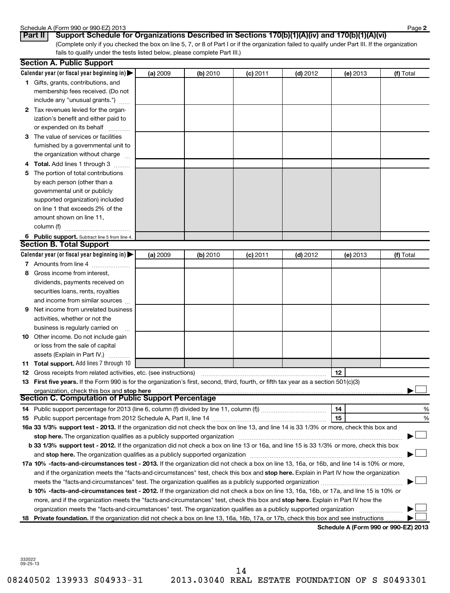#### Schedule A (Form 990 or 990-EZ) 2013

| Part II | $C_{11}$ |  |
|---------|----------|--|

(Complete only if you checked the box on line 5, 7, or 8 of Part I or if the organization failed to qualify under Part III. If the organization fails to qualify under the tests listed below, please complete Part III.) **Part II Support Schedule for Organizations Described in Sections 170(b)(1)(A)(iv) and 170(b)(1)(A)(vi)**

| Calendar year (or fiscal year beginning in) $\blacktriangleright$<br>(a) 2009<br>(b) 2010<br>$(d)$ 2012<br>(f) Total<br>(c) 2011<br>(e) 2013<br><b>1</b> Gifts, grants, contributions, and<br>membership fees received. (Do not<br>include any "unusual grants.")<br>2 Tax revenues levied for the organ-<br>ization's benefit and either paid to<br>or expended on its behalf<br>3 The value of services or facilities<br>furnished by a governmental unit to<br>the organization without charge<br>4 Total. Add lines 1 through 3<br>5 The portion of total contributions<br>by each person (other than a<br>governmental unit or publicly<br>supported organization) included<br>on line 1 that exceeds 2% of the<br>amount shown on line 11,<br>column (f)<br>6 Public support. Subtract line 5 from line 4.<br><b>Section B. Total Support</b><br>Calendar year (or fiscal year beginning in)<br>(a) 2009<br>(b) 2010<br>$(d)$ 2012<br>(f) Total<br>$(c)$ 2011<br>(e) 2013<br>7 Amounts from line 4<br>Gross income from interest,<br>8<br>dividends, payments received on<br>securities loans, rents, royalties<br>and income from similar sources<br>Net income from unrelated business<br>9<br>activities, whether or not the<br>business is regularly carried on<br><b>10</b> Other income. Do not include gain<br>or loss from the sale of capital<br>assets (Explain in Part IV.)<br>11 Total support. Add lines 7 through 10<br>12<br><b>12</b> Gross receipts from related activities, etc. (see instructions)<br>13 First five years. If the Form 990 is for the organization's first, second, third, fourth, or fifth tax year as a section 501(c)(3)<br>organization, check this box and stop here manufactured and content to the state of the state of the state of<br><b>Section C. Computation of Public Support Percentage</b><br>14<br>%<br>15<br>%<br>16a 33 1/3% support test - 2013. If the organization did not check the box on line 13, and line 14 is 33 1/3% or more, check this box and<br>stop here. The organization qualifies as a publicly supported organization manufaction manufactured in the organization manufactured in the state of the state of the state of the state of the state of the state of the stat<br>b 33 1/3% support test - 2012. If the organization did not check a box on line 13 or 16a, and line 15 is 33 1/3% or more, check this box<br>17a 10% -facts-and-circumstances test - 2013. If the organization did not check a box on line 13, 16a, or 16b, and line 14 is 10% or more,<br>and if the organization meets the "facts-and-circumstances" test, check this box and stop here. Explain in Part IV how the organization<br>b 10% -facts-and-circumstances test - 2012. If the organization did not check a box on line 13, 16a, 16b, or 17a, and line 15 is 10% or<br>more, and if the organization meets the "facts-and-circumstances" test, check this box and stop here. Explain in Part IV how the<br>organization meets the "facts-and-circumstances" test. The organization qualifies as a publicly supported organization<br>18 Private foundation. If the organization did not check a box on line 13, 16a, 16b, 17a, or 17b, check this box and see instructions<br>Schodule A (Form 000 or 000 F7) 2012 | <b>Section A. Public Support</b> |  |  |  |
|-----------------------------------------------------------------------------------------------------------------------------------------------------------------------------------------------------------------------------------------------------------------------------------------------------------------------------------------------------------------------------------------------------------------------------------------------------------------------------------------------------------------------------------------------------------------------------------------------------------------------------------------------------------------------------------------------------------------------------------------------------------------------------------------------------------------------------------------------------------------------------------------------------------------------------------------------------------------------------------------------------------------------------------------------------------------------------------------------------------------------------------------------------------------------------------------------------------------------------------------------------------------------------------------------------------------------------------------------------------------------------------------------------------------------------------------------------------------------------------------------------------------------------------------------------------------------------------------------------------------------------------------------------------------------------------------------------------------------------------------------------------------------------------------------------------------------------------------------------------------------------------------------------------------------------------------------------------------------------------------------------------------------------------------------------------------------------------------------------------------------------------------------------------------------------------------------------------------------------------------------------------------------------------------------------------------------------------------------------------------------------------------------------------------------------------------------------------------------------------------------------------------------------------------------------------------------------------------------------------------------------------------------------------------------------------------------------------------------------------------------------------------------------------------------------------------------------------------------------------------------------------------------------------------------------------------------------------------------------------------------------------------------------------------------------------------------------------------------------------------------------------------------------------------------------------------------------------------------------------------------------------------------------------------|----------------------------------|--|--|--|
|                                                                                                                                                                                                                                                                                                                                                                                                                                                                                                                                                                                                                                                                                                                                                                                                                                                                                                                                                                                                                                                                                                                                                                                                                                                                                                                                                                                                                                                                                                                                                                                                                                                                                                                                                                                                                                                                                                                                                                                                                                                                                                                                                                                                                                                                                                                                                                                                                                                                                                                                                                                                                                                                                                                                                                                                                                                                                                                                                                                                                                                                                                                                                                                                                                                                                         |                                  |  |  |  |
|                                                                                                                                                                                                                                                                                                                                                                                                                                                                                                                                                                                                                                                                                                                                                                                                                                                                                                                                                                                                                                                                                                                                                                                                                                                                                                                                                                                                                                                                                                                                                                                                                                                                                                                                                                                                                                                                                                                                                                                                                                                                                                                                                                                                                                                                                                                                                                                                                                                                                                                                                                                                                                                                                                                                                                                                                                                                                                                                                                                                                                                                                                                                                                                                                                                                                         |                                  |  |  |  |
|                                                                                                                                                                                                                                                                                                                                                                                                                                                                                                                                                                                                                                                                                                                                                                                                                                                                                                                                                                                                                                                                                                                                                                                                                                                                                                                                                                                                                                                                                                                                                                                                                                                                                                                                                                                                                                                                                                                                                                                                                                                                                                                                                                                                                                                                                                                                                                                                                                                                                                                                                                                                                                                                                                                                                                                                                                                                                                                                                                                                                                                                                                                                                                                                                                                                                         |                                  |  |  |  |
|                                                                                                                                                                                                                                                                                                                                                                                                                                                                                                                                                                                                                                                                                                                                                                                                                                                                                                                                                                                                                                                                                                                                                                                                                                                                                                                                                                                                                                                                                                                                                                                                                                                                                                                                                                                                                                                                                                                                                                                                                                                                                                                                                                                                                                                                                                                                                                                                                                                                                                                                                                                                                                                                                                                                                                                                                                                                                                                                                                                                                                                                                                                                                                                                                                                                                         |                                  |  |  |  |
|                                                                                                                                                                                                                                                                                                                                                                                                                                                                                                                                                                                                                                                                                                                                                                                                                                                                                                                                                                                                                                                                                                                                                                                                                                                                                                                                                                                                                                                                                                                                                                                                                                                                                                                                                                                                                                                                                                                                                                                                                                                                                                                                                                                                                                                                                                                                                                                                                                                                                                                                                                                                                                                                                                                                                                                                                                                                                                                                                                                                                                                                                                                                                                                                                                                                                         |                                  |  |  |  |
|                                                                                                                                                                                                                                                                                                                                                                                                                                                                                                                                                                                                                                                                                                                                                                                                                                                                                                                                                                                                                                                                                                                                                                                                                                                                                                                                                                                                                                                                                                                                                                                                                                                                                                                                                                                                                                                                                                                                                                                                                                                                                                                                                                                                                                                                                                                                                                                                                                                                                                                                                                                                                                                                                                                                                                                                                                                                                                                                                                                                                                                                                                                                                                                                                                                                                         |                                  |  |  |  |
|                                                                                                                                                                                                                                                                                                                                                                                                                                                                                                                                                                                                                                                                                                                                                                                                                                                                                                                                                                                                                                                                                                                                                                                                                                                                                                                                                                                                                                                                                                                                                                                                                                                                                                                                                                                                                                                                                                                                                                                                                                                                                                                                                                                                                                                                                                                                                                                                                                                                                                                                                                                                                                                                                                                                                                                                                                                                                                                                                                                                                                                                                                                                                                                                                                                                                         |                                  |  |  |  |
|                                                                                                                                                                                                                                                                                                                                                                                                                                                                                                                                                                                                                                                                                                                                                                                                                                                                                                                                                                                                                                                                                                                                                                                                                                                                                                                                                                                                                                                                                                                                                                                                                                                                                                                                                                                                                                                                                                                                                                                                                                                                                                                                                                                                                                                                                                                                                                                                                                                                                                                                                                                                                                                                                                                                                                                                                                                                                                                                                                                                                                                                                                                                                                                                                                                                                         |                                  |  |  |  |
|                                                                                                                                                                                                                                                                                                                                                                                                                                                                                                                                                                                                                                                                                                                                                                                                                                                                                                                                                                                                                                                                                                                                                                                                                                                                                                                                                                                                                                                                                                                                                                                                                                                                                                                                                                                                                                                                                                                                                                                                                                                                                                                                                                                                                                                                                                                                                                                                                                                                                                                                                                                                                                                                                                                                                                                                                                                                                                                                                                                                                                                                                                                                                                                                                                                                                         |                                  |  |  |  |
|                                                                                                                                                                                                                                                                                                                                                                                                                                                                                                                                                                                                                                                                                                                                                                                                                                                                                                                                                                                                                                                                                                                                                                                                                                                                                                                                                                                                                                                                                                                                                                                                                                                                                                                                                                                                                                                                                                                                                                                                                                                                                                                                                                                                                                                                                                                                                                                                                                                                                                                                                                                                                                                                                                                                                                                                                                                                                                                                                                                                                                                                                                                                                                                                                                                                                         |                                  |  |  |  |
|                                                                                                                                                                                                                                                                                                                                                                                                                                                                                                                                                                                                                                                                                                                                                                                                                                                                                                                                                                                                                                                                                                                                                                                                                                                                                                                                                                                                                                                                                                                                                                                                                                                                                                                                                                                                                                                                                                                                                                                                                                                                                                                                                                                                                                                                                                                                                                                                                                                                                                                                                                                                                                                                                                                                                                                                                                                                                                                                                                                                                                                                                                                                                                                                                                                                                         |                                  |  |  |  |
|                                                                                                                                                                                                                                                                                                                                                                                                                                                                                                                                                                                                                                                                                                                                                                                                                                                                                                                                                                                                                                                                                                                                                                                                                                                                                                                                                                                                                                                                                                                                                                                                                                                                                                                                                                                                                                                                                                                                                                                                                                                                                                                                                                                                                                                                                                                                                                                                                                                                                                                                                                                                                                                                                                                                                                                                                                                                                                                                                                                                                                                                                                                                                                                                                                                                                         |                                  |  |  |  |
|                                                                                                                                                                                                                                                                                                                                                                                                                                                                                                                                                                                                                                                                                                                                                                                                                                                                                                                                                                                                                                                                                                                                                                                                                                                                                                                                                                                                                                                                                                                                                                                                                                                                                                                                                                                                                                                                                                                                                                                                                                                                                                                                                                                                                                                                                                                                                                                                                                                                                                                                                                                                                                                                                                                                                                                                                                                                                                                                                                                                                                                                                                                                                                                                                                                                                         |                                  |  |  |  |
|                                                                                                                                                                                                                                                                                                                                                                                                                                                                                                                                                                                                                                                                                                                                                                                                                                                                                                                                                                                                                                                                                                                                                                                                                                                                                                                                                                                                                                                                                                                                                                                                                                                                                                                                                                                                                                                                                                                                                                                                                                                                                                                                                                                                                                                                                                                                                                                                                                                                                                                                                                                                                                                                                                                                                                                                                                                                                                                                                                                                                                                                                                                                                                                                                                                                                         |                                  |  |  |  |
|                                                                                                                                                                                                                                                                                                                                                                                                                                                                                                                                                                                                                                                                                                                                                                                                                                                                                                                                                                                                                                                                                                                                                                                                                                                                                                                                                                                                                                                                                                                                                                                                                                                                                                                                                                                                                                                                                                                                                                                                                                                                                                                                                                                                                                                                                                                                                                                                                                                                                                                                                                                                                                                                                                                                                                                                                                                                                                                                                                                                                                                                                                                                                                                                                                                                                         |                                  |  |  |  |
|                                                                                                                                                                                                                                                                                                                                                                                                                                                                                                                                                                                                                                                                                                                                                                                                                                                                                                                                                                                                                                                                                                                                                                                                                                                                                                                                                                                                                                                                                                                                                                                                                                                                                                                                                                                                                                                                                                                                                                                                                                                                                                                                                                                                                                                                                                                                                                                                                                                                                                                                                                                                                                                                                                                                                                                                                                                                                                                                                                                                                                                                                                                                                                                                                                                                                         |                                  |  |  |  |
|                                                                                                                                                                                                                                                                                                                                                                                                                                                                                                                                                                                                                                                                                                                                                                                                                                                                                                                                                                                                                                                                                                                                                                                                                                                                                                                                                                                                                                                                                                                                                                                                                                                                                                                                                                                                                                                                                                                                                                                                                                                                                                                                                                                                                                                                                                                                                                                                                                                                                                                                                                                                                                                                                                                                                                                                                                                                                                                                                                                                                                                                                                                                                                                                                                                                                         |                                  |  |  |  |
|                                                                                                                                                                                                                                                                                                                                                                                                                                                                                                                                                                                                                                                                                                                                                                                                                                                                                                                                                                                                                                                                                                                                                                                                                                                                                                                                                                                                                                                                                                                                                                                                                                                                                                                                                                                                                                                                                                                                                                                                                                                                                                                                                                                                                                                                                                                                                                                                                                                                                                                                                                                                                                                                                                                                                                                                                                                                                                                                                                                                                                                                                                                                                                                                                                                                                         |                                  |  |  |  |
|                                                                                                                                                                                                                                                                                                                                                                                                                                                                                                                                                                                                                                                                                                                                                                                                                                                                                                                                                                                                                                                                                                                                                                                                                                                                                                                                                                                                                                                                                                                                                                                                                                                                                                                                                                                                                                                                                                                                                                                                                                                                                                                                                                                                                                                                                                                                                                                                                                                                                                                                                                                                                                                                                                                                                                                                                                                                                                                                                                                                                                                                                                                                                                                                                                                                                         |                                  |  |  |  |
|                                                                                                                                                                                                                                                                                                                                                                                                                                                                                                                                                                                                                                                                                                                                                                                                                                                                                                                                                                                                                                                                                                                                                                                                                                                                                                                                                                                                                                                                                                                                                                                                                                                                                                                                                                                                                                                                                                                                                                                                                                                                                                                                                                                                                                                                                                                                                                                                                                                                                                                                                                                                                                                                                                                                                                                                                                                                                                                                                                                                                                                                                                                                                                                                                                                                                         |                                  |  |  |  |
|                                                                                                                                                                                                                                                                                                                                                                                                                                                                                                                                                                                                                                                                                                                                                                                                                                                                                                                                                                                                                                                                                                                                                                                                                                                                                                                                                                                                                                                                                                                                                                                                                                                                                                                                                                                                                                                                                                                                                                                                                                                                                                                                                                                                                                                                                                                                                                                                                                                                                                                                                                                                                                                                                                                                                                                                                                                                                                                                                                                                                                                                                                                                                                                                                                                                                         |                                  |  |  |  |
|                                                                                                                                                                                                                                                                                                                                                                                                                                                                                                                                                                                                                                                                                                                                                                                                                                                                                                                                                                                                                                                                                                                                                                                                                                                                                                                                                                                                                                                                                                                                                                                                                                                                                                                                                                                                                                                                                                                                                                                                                                                                                                                                                                                                                                                                                                                                                                                                                                                                                                                                                                                                                                                                                                                                                                                                                                                                                                                                                                                                                                                                                                                                                                                                                                                                                         |                                  |  |  |  |
|                                                                                                                                                                                                                                                                                                                                                                                                                                                                                                                                                                                                                                                                                                                                                                                                                                                                                                                                                                                                                                                                                                                                                                                                                                                                                                                                                                                                                                                                                                                                                                                                                                                                                                                                                                                                                                                                                                                                                                                                                                                                                                                                                                                                                                                                                                                                                                                                                                                                                                                                                                                                                                                                                                                                                                                                                                                                                                                                                                                                                                                                                                                                                                                                                                                                                         |                                  |  |  |  |
|                                                                                                                                                                                                                                                                                                                                                                                                                                                                                                                                                                                                                                                                                                                                                                                                                                                                                                                                                                                                                                                                                                                                                                                                                                                                                                                                                                                                                                                                                                                                                                                                                                                                                                                                                                                                                                                                                                                                                                                                                                                                                                                                                                                                                                                                                                                                                                                                                                                                                                                                                                                                                                                                                                                                                                                                                                                                                                                                                                                                                                                                                                                                                                                                                                                                                         |                                  |  |  |  |
|                                                                                                                                                                                                                                                                                                                                                                                                                                                                                                                                                                                                                                                                                                                                                                                                                                                                                                                                                                                                                                                                                                                                                                                                                                                                                                                                                                                                                                                                                                                                                                                                                                                                                                                                                                                                                                                                                                                                                                                                                                                                                                                                                                                                                                                                                                                                                                                                                                                                                                                                                                                                                                                                                                                                                                                                                                                                                                                                                                                                                                                                                                                                                                                                                                                                                         |                                  |  |  |  |
|                                                                                                                                                                                                                                                                                                                                                                                                                                                                                                                                                                                                                                                                                                                                                                                                                                                                                                                                                                                                                                                                                                                                                                                                                                                                                                                                                                                                                                                                                                                                                                                                                                                                                                                                                                                                                                                                                                                                                                                                                                                                                                                                                                                                                                                                                                                                                                                                                                                                                                                                                                                                                                                                                                                                                                                                                                                                                                                                                                                                                                                                                                                                                                                                                                                                                         |                                  |  |  |  |
|                                                                                                                                                                                                                                                                                                                                                                                                                                                                                                                                                                                                                                                                                                                                                                                                                                                                                                                                                                                                                                                                                                                                                                                                                                                                                                                                                                                                                                                                                                                                                                                                                                                                                                                                                                                                                                                                                                                                                                                                                                                                                                                                                                                                                                                                                                                                                                                                                                                                                                                                                                                                                                                                                                                                                                                                                                                                                                                                                                                                                                                                                                                                                                                                                                                                                         |                                  |  |  |  |
|                                                                                                                                                                                                                                                                                                                                                                                                                                                                                                                                                                                                                                                                                                                                                                                                                                                                                                                                                                                                                                                                                                                                                                                                                                                                                                                                                                                                                                                                                                                                                                                                                                                                                                                                                                                                                                                                                                                                                                                                                                                                                                                                                                                                                                                                                                                                                                                                                                                                                                                                                                                                                                                                                                                                                                                                                                                                                                                                                                                                                                                                                                                                                                                                                                                                                         |                                  |  |  |  |
|                                                                                                                                                                                                                                                                                                                                                                                                                                                                                                                                                                                                                                                                                                                                                                                                                                                                                                                                                                                                                                                                                                                                                                                                                                                                                                                                                                                                                                                                                                                                                                                                                                                                                                                                                                                                                                                                                                                                                                                                                                                                                                                                                                                                                                                                                                                                                                                                                                                                                                                                                                                                                                                                                                                                                                                                                                                                                                                                                                                                                                                                                                                                                                                                                                                                                         |                                  |  |  |  |
|                                                                                                                                                                                                                                                                                                                                                                                                                                                                                                                                                                                                                                                                                                                                                                                                                                                                                                                                                                                                                                                                                                                                                                                                                                                                                                                                                                                                                                                                                                                                                                                                                                                                                                                                                                                                                                                                                                                                                                                                                                                                                                                                                                                                                                                                                                                                                                                                                                                                                                                                                                                                                                                                                                                                                                                                                                                                                                                                                                                                                                                                                                                                                                                                                                                                                         |                                  |  |  |  |
|                                                                                                                                                                                                                                                                                                                                                                                                                                                                                                                                                                                                                                                                                                                                                                                                                                                                                                                                                                                                                                                                                                                                                                                                                                                                                                                                                                                                                                                                                                                                                                                                                                                                                                                                                                                                                                                                                                                                                                                                                                                                                                                                                                                                                                                                                                                                                                                                                                                                                                                                                                                                                                                                                                                                                                                                                                                                                                                                                                                                                                                                                                                                                                                                                                                                                         |                                  |  |  |  |
|                                                                                                                                                                                                                                                                                                                                                                                                                                                                                                                                                                                                                                                                                                                                                                                                                                                                                                                                                                                                                                                                                                                                                                                                                                                                                                                                                                                                                                                                                                                                                                                                                                                                                                                                                                                                                                                                                                                                                                                                                                                                                                                                                                                                                                                                                                                                                                                                                                                                                                                                                                                                                                                                                                                                                                                                                                                                                                                                                                                                                                                                                                                                                                                                                                                                                         |                                  |  |  |  |
|                                                                                                                                                                                                                                                                                                                                                                                                                                                                                                                                                                                                                                                                                                                                                                                                                                                                                                                                                                                                                                                                                                                                                                                                                                                                                                                                                                                                                                                                                                                                                                                                                                                                                                                                                                                                                                                                                                                                                                                                                                                                                                                                                                                                                                                                                                                                                                                                                                                                                                                                                                                                                                                                                                                                                                                                                                                                                                                                                                                                                                                                                                                                                                                                                                                                                         |                                  |  |  |  |
|                                                                                                                                                                                                                                                                                                                                                                                                                                                                                                                                                                                                                                                                                                                                                                                                                                                                                                                                                                                                                                                                                                                                                                                                                                                                                                                                                                                                                                                                                                                                                                                                                                                                                                                                                                                                                                                                                                                                                                                                                                                                                                                                                                                                                                                                                                                                                                                                                                                                                                                                                                                                                                                                                                                                                                                                                                                                                                                                                                                                                                                                                                                                                                                                                                                                                         |                                  |  |  |  |
|                                                                                                                                                                                                                                                                                                                                                                                                                                                                                                                                                                                                                                                                                                                                                                                                                                                                                                                                                                                                                                                                                                                                                                                                                                                                                                                                                                                                                                                                                                                                                                                                                                                                                                                                                                                                                                                                                                                                                                                                                                                                                                                                                                                                                                                                                                                                                                                                                                                                                                                                                                                                                                                                                                                                                                                                                                                                                                                                                                                                                                                                                                                                                                                                                                                                                         |                                  |  |  |  |
|                                                                                                                                                                                                                                                                                                                                                                                                                                                                                                                                                                                                                                                                                                                                                                                                                                                                                                                                                                                                                                                                                                                                                                                                                                                                                                                                                                                                                                                                                                                                                                                                                                                                                                                                                                                                                                                                                                                                                                                                                                                                                                                                                                                                                                                                                                                                                                                                                                                                                                                                                                                                                                                                                                                                                                                                                                                                                                                                                                                                                                                                                                                                                                                                                                                                                         |                                  |  |  |  |
|                                                                                                                                                                                                                                                                                                                                                                                                                                                                                                                                                                                                                                                                                                                                                                                                                                                                                                                                                                                                                                                                                                                                                                                                                                                                                                                                                                                                                                                                                                                                                                                                                                                                                                                                                                                                                                                                                                                                                                                                                                                                                                                                                                                                                                                                                                                                                                                                                                                                                                                                                                                                                                                                                                                                                                                                                                                                                                                                                                                                                                                                                                                                                                                                                                                                                         |                                  |  |  |  |
|                                                                                                                                                                                                                                                                                                                                                                                                                                                                                                                                                                                                                                                                                                                                                                                                                                                                                                                                                                                                                                                                                                                                                                                                                                                                                                                                                                                                                                                                                                                                                                                                                                                                                                                                                                                                                                                                                                                                                                                                                                                                                                                                                                                                                                                                                                                                                                                                                                                                                                                                                                                                                                                                                                                                                                                                                                                                                                                                                                                                                                                                                                                                                                                                                                                                                         |                                  |  |  |  |
|                                                                                                                                                                                                                                                                                                                                                                                                                                                                                                                                                                                                                                                                                                                                                                                                                                                                                                                                                                                                                                                                                                                                                                                                                                                                                                                                                                                                                                                                                                                                                                                                                                                                                                                                                                                                                                                                                                                                                                                                                                                                                                                                                                                                                                                                                                                                                                                                                                                                                                                                                                                                                                                                                                                                                                                                                                                                                                                                                                                                                                                                                                                                                                                                                                                                                         |                                  |  |  |  |
|                                                                                                                                                                                                                                                                                                                                                                                                                                                                                                                                                                                                                                                                                                                                                                                                                                                                                                                                                                                                                                                                                                                                                                                                                                                                                                                                                                                                                                                                                                                                                                                                                                                                                                                                                                                                                                                                                                                                                                                                                                                                                                                                                                                                                                                                                                                                                                                                                                                                                                                                                                                                                                                                                                                                                                                                                                                                                                                                                                                                                                                                                                                                                                                                                                                                                         |                                  |  |  |  |
|                                                                                                                                                                                                                                                                                                                                                                                                                                                                                                                                                                                                                                                                                                                                                                                                                                                                                                                                                                                                                                                                                                                                                                                                                                                                                                                                                                                                                                                                                                                                                                                                                                                                                                                                                                                                                                                                                                                                                                                                                                                                                                                                                                                                                                                                                                                                                                                                                                                                                                                                                                                                                                                                                                                                                                                                                                                                                                                                                                                                                                                                                                                                                                                                                                                                                         |                                  |  |  |  |
|                                                                                                                                                                                                                                                                                                                                                                                                                                                                                                                                                                                                                                                                                                                                                                                                                                                                                                                                                                                                                                                                                                                                                                                                                                                                                                                                                                                                                                                                                                                                                                                                                                                                                                                                                                                                                                                                                                                                                                                                                                                                                                                                                                                                                                                                                                                                                                                                                                                                                                                                                                                                                                                                                                                                                                                                                                                                                                                                                                                                                                                                                                                                                                                                                                                                                         |                                  |  |  |  |
|                                                                                                                                                                                                                                                                                                                                                                                                                                                                                                                                                                                                                                                                                                                                                                                                                                                                                                                                                                                                                                                                                                                                                                                                                                                                                                                                                                                                                                                                                                                                                                                                                                                                                                                                                                                                                                                                                                                                                                                                                                                                                                                                                                                                                                                                                                                                                                                                                                                                                                                                                                                                                                                                                                                                                                                                                                                                                                                                                                                                                                                                                                                                                                                                                                                                                         |                                  |  |  |  |
|                                                                                                                                                                                                                                                                                                                                                                                                                                                                                                                                                                                                                                                                                                                                                                                                                                                                                                                                                                                                                                                                                                                                                                                                                                                                                                                                                                                                                                                                                                                                                                                                                                                                                                                                                                                                                                                                                                                                                                                                                                                                                                                                                                                                                                                                                                                                                                                                                                                                                                                                                                                                                                                                                                                                                                                                                                                                                                                                                                                                                                                                                                                                                                                                                                                                                         |                                  |  |  |  |
|                                                                                                                                                                                                                                                                                                                                                                                                                                                                                                                                                                                                                                                                                                                                                                                                                                                                                                                                                                                                                                                                                                                                                                                                                                                                                                                                                                                                                                                                                                                                                                                                                                                                                                                                                                                                                                                                                                                                                                                                                                                                                                                                                                                                                                                                                                                                                                                                                                                                                                                                                                                                                                                                                                                                                                                                                                                                                                                                                                                                                                                                                                                                                                                                                                                                                         |                                  |  |  |  |
|                                                                                                                                                                                                                                                                                                                                                                                                                                                                                                                                                                                                                                                                                                                                                                                                                                                                                                                                                                                                                                                                                                                                                                                                                                                                                                                                                                                                                                                                                                                                                                                                                                                                                                                                                                                                                                                                                                                                                                                                                                                                                                                                                                                                                                                                                                                                                                                                                                                                                                                                                                                                                                                                                                                                                                                                                                                                                                                                                                                                                                                                                                                                                                                                                                                                                         |                                  |  |  |  |
|                                                                                                                                                                                                                                                                                                                                                                                                                                                                                                                                                                                                                                                                                                                                                                                                                                                                                                                                                                                                                                                                                                                                                                                                                                                                                                                                                                                                                                                                                                                                                                                                                                                                                                                                                                                                                                                                                                                                                                                                                                                                                                                                                                                                                                                                                                                                                                                                                                                                                                                                                                                                                                                                                                                                                                                                                                                                                                                                                                                                                                                                                                                                                                                                                                                                                         |                                  |  |  |  |
|                                                                                                                                                                                                                                                                                                                                                                                                                                                                                                                                                                                                                                                                                                                                                                                                                                                                                                                                                                                                                                                                                                                                                                                                                                                                                                                                                                                                                                                                                                                                                                                                                                                                                                                                                                                                                                                                                                                                                                                                                                                                                                                                                                                                                                                                                                                                                                                                                                                                                                                                                                                                                                                                                                                                                                                                                                                                                                                                                                                                                                                                                                                                                                                                                                                                                         |                                  |  |  |  |
|                                                                                                                                                                                                                                                                                                                                                                                                                                                                                                                                                                                                                                                                                                                                                                                                                                                                                                                                                                                                                                                                                                                                                                                                                                                                                                                                                                                                                                                                                                                                                                                                                                                                                                                                                                                                                                                                                                                                                                                                                                                                                                                                                                                                                                                                                                                                                                                                                                                                                                                                                                                                                                                                                                                                                                                                                                                                                                                                                                                                                                                                                                                                                                                                                                                                                         |                                  |  |  |  |
|                                                                                                                                                                                                                                                                                                                                                                                                                                                                                                                                                                                                                                                                                                                                                                                                                                                                                                                                                                                                                                                                                                                                                                                                                                                                                                                                                                                                                                                                                                                                                                                                                                                                                                                                                                                                                                                                                                                                                                                                                                                                                                                                                                                                                                                                                                                                                                                                                                                                                                                                                                                                                                                                                                                                                                                                                                                                                                                                                                                                                                                                                                                                                                                                                                                                                         |                                  |  |  |  |

**Schedule A (Form 990 or 990-EZ) 2013**

332022 09-25-13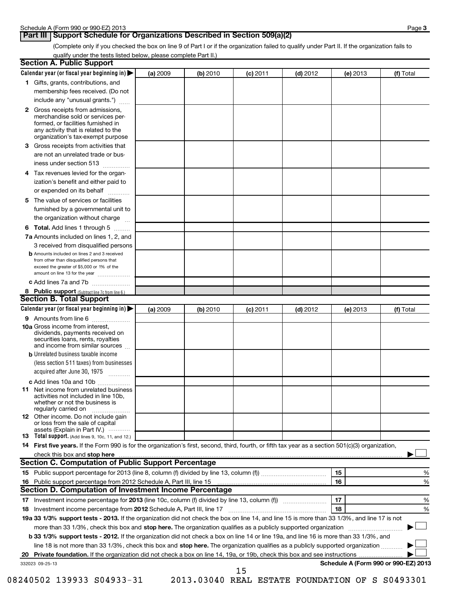# **Part III** Support Schedule for Organizations Described in Section 509(a)(2)

(Complete only if you checked the box on line 9 of Part I or if the organization failed to qualify under Part II. If the organization fails to qualify under the tests listed below, please complete Part II.)

| <b>Section A. Public Support</b>                                                                                                                                                                                               |          |          |            |            |            |                                      |
|--------------------------------------------------------------------------------------------------------------------------------------------------------------------------------------------------------------------------------|----------|----------|------------|------------|------------|--------------------------------------|
| Calendar year (or fiscal year beginning in)                                                                                                                                                                                    | (a) 2009 | (b) 2010 | (c) 2011   | $(d)$ 2012 | (e) 2013   | (f) Total                            |
| 1 Gifts, grants, contributions, and                                                                                                                                                                                            |          |          |            |            |            |                                      |
| membership fees received. (Do not                                                                                                                                                                                              |          |          |            |            |            |                                      |
| include any "unusual grants.")                                                                                                                                                                                                 |          |          |            |            |            |                                      |
| <b>2</b> Gross receipts from admissions,<br>merchandise sold or services per-<br>formed, or facilities furnished in<br>any activity that is related to the<br>organization's tax-exempt purpose                                |          |          |            |            |            |                                      |
| 3 Gross receipts from activities that<br>are not an unrelated trade or bus-                                                                                                                                                    |          |          |            |            |            |                                      |
| iness under section 513                                                                                                                                                                                                        |          |          |            |            |            |                                      |
| Tax revenues levied for the organ-<br>4<br>ization's benefit and either paid to<br>or expended on its behalf                                                                                                                   |          |          |            |            |            |                                      |
|                                                                                                                                                                                                                                |          |          |            |            |            |                                      |
| 5 The value of services or facilities<br>furnished by a governmental unit to<br>the organization without charge                                                                                                                |          |          |            |            |            |                                      |
| <b>6 Total.</b> Add lines 1 through 5                                                                                                                                                                                          |          |          |            |            |            |                                      |
| 7a Amounts included on lines 1, 2, and<br>3 received from disqualified persons                                                                                                                                                 |          |          |            |            |            |                                      |
| <b>b</b> Amounts included on lines 2 and 3 received<br>from other than disqualified persons that<br>exceed the greater of \$5,000 or 1% of the<br>amount on line 13 for the year                                               |          |          |            |            |            |                                      |
| c Add lines 7a and 7b                                                                                                                                                                                                          |          |          |            |            |            |                                      |
| 8 Public support (Subtract line 7c from line 6.)                                                                                                                                                                               |          |          |            |            |            |                                      |
| <b>Section B. Total Support</b>                                                                                                                                                                                                |          |          |            |            |            |                                      |
| Calendar year (or fiscal year beginning in)                                                                                                                                                                                    | (a) 2009 | (b) 2010 | $(c)$ 2011 | $(d)$ 2012 | $(e)$ 2013 | (f) Total                            |
| <b>9</b> Amounts from line 6                                                                                                                                                                                                   |          |          |            |            |            |                                      |
| <b>10a</b> Gross income from interest,<br>dividends, payments received on<br>securities loans, rents, royalties<br>and income from similar sources                                                                             |          |          |            |            |            |                                      |
| <b>b</b> Unrelated business taxable income                                                                                                                                                                                     |          |          |            |            |            |                                      |
| (less section 511 taxes) from businesses<br>acquired after June 30, 1975<br>$\overline{\phantom{a}}$                                                                                                                           |          |          |            |            |            |                                      |
| c Add lines 10a and 10b                                                                                                                                                                                                        |          |          |            |            |            |                                      |
| <b>11</b> Net income from unrelated business<br>activities not included in line 10b,<br>whether or not the business is<br>regularly carried on                                                                                 |          |          |            |            |            |                                      |
| 12 Other income. Do not include gain<br>or loss from the sale of capital<br>assets (Explain in Part IV.)                                                                                                                       |          |          |            |            |            |                                      |
| <b>13</b> Total support. (Add lines 9, 10c, 11, and 12.)                                                                                                                                                                       |          |          |            |            |            |                                      |
| 14 First five years. If the Form 990 is for the organization's first, second, third, fourth, or fifth tax year as a section 501(c)(3) organization,                                                                            |          |          |            |            |            |                                      |
| check this box and stop here manufactured and content to the state of the state of the state of the state of the state of the state of the state of the state of the state of the state of the state of the state of the state |          |          |            |            |            |                                      |
| Section C. Computation of Public Support Percentage                                                                                                                                                                            |          |          |            |            |            |                                      |
|                                                                                                                                                                                                                                |          |          |            |            | 15         | %                                    |
|                                                                                                                                                                                                                                |          |          |            |            | 16         | %                                    |
| Section D. Computation of Investment Income Percentage                                                                                                                                                                         |          |          |            |            |            |                                      |
|                                                                                                                                                                                                                                |          |          |            |            | 17         | %                                    |
| 18 Investment income percentage from 2012 Schedule A, Part III, line 17                                                                                                                                                        |          |          |            |            | 18         | %                                    |
| 19a 33 1/3% support tests - 2013. If the organization did not check the box on line 14, and line 15 is more than 33 1/3%, and line 17 is not                                                                                   |          |          |            |            |            |                                      |
| more than 33 1/3%, check this box and stop here. The organization qualifies as a publicly supported organization                                                                                                               |          |          |            |            |            |                                      |
| b 33 1/3% support tests - 2012. If the organization did not check a box on line 14 or line 19a, and line 16 is more than 33 1/3%, and                                                                                          |          |          |            |            |            |                                      |
| line 18 is not more than 33 1/3%, check this box and stop here. The organization qualifies as a publicly supported organization                                                                                                |          |          |            |            |            |                                      |
| 20                                                                                                                                                                                                                             |          |          |            |            |            | Schedule A (Form 990 or 990-EZ) 2013 |
| 332023 09-25-13                                                                                                                                                                                                                |          |          | 15         |            |            |                                      |

08240502 139933 S04933-31 2013.03040 REAL ESTATE FOUNDATION OF S S0493301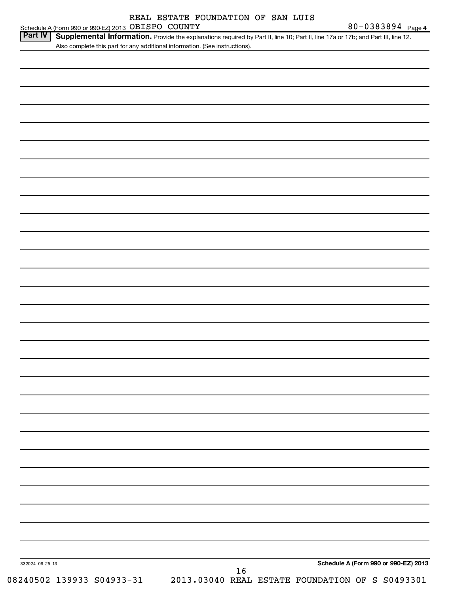Part IV | Supplemental Information. Provide the explanations required by Part II, line 10; Part II, line 17a or 17b; and Part III, line 12. Also complete this part for any additional information. (See instructions).

| 332024 09-25-13<br>16<br>18240502 139933 S04933-31 2013.03040 REAL ESTATE FOUNDATION OF S S0493301 |  | Schedule A (Form 990 or 990-EZ) 2013 |
|----------------------------------------------------------------------------------------------------|--|--------------------------------------|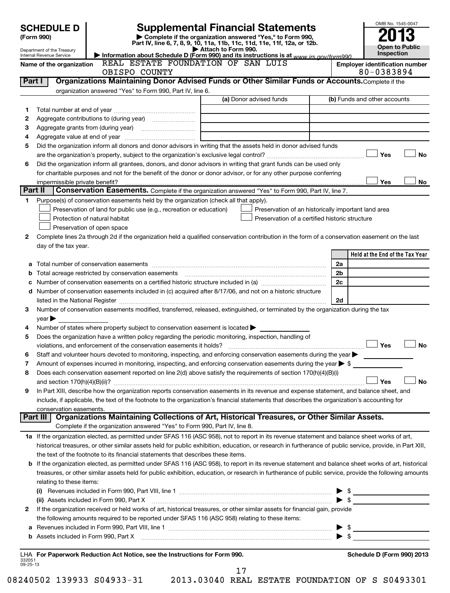|                    | <b>SCHEDULE D</b><br>(Form 990)                        |                                                                                                                                                                                                                                                                                                                                                                   |                                                                  | <b>Supplemental Financial Statements</b><br>Complete if the organization answered "Yes," to Form 990, |                | OMB No. 1545-0047                     |
|--------------------|--------------------------------------------------------|-------------------------------------------------------------------------------------------------------------------------------------------------------------------------------------------------------------------------------------------------------------------------------------------------------------------------------------------------------------------|------------------------------------------------------------------|-------------------------------------------------------------------------------------------------------|----------------|---------------------------------------|
|                    |                                                        |                                                                                                                                                                                                                                                                                                                                                                   |                                                                  | Part IV, line 6, 7, 8, 9, 10, 11a, 11b, 11c, 11d, 11e, 11f, 12a, or 12b.                              |                | <b>Open to Public</b>                 |
|                    | Department of the Treasury<br>Internal Revenue Service | Information about Schedule D (Form 990) and its instructions is at www irs gov/form990                                                                                                                                                                                                                                                                            | Attach to Form 990.                                              |                                                                                                       |                | Inspection                            |
|                    | Name of the organization                               | REAL ESTATE FOUNDATION OF SAN LUIS                                                                                                                                                                                                                                                                                                                                |                                                                  |                                                                                                       |                | <b>Employer identification number</b> |
|                    |                                                        | OBISPO COUNTY                                                                                                                                                                                                                                                                                                                                                     |                                                                  |                                                                                                       |                | 80-0383894                            |
|                    | Part I                                                 | Organizations Maintaining Donor Advised Funds or Other Similar Funds or Accounts. Complete if the                                                                                                                                                                                                                                                                 |                                                                  |                                                                                                       |                |                                       |
|                    |                                                        | organization answered "Yes" to Form 990, Part IV, line 6.                                                                                                                                                                                                                                                                                                         |                                                                  | (a) Donor advised funds                                                                               |                |                                       |
|                    |                                                        |                                                                                                                                                                                                                                                                                                                                                                   |                                                                  |                                                                                                       |                | (b) Funds and other accounts          |
| 1                  |                                                        | Aggregate contributions to (during year) [10] [10] Mggregate contributions to (during year)                                                                                                                                                                                                                                                                       |                                                                  |                                                                                                       |                |                                       |
| 2<br>з             |                                                        |                                                                                                                                                                                                                                                                                                                                                                   | <u> 1989 - Johann Stein, mars an t-Amerikaansk kommunister (</u> |                                                                                                       |                |                                       |
| 4                  |                                                        |                                                                                                                                                                                                                                                                                                                                                                   |                                                                  | the control of the control of the control of the control of the control of                            |                |                                       |
| 5                  |                                                        | Did the organization inform all donors and donor advisors in writing that the assets held in donor advised funds                                                                                                                                                                                                                                                  |                                                                  |                                                                                                       |                |                                       |
|                    |                                                        |                                                                                                                                                                                                                                                                                                                                                                   |                                                                  |                                                                                                       |                | Yes<br><b>No</b>                      |
| 6                  |                                                        | Did the organization inform all grantees, donors, and donor advisors in writing that grant funds can be used only                                                                                                                                                                                                                                                 |                                                                  |                                                                                                       |                |                                       |
|                    |                                                        | for charitable purposes and not for the benefit of the donor or donor advisor, or for any other purpose conferring                                                                                                                                                                                                                                                |                                                                  |                                                                                                       |                |                                       |
|                    |                                                        |                                                                                                                                                                                                                                                                                                                                                                   |                                                                  |                                                                                                       |                | Yes<br>No                             |
| Part II            |                                                        | Conservation Easements. Complete if the organization answered "Yes" to Form 990, Part IV, line 7.                                                                                                                                                                                                                                                                 |                                                                  |                                                                                                       |                |                                       |
| 1                  |                                                        | Purpose(s) of conservation easements held by the organization (check all that apply).                                                                                                                                                                                                                                                                             |                                                                  |                                                                                                       |                |                                       |
|                    |                                                        | Preservation of land for public use (e.g., recreation or education)                                                                                                                                                                                                                                                                                               |                                                                  | Preservation of an historically important land area                                                   |                |                                       |
|                    |                                                        | Protection of natural habitat                                                                                                                                                                                                                                                                                                                                     |                                                                  | Preservation of a certified historic structure                                                        |                |                                       |
|                    |                                                        | Preservation of open space                                                                                                                                                                                                                                                                                                                                        |                                                                  |                                                                                                       |                |                                       |
| 2                  |                                                        | Complete lines 2a through 2d if the organization held a qualified conservation contribution in the form of a conservation easement on the last                                                                                                                                                                                                                    |                                                                  |                                                                                                       |                |                                       |
|                    | day of the tax year.                                   |                                                                                                                                                                                                                                                                                                                                                                   |                                                                  |                                                                                                       |                |                                       |
|                    |                                                        |                                                                                                                                                                                                                                                                                                                                                                   |                                                                  |                                                                                                       |                | Held at the End of the Tax Year       |
| а                  |                                                        |                                                                                                                                                                                                                                                                                                                                                                   |                                                                  |                                                                                                       | 2a             |                                       |
| b                  |                                                        | Total acreage restricted by conservation easements                                                                                                                                                                                                                                                                                                                |                                                                  |                                                                                                       | 2 <sub>b</sub> |                                       |
| с                  |                                                        |                                                                                                                                                                                                                                                                                                                                                                   |                                                                  |                                                                                                       | 2c             |                                       |
|                    |                                                        | d Number of conservation easements included in (c) acquired after 8/17/06, and not on a historic structure                                                                                                                                                                                                                                                        |                                                                  |                                                                                                       |                |                                       |
| 3                  |                                                        | listed in the National Register [111] Marshall Register [11] Marshall Register [11] Marshall Register [11] Marshall Register [11] Marshall Register [11] Marshall Register [11] Marshall Register [11] Marshall Register [11]<br>Number of conservation easements modified, transferred, released, extinguished, or terminated by the organization during the tax |                                                                  |                                                                                                       | 2d             |                                       |
|                    | $year \blacktriangleright$                             |                                                                                                                                                                                                                                                                                                                                                                   |                                                                  |                                                                                                       |                |                                       |
| 4                  |                                                        | Number of states where property subject to conservation easement is located $\blacktriangleright$                                                                                                                                                                                                                                                                 |                                                                  |                                                                                                       |                |                                       |
| 5                  |                                                        | Does the organization have a written policy regarding the periodic monitoring, inspection, handling of                                                                                                                                                                                                                                                            |                                                                  |                                                                                                       |                |                                       |
|                    |                                                        | violations, and enforcement of the conservation easements it holds?                                                                                                                                                                                                                                                                                               |                                                                  |                                                                                                       |                | Yes<br><b>No</b>                      |
| 6                  |                                                        | Staff and volunteer hours devoted to monitoring, inspecting, and enforcing conservation easements during the year                                                                                                                                                                                                                                                 |                                                                  |                                                                                                       |                |                                       |
| 7                  |                                                        | Amount of expenses incurred in monitoring, inspecting, and enforcing conservation easements during the year $\triangleright$ \$                                                                                                                                                                                                                                   |                                                                  |                                                                                                       |                |                                       |
| 8                  |                                                        | Does each conservation easement reported on line 2(d) above satisfy the requirements of section 170(h)(4)(B)(i)                                                                                                                                                                                                                                                   |                                                                  |                                                                                                       |                |                                       |
|                    |                                                        |                                                                                                                                                                                                                                                                                                                                                                   |                                                                  |                                                                                                       |                | Yes<br><b>No</b>                      |
| 9                  |                                                        | In Part XIII, describe how the organization reports conservation easements in its revenue and expense statement, and balance sheet, and                                                                                                                                                                                                                           |                                                                  |                                                                                                       |                |                                       |
|                    |                                                        | include, if applicable, the text of the footnote to the organization's financial statements that describes the organization's accounting for                                                                                                                                                                                                                      |                                                                  |                                                                                                       |                |                                       |
|                    | conservation easements.                                |                                                                                                                                                                                                                                                                                                                                                                   |                                                                  |                                                                                                       |                |                                       |
|                    | Part III                                               | Organizations Maintaining Collections of Art, Historical Treasures, or Other Similar Assets.                                                                                                                                                                                                                                                                      |                                                                  |                                                                                                       |                |                                       |
|                    |                                                        | Complete if the organization answered "Yes" to Form 990, Part IV, line 8.                                                                                                                                                                                                                                                                                         |                                                                  |                                                                                                       |                |                                       |
|                    |                                                        | 1a If the organization elected, as permitted under SFAS 116 (ASC 958), not to report in its revenue statement and balance sheet works of art,                                                                                                                                                                                                                     |                                                                  |                                                                                                       |                |                                       |
|                    |                                                        | historical treasures, or other similar assets held for public exhibition, education, or research in furtherance of public service, provide, in Part XIII,                                                                                                                                                                                                         |                                                                  |                                                                                                       |                |                                       |
|                    |                                                        | the text of the footnote to its financial statements that describes these items.<br>b If the organization elected, as permitted under SFAS 116 (ASC 958), to report in its revenue statement and balance sheet works of art, historical                                                                                                                           |                                                                  |                                                                                                       |                |                                       |
|                    |                                                        | treasures, or other similar assets held for public exhibition, education, or research in furtherance of public service, provide the following amounts                                                                                                                                                                                                             |                                                                  |                                                                                                       |                |                                       |
|                    | relating to these items:                               |                                                                                                                                                                                                                                                                                                                                                                   |                                                                  |                                                                                                       |                |                                       |
|                    |                                                        |                                                                                                                                                                                                                                                                                                                                                                   |                                                                  |                                                                                                       |                |                                       |
|                    |                                                        | (ii) Assets included in Form 990, Part X [11] [12] Assets included in Form 990, Part X                                                                                                                                                                                                                                                                            |                                                                  |                                                                                                       |                | $\triangleright$ \$                   |
| 2                  |                                                        | If the organization received or held works of art, historical treasures, or other similar assets for financial gain, provide                                                                                                                                                                                                                                      |                                                                  |                                                                                                       |                |                                       |
|                    |                                                        | the following amounts required to be reported under SFAS 116 (ASC 958) relating to these items:                                                                                                                                                                                                                                                                   |                                                                  |                                                                                                       |                |                                       |
| а                  |                                                        |                                                                                                                                                                                                                                                                                                                                                                   |                                                                  |                                                                                                       |                |                                       |
|                    |                                                        |                                                                                                                                                                                                                                                                                                                                                                   |                                                                  |                                                                                                       |                | $\blacktriangleright$ \$              |
|                    |                                                        |                                                                                                                                                                                                                                                                                                                                                                   |                                                                  |                                                                                                       |                |                                       |
|                    |                                                        | LHA For Paperwork Reduction Act Notice, see the Instructions for Form 990.                                                                                                                                                                                                                                                                                        |                                                                  |                                                                                                       |                | Schedule D (Form 990) 2013            |
| 332051<br>09-25-13 |                                                        |                                                                                                                                                                                                                                                                                                                                                                   |                                                                  |                                                                                                       |                |                                       |
|                    |                                                        |                                                                                                                                                                                                                                                                                                                                                                   | 17                                                               |                                                                                                       |                |                                       |

08240502 139933 S04933-31 2013.03040 REAL ESTATE FOUNDATION OF S S0493301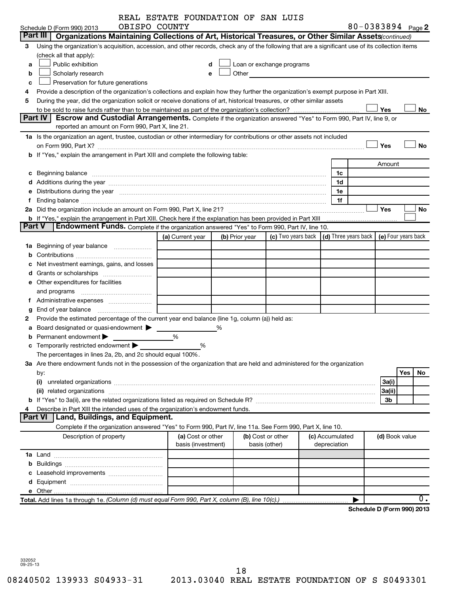|   |                                                                                                                                                                                                                                                                                                                           | REAL ESTATE FOUNDATION OF SAN LUIS      |                |                                                                                                                                                                                                                               |                                 |                            |                |     |    |
|---|---------------------------------------------------------------------------------------------------------------------------------------------------------------------------------------------------------------------------------------------------------------------------------------------------------------------------|-----------------------------------------|----------------|-------------------------------------------------------------------------------------------------------------------------------------------------------------------------------------------------------------------------------|---------------------------------|----------------------------|----------------|-----|----|
|   | OBISPO COUNTY<br>Schedule D (Form 990) 2013                                                                                                                                                                                                                                                                               |                                         |                |                                                                                                                                                                                                                               |                                 | 80-0383894 Page 2          |                |     |    |
|   | Part III<br>Organizations Maintaining Collections of Art, Historical Treasures, or Other Similar Assets (continued)                                                                                                                                                                                                       |                                         |                |                                                                                                                                                                                                                               |                                 |                            |                |     |    |
| 3 | Using the organization's acquisition, accession, and other records, check any of the following that are a significant use of its collection items                                                                                                                                                                         |                                         |                |                                                                                                                                                                                                                               |                                 |                            |                |     |    |
|   | (check all that apply):                                                                                                                                                                                                                                                                                                   |                                         |                |                                                                                                                                                                                                                               |                                 |                            |                |     |    |
| a | Public exhibition                                                                                                                                                                                                                                                                                                         | d                                       |                | Loan or exchange programs                                                                                                                                                                                                     |                                 |                            |                |     |    |
| b | Scholarly research                                                                                                                                                                                                                                                                                                        | e                                       |                | Other and the contract of the contract of the contract of the contract of the contract of the contract of the contract of the contract of the contract of the contract of the contract of the contract of the contract of the |                                 |                            |                |     |    |
| c | Preservation for future generations                                                                                                                                                                                                                                                                                       |                                         |                |                                                                                                                                                                                                                               |                                 |                            |                |     |    |
| 4 | Provide a description of the organization's collections and explain how they further the organization's exempt purpose in Part XIII.                                                                                                                                                                                      |                                         |                |                                                                                                                                                                                                                               |                                 |                            |                |     |    |
| 5 | During the year, did the organization solicit or receive donations of art, historical treasures, or other similar assets                                                                                                                                                                                                  |                                         |                |                                                                                                                                                                                                                               |                                 |                            |                |     |    |
|   | Part IV<br>Escrow and Custodial Arrangements. Complete if the organization answered "Yes" to Form 990, Part IV, line 9, or                                                                                                                                                                                                |                                         |                |                                                                                                                                                                                                                               |                                 |                            | Yes            |     | No |
|   | reported an amount on Form 990, Part X, line 21.                                                                                                                                                                                                                                                                          |                                         |                |                                                                                                                                                                                                                               |                                 |                            |                |     |    |
|   | 1a Is the organization an agent, trustee, custodian or other intermediary for contributions or other assets not included                                                                                                                                                                                                  |                                         |                |                                                                                                                                                                                                                               |                                 |                            |                |     |    |
|   |                                                                                                                                                                                                                                                                                                                           |                                         |                |                                                                                                                                                                                                                               |                                 |                            | Yes            |     | No |
|   | on Form 990, Part X? <b>Constitution and Constitution Constitution</b> and Constitution and Constitution and Constitution and Constitution and Constitution and Constitution and Constitution and Constitution and Constitution and<br>b If "Yes," explain the arrangement in Part XIII and complete the following table: |                                         |                |                                                                                                                                                                                                                               |                                 |                            |                |     |    |
|   |                                                                                                                                                                                                                                                                                                                           |                                         |                |                                                                                                                                                                                                                               |                                 |                            |                |     |    |
|   |                                                                                                                                                                                                                                                                                                                           |                                         |                |                                                                                                                                                                                                                               |                                 |                            | Amount         |     |    |
|   | c Beginning balance <b>communications</b> and a construction of the construction of the construction of the construction of the construction of the construction of the construction of the construction of the construction of the                                                                                       |                                         |                |                                                                                                                                                                                                                               | 1c                              |                            |                |     |    |
|   |                                                                                                                                                                                                                                                                                                                           |                                         |                |                                                                                                                                                                                                                               | 1d                              |                            |                |     |    |
|   | e Distributions during the year measurement contained and all the year measurement of the year measurement of                                                                                                                                                                                                             |                                         |                |                                                                                                                                                                                                                               | 1e                              |                            |                |     |    |
| f |                                                                                                                                                                                                                                                                                                                           |                                         |                |                                                                                                                                                                                                                               | 1f                              |                            | Yes            |     | No |
|   |                                                                                                                                                                                                                                                                                                                           |                                         |                |                                                                                                                                                                                                                               |                                 |                            |                |     |    |
|   | Part V<br><b>Endowment Funds.</b> Complete if the organization answered "Yes" to Form 990, Part IV, line 10.                                                                                                                                                                                                              |                                         |                |                                                                                                                                                                                                                               |                                 |                            |                |     |    |
|   |                                                                                                                                                                                                                                                                                                                           | (a) Current year                        | (b) Prior year | (c) Two years back $\vert$ (d) Three years back $\vert$ (e) Four years back                                                                                                                                                   |                                 |                            |                |     |    |
|   | 1a Beginning of year balance                                                                                                                                                                                                                                                                                              |                                         |                |                                                                                                                                                                                                                               |                                 |                            |                |     |    |
|   |                                                                                                                                                                                                                                                                                                                           |                                         |                |                                                                                                                                                                                                                               |                                 |                            |                |     |    |
|   |                                                                                                                                                                                                                                                                                                                           |                                         |                |                                                                                                                                                                                                                               |                                 |                            |                |     |    |
|   | Net investment earnings, gains, and losses                                                                                                                                                                                                                                                                                |                                         |                |                                                                                                                                                                                                                               |                                 |                            |                |     |    |
|   |                                                                                                                                                                                                                                                                                                                           |                                         |                |                                                                                                                                                                                                                               |                                 |                            |                |     |    |
|   | e Other expenditures for facilities                                                                                                                                                                                                                                                                                       |                                         |                |                                                                                                                                                                                                                               |                                 |                            |                |     |    |
|   | and programs                                                                                                                                                                                                                                                                                                              |                                         |                |                                                                                                                                                                                                                               |                                 |                            |                |     |    |
|   |                                                                                                                                                                                                                                                                                                                           |                                         |                |                                                                                                                                                                                                                               |                                 |                            |                |     |    |
| g |                                                                                                                                                                                                                                                                                                                           |                                         |                |                                                                                                                                                                                                                               |                                 |                            |                |     |    |
| 2 | Provide the estimated percentage of the current year end balance (line 1g, column (a)) held as:                                                                                                                                                                                                                           |                                         |                |                                                                                                                                                                                                                               |                                 |                            |                |     |    |
| a | Board designated or quasi-endowment                                                                                                                                                                                                                                                                                       | %                                       |                |                                                                                                                                                                                                                               |                                 |                            |                |     |    |
| b | Permanent endowment                                                                                                                                                                                                                                                                                                       | %                                       |                |                                                                                                                                                                                                                               |                                 |                            |                |     |    |
|   | c Temporarily restricted endowment $\blacktriangleright$                                                                                                                                                                                                                                                                  | ℅                                       |                |                                                                                                                                                                                                                               |                                 |                            |                |     |    |
|   | The percentages in lines 2a, 2b, and 2c should equal 100%.                                                                                                                                                                                                                                                                |                                         |                |                                                                                                                                                                                                                               |                                 |                            |                |     |    |
|   | 3a Are there endowment funds not in the possession of the organization that are held and administered for the organization                                                                                                                                                                                                |                                         |                |                                                                                                                                                                                                                               |                                 |                            |                |     |    |
|   | by:                                                                                                                                                                                                                                                                                                                       |                                         |                |                                                                                                                                                                                                                               |                                 |                            |                | Yes | No |
|   | (i)                                                                                                                                                                                                                                                                                                                       |                                         |                |                                                                                                                                                                                                                               |                                 |                            | 3a(i)          |     |    |
|   |                                                                                                                                                                                                                                                                                                                           |                                         |                |                                                                                                                                                                                                                               |                                 |                            | 3a(ii)         |     |    |
|   |                                                                                                                                                                                                                                                                                                                           |                                         |                |                                                                                                                                                                                                                               |                                 |                            | 3b             |     |    |
| 4 | Describe in Part XIII the intended uses of the organization's endowment funds.<br>Land, Buildings, and Equipment.<br><b>Part VI</b>                                                                                                                                                                                       |                                         |                |                                                                                                                                                                                                                               |                                 |                            |                |     |    |
|   |                                                                                                                                                                                                                                                                                                                           |                                         |                |                                                                                                                                                                                                                               |                                 |                            |                |     |    |
|   | Complete if the organization answered "Yes" to Form 990, Part IV, line 11a. See Form 990, Part X, line 10.                                                                                                                                                                                                                |                                         |                |                                                                                                                                                                                                                               |                                 |                            |                |     |    |
|   | Description of property                                                                                                                                                                                                                                                                                                   | (a) Cost or other<br>basis (investment) |                | (b) Cost or other<br>basis (other)                                                                                                                                                                                            | (c) Accumulated<br>depreciation |                            | (d) Book value |     |    |
|   |                                                                                                                                                                                                                                                                                                                           |                                         |                |                                                                                                                                                                                                                               |                                 |                            |                |     |    |
|   |                                                                                                                                                                                                                                                                                                                           |                                         |                |                                                                                                                                                                                                                               |                                 |                            |                |     |    |
|   |                                                                                                                                                                                                                                                                                                                           |                                         |                |                                                                                                                                                                                                                               |                                 |                            |                |     |    |
|   |                                                                                                                                                                                                                                                                                                                           |                                         |                |                                                                                                                                                                                                                               |                                 |                            |                |     |    |
|   |                                                                                                                                                                                                                                                                                                                           |                                         |                |                                                                                                                                                                                                                               |                                 |                            |                |     |    |
|   |                                                                                                                                                                                                                                                                                                                           |                                         |                |                                                                                                                                                                                                                               |                                 |                            |                |     | 0. |
|   | Total. Add lines 1a through 1e. (Column (d) must equal Form 990, Part X, column (B), line 10(c).)                                                                                                                                                                                                                         |                                         |                |                                                                                                                                                                                                                               |                                 |                            |                |     |    |
|   |                                                                                                                                                                                                                                                                                                                           |                                         |                |                                                                                                                                                                                                                               |                                 | Schedule D (Form 990) 2013 |                |     |    |

332052 09-25-13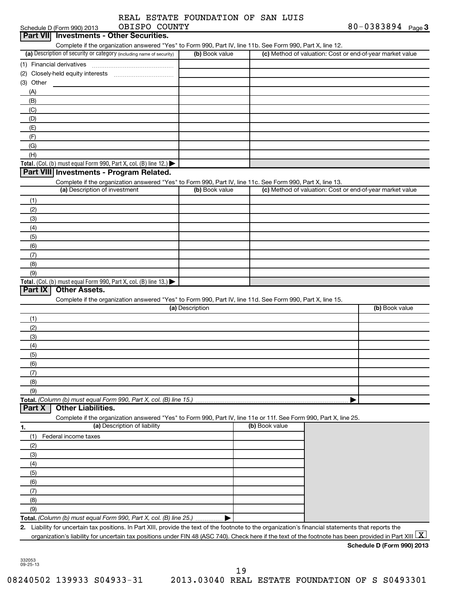|  | REAL ESTATE FOUNDATION OF SAN LUIS |  |  |
|--|------------------------------------|--|--|
|  |                                    |  |  |

| Schedule D (Form 990) 2013 |                               | OBISPO COUNTY                                                                                                                                                           |                 |                | 80-0383894 Page 3                                         |  |
|----------------------------|-------------------------------|-------------------------------------------------------------------------------------------------------------------------------------------------------------------------|-----------------|----------------|-----------------------------------------------------------|--|
| <b>Part VIII</b>           |                               | <b>Investments - Other Securities.</b>                                                                                                                                  |                 |                |                                                           |  |
|                            |                               | Complete if the organization answered "Yes" to Form 990, Part IV, line 11b. See Form 990, Part X, line 12.                                                              |                 |                |                                                           |  |
|                            |                               | (a) Description of security or category (including name of security)                                                                                                    | (b) Book value  |                | (c) Method of valuation: Cost or end-of-year market value |  |
| (1) Financial derivatives  |                               |                                                                                                                                                                         |                 |                |                                                           |  |
|                            |                               |                                                                                                                                                                         |                 |                |                                                           |  |
| (3) Other                  |                               |                                                                                                                                                                         |                 |                |                                                           |  |
| (A)                        |                               |                                                                                                                                                                         |                 |                |                                                           |  |
| (B)                        |                               |                                                                                                                                                                         |                 |                |                                                           |  |
| (C)                        |                               |                                                                                                                                                                         |                 |                |                                                           |  |
| (D)                        |                               |                                                                                                                                                                         |                 |                |                                                           |  |
| (E)                        |                               |                                                                                                                                                                         |                 |                |                                                           |  |
| (F)                        |                               |                                                                                                                                                                         |                 |                |                                                           |  |
| (G)                        |                               |                                                                                                                                                                         |                 |                |                                                           |  |
| (H)                        |                               |                                                                                                                                                                         |                 |                |                                                           |  |
|                            |                               | Total. (Col. (b) must equal Form 990, Part X, col. (B) line 12.) $\blacktriangleright$                                                                                  |                 |                |                                                           |  |
|                            |                               | Part VIII Investments - Program Related.                                                                                                                                |                 |                |                                                           |  |
|                            |                               | Complete if the organization answered "Yes" to Form 990, Part IV, line 11c. See Form 990, Part X, line 13.                                                              |                 |                |                                                           |  |
|                            | (a) Description of investment |                                                                                                                                                                         | (b) Book value  |                | (c) Method of valuation: Cost or end-of-year market value |  |
| (1)                        |                               |                                                                                                                                                                         |                 |                |                                                           |  |
| (2)                        |                               |                                                                                                                                                                         |                 |                |                                                           |  |
| (3)                        |                               |                                                                                                                                                                         |                 |                |                                                           |  |
| (4)                        |                               |                                                                                                                                                                         |                 |                |                                                           |  |
| (5)                        |                               |                                                                                                                                                                         |                 |                |                                                           |  |
| (6)                        |                               |                                                                                                                                                                         |                 |                |                                                           |  |
| (7)                        |                               |                                                                                                                                                                         |                 |                |                                                           |  |
| (8)                        |                               |                                                                                                                                                                         |                 |                |                                                           |  |
| (9)                        |                               |                                                                                                                                                                         |                 |                |                                                           |  |
|                            |                               | Total. (Col. (b) must equal Form 990, Part X, col. (B) line 13.) $\blacktriangleright$                                                                                  |                 |                |                                                           |  |
| Part $ X $                 | <b>Other Assets.</b>          |                                                                                                                                                                         |                 |                |                                                           |  |
|                            |                               | Complete if the organization answered "Yes" to Form 990, Part IV, line 11d. See Form 990, Part X, line 15.                                                              |                 |                |                                                           |  |
|                            |                               |                                                                                                                                                                         | (a) Description |                | (b) Book value                                            |  |
| (1)                        |                               |                                                                                                                                                                         |                 |                |                                                           |  |
| (2)                        |                               |                                                                                                                                                                         |                 |                |                                                           |  |
| (3)                        |                               |                                                                                                                                                                         |                 |                |                                                           |  |
| (4)                        |                               |                                                                                                                                                                         |                 |                |                                                           |  |
| (5)                        |                               |                                                                                                                                                                         |                 |                |                                                           |  |
| (6)                        |                               |                                                                                                                                                                         |                 |                |                                                           |  |
| (7)                        |                               |                                                                                                                                                                         |                 |                |                                                           |  |
| (8)                        |                               |                                                                                                                                                                         |                 |                |                                                           |  |
| (9)                        |                               |                                                                                                                                                                         |                 |                |                                                           |  |
|                            |                               |                                                                                                                                                                         |                 |                |                                                           |  |
| Part X                     | <b>Other Liabilities.</b>     |                                                                                                                                                                         |                 |                |                                                           |  |
|                            |                               | Complete if the organization answered "Yes" to Form 990, Part IV, line 11e or 11f. See Form 990, Part X, line 25.                                                       |                 |                |                                                           |  |
| 1.                         |                               | (a) Description of liability                                                                                                                                            |                 | (b) Book value |                                                           |  |
| (1)                        | Federal income taxes          |                                                                                                                                                                         |                 |                |                                                           |  |
| (2)                        |                               |                                                                                                                                                                         |                 |                |                                                           |  |
| (3)                        |                               |                                                                                                                                                                         |                 |                |                                                           |  |
| (4)                        |                               |                                                                                                                                                                         |                 |                |                                                           |  |
| (5)                        |                               |                                                                                                                                                                         |                 |                |                                                           |  |
| (6)                        |                               |                                                                                                                                                                         |                 |                |                                                           |  |
| (7)                        |                               |                                                                                                                                                                         |                 |                |                                                           |  |
| (8)                        |                               |                                                                                                                                                                         |                 |                |                                                           |  |
| (9)                        |                               |                                                                                                                                                                         |                 |                |                                                           |  |
|                            |                               | Total. (Column (b) must equal Form 990, Part X, col. (B) line 25.)                                                                                                      |                 |                |                                                           |  |
|                            |                               | 2. Liability for uncertain tax positions. In Part XIII, provide the text of the footnote to the organization's financial statements that reports the                    |                 |                |                                                           |  |
|                            |                               | organization's liability for uncertain tax positions under FIN 48 (ASC 740). Check here if the text of the footnote has been provided in Part XIII $\boxed{\mathrm{X}}$ |                 |                |                                                           |  |
|                            |                               |                                                                                                                                                                         |                 |                |                                                           |  |
|                            |                               |                                                                                                                                                                         |                 |                | Schedule D (Form 990) 2013                                |  |

332053 09-25-13

19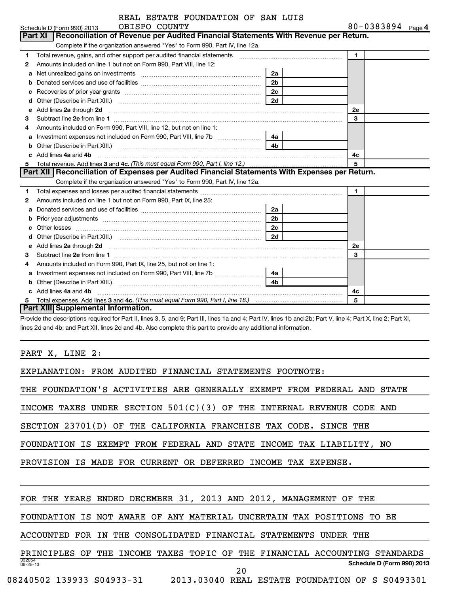| REAL ESTATE FOUNDATION OF SAN LUIS |  |  |  |  |
|------------------------------------|--|--|--|--|
|------------------------------------|--|--|--|--|

|   | REAL ESTATE FOUNDATION OF SAN LUIS                                                                                     |                |                   |  |
|---|------------------------------------------------------------------------------------------------------------------------|----------------|-------------------|--|
|   | OBISPO COUNTY<br>Schedule D (Form 990) 2013                                                                            |                | 80-0383894 Page 4 |  |
|   | Reconciliation of Revenue per Audited Financial Statements With Revenue per Return.<br>Part XI                         |                |                   |  |
|   | Complete if the organization answered "Yes" to Form 990, Part IV, line 12a.                                            |                |                   |  |
| 1 | Total revenue, gains, and other support per audited financial statements                                               |                | 1                 |  |
| 2 | Amounts included on line 1 but not on Form 990, Part VIII, line 12:                                                    |                |                   |  |
| a | Net unrealized gains on investments [11] Net unrealized gains on investments [11] Net unrealized gains on investments  | 2a             |                   |  |
| b |                                                                                                                        | 2 <sub>b</sub> |                   |  |
|   |                                                                                                                        | 2 <sub>c</sub> |                   |  |
| d |                                                                                                                        |                |                   |  |
| e | Add lines 2a through 2d                                                                                                |                | <b>2e</b>         |  |
| 3 |                                                                                                                        |                | 3                 |  |
| 4 | Amounts included on Form 990, Part VIII, line 12, but not on line 1:                                                   |                |                   |  |
| a | Investment expenses not included on Form 990, Part VIII, line 7b [11, 11, 11, 11, 11]                                  | 4a             |                   |  |
| b |                                                                                                                        | 4b             |                   |  |
|   | Add lines 4a and 4b                                                                                                    |                | 4c                |  |
| 5 |                                                                                                                        |                | 5                 |  |
|   | Part XII   Reconciliation of Expenses per Audited Financial Statements With Expenses per Return.                       |                |                   |  |
|   | Complete if the organization answered "Yes" to Form 990, Part IV, line 12a.                                            |                |                   |  |
| 1 |                                                                                                                        |                | $\mathbf{1}$      |  |
| 2 | Amounts included on line 1 but not on Form 990, Part IX, line 25:                                                      |                |                   |  |
| a |                                                                                                                        | 2a             |                   |  |
|   |                                                                                                                        | 2 <sub>b</sub> |                   |  |
|   |                                                                                                                        | 2c             |                   |  |
| d |                                                                                                                        |                |                   |  |
| е | Add lines 2a through 2d <b>contained a contained a contained a contained a</b> contained a contained a contact the set |                | <b>2e</b>         |  |
| 3 |                                                                                                                        |                | 3                 |  |
| 4 | Amounts included on Form 990, Part IX, line 25, but not on line 1:                                                     |                |                   |  |
|   |                                                                                                                        | 4a             |                   |  |
|   |                                                                                                                        | 4 <sub>b</sub> |                   |  |
|   | c Add lines 4a and 4b                                                                                                  |                | 4c                |  |
|   |                                                                                                                        |                | 5                 |  |
|   | Part XIII Supplemental Information.                                                                                    |                |                   |  |

Provide the descriptions required for Part II, lines 3, 5, and 9; Part III, lines 1a and 4; Part IV, lines 1b and 2b; Part V, line 4; Part X, line 2; Part XI, lines 2d and 4b; and Part XII, lines 2d and 4b. Also complete this part to provide any additional information.

PART X, LINE 2:

EXPLANATION: FROM AUDITED FINANCIAL STATEMENTS FOOTNOTE:

THE FOUNDATION'S ACTIVITIES ARE GENERALLY EXEMPT FROM FEDERAL AND STATE

INCOME TAXES UNDER SECTION 501(C)(3) OF THE INTERNAL REVENUE CODE AND

SECTION 23701(D) OF THE CALIFORNIA FRANCHISE TAX CODE. SINCE THE

FOUNDATION IS EXEMPT FROM FEDERAL AND STATE INCOME TAX LIABILITY, NO

PROVISION IS MADE FOR CURRENT OR DEFERRED INCOME TAX EXPENSE.

FOR THE YEARS ENDED DECEMBER 31, 2013 AND 2012, MANAGEMENT OF THE

FOUNDATION IS NOT AWARE OF ANY MATERIAL UNCERTAIN TAX POSITIONS TO BE

ACCOUNTED FOR IN THE CONSOLIDATED FINANCIAL STATEMENTS UNDER THE

332054 09-25-13 **Schedule D (Form 990) 2013** PRINCIPLES OF THE INCOME TAXES TOPIC OF THE FINANCIAL ACCOUNTING STANDARDS 20

08240502 139933 S04933-31 2013.03040 REAL ESTATE FOUNDATION OF S S0493301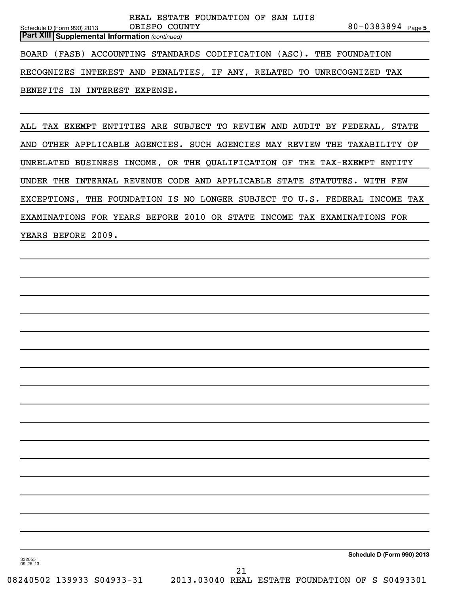80-0383894 <sub>Page 5</sub> **Part XIII | Supplemental Information** (continued) Schedule D (Form 990) 2013 OBISPO COUNTY BOARD (FASB) ACCOUNTING STANDARDS CODIFICATION (ASC). THE FOUNDATION RECOGNIZES INTEREST AND PENALTIES, IF ANY, RELATED TO UNRECOGNIZED TAX BENEFITS IN INTEREST EXPENSE.

REAL ESTATE FOUNDATION OF SAN LUIS

ALL TAX EXEMPT ENTITIES ARE SUBJECT TO REVIEW AND AUDIT BY FEDERAL, STATE AND OTHER APPLICABLE AGENCIES. SUCH AGENCIES MAY REVIEW THE TAXABILITY OF UNRELATED BUSINESS INCOME, OR THE QUALIFICATION OF THE TAX-EXEMPT ENTITY UNDER THE INTERNAL REVENUE CODE AND APPLICABLE STATE STATUTES. WITH FEW EXCEPTIONS, THE FOUNDATION IS NO LONGER SUBJECT TO U.S. FEDERAL INCOME TAX EXAMINATIONS FOR YEARS BEFORE 2010 OR STATE INCOME TAX EXAMINATIONS FOR YEARS BEFORE 2009.

332055 09-25-13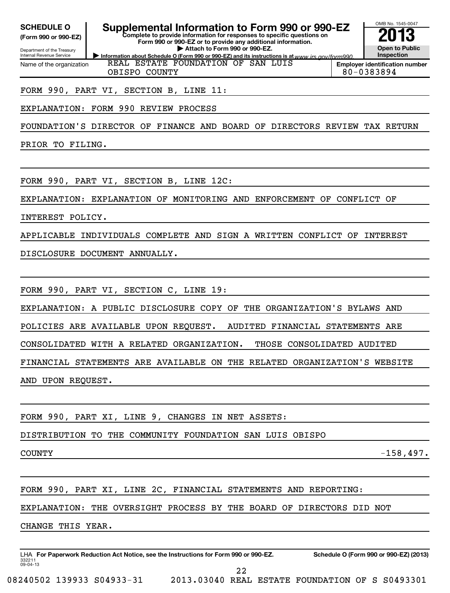**(Form 990 or 990-EZ)**

#### **Complete to provide information for responses to specific questions on Form 990 or 990-EZ or to provide any additional information. SCHEDULE O Supplemental Information to Form 990 or 990-EZ 2013**

**| Attach to Form 990 or 990-EZ.**

OMB No. 1545-0047 **Open to Public Inspection**

Department of the Treasury Internal Revenue Service **Information about Schedule O (Form 990 or 990-EZ) and its instructions is at www.irs.gov/form990.** Name of the organization REAL ESTATE FOUNDATION OF SAN LUIS

**Employer identification number** OBISPO COUNTY and a set of the set of the set of the set of the set of the set of the set of the set of the set o

FORM 990, PART VI, SECTION B, LINE 11:

# EXPLANATION: FORM 990 REVIEW PROCESS

FOUNDATION'S DIRECTOR OF FINANCE AND BOARD OF DIRECTORS REVIEW TAX RETURN

PRIOR TO FILING.

FORM 990, PART VI, SECTION B, LINE 12C:

EXPLANATION: EXPLANATION OF MONITORING AND ENFORCEMENT OF CONFLICT OF

INTEREST POLICY.

APPLICABLE INDIVIDUALS COMPLETE AND SIGN A WRITTEN CONFLICT OF INTEREST

DISCLOSURE DOCUMENT ANNUALLY.

FORM 990, PART VI, SECTION C, LINE 19:

EXPLANATION: A PUBLIC DISCLOSURE COPY OF THE ORGANIZATION'S BYLAWS AND

POLICIES ARE AVAILABLE UPON REQUEST. AUDITED FINANCIAL STATEMENTS ARE

CONSOLIDATED WITH A RELATED ORGANIZATION. THOSE CONSOLIDATED AUDITED

FINANCIAL STATEMENTS ARE AVAILABLE ON THE RELATED ORGANIZATION'S WEBSITE

AND UPON REQUEST.

FORM 990, PART XI, LINE 9, CHANGES IN NET ASSETS:

DISTRIBUTION TO THE COMMUNITY FOUNDATION SAN LUIS OBISPO

 $\sim$  -158,497.

FORM 990, PART XI, LINE 2C, FINANCIAL STATEMENTS AND REPORTING:

EXPLANATION: THE OVERSIGHT PROCESS BY THE BOARD OF DIRECTORS DID NOT

CHANGE THIS YEAR.

332211 09-04-13 LHA For Paperwork Reduction Act Notice, see the Instructions for Form 990 or 990-EZ. Schedule O (Form 990 or 990-EZ) (2013) 22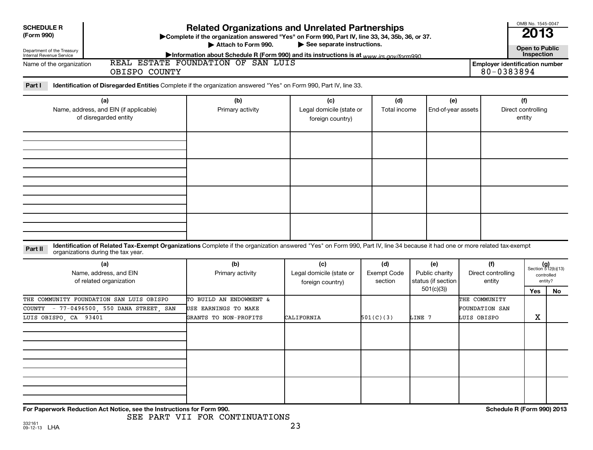| <b>SCHEDULE R</b><br>(Form 990)<br>Department of the Treasury<br>Internal Revenue Service<br>Name of the organization | <b>Related Organizations and Unrelated Partnerships</b><br>>Complete if the organization answered "Yes" on Form 990, Part IV, line 33, 34, 35b, 36, or 37.<br>Attach to Form 990.<br>See separate instructions.<br>Information about Schedule R (Form 990) and its instructions is at www irs gov/form990<br>REAL ESTATE FOUNDATION OF SAN LUIS<br><b>Employer identification number</b> |                                                                                                                                                                                                       |                                                     |                                      |                                             |                                     |                                     |                                                      |  |  |  |
|-----------------------------------------------------------------------------------------------------------------------|------------------------------------------------------------------------------------------------------------------------------------------------------------------------------------------------------------------------------------------------------------------------------------------------------------------------------------------------------------------------------------------|-------------------------------------------------------------------------------------------------------------------------------------------------------------------------------------------------------|-----------------------------------------------------|--------------------------------------|---------------------------------------------|-------------------------------------|-------------------------------------|------------------------------------------------------|--|--|--|
| Part I                                                                                                                | OBISPO COUNTY                                                                                                                                                                                                                                                                                                                                                                            | Identification of Disregarded Entities Complete if the organization answered "Yes" on Form 990, Part IV, line 33.                                                                                     |                                                     |                                      |                                             |                                     | 80-0383894                          |                                                      |  |  |  |
| (a)<br>Name, address, and EIN (if applicable)<br>of disregarded entity                                                |                                                                                                                                                                                                                                                                                                                                                                                          | (b)<br>Primary activity                                                                                                                                                                               | (c)<br>Legal domicile (state or<br>foreign country) | (d)<br>Total income                  | (e)<br>End-of-year assets                   |                                     | (f)<br>Direct controlling<br>entity |                                                      |  |  |  |
|                                                                                                                       |                                                                                                                                                                                                                                                                                                                                                                                          |                                                                                                                                                                                                       |                                                     |                                      |                                             |                                     |                                     |                                                      |  |  |  |
|                                                                                                                       |                                                                                                                                                                                                                                                                                                                                                                                          |                                                                                                                                                                                                       |                                                     |                                      |                                             |                                     |                                     |                                                      |  |  |  |
|                                                                                                                       |                                                                                                                                                                                                                                                                                                                                                                                          |                                                                                                                                                                                                       |                                                     |                                      |                                             |                                     |                                     |                                                      |  |  |  |
| Part II                                                                                                               | organizations during the tax year.<br>(a)<br>Name, address, and EIN<br>of related organization                                                                                                                                                                                                                                                                                           | Identification of Related Tax-Exempt Organizations Complete if the organization answered "Yes" on Form 990, Part IV, line 34 because it had one or more related tax-exempt<br>(b)<br>Primary activity | (c)<br>Legal domicile (state or                     | (d)<br><b>Exempt Code</b><br>section | (e)<br>Public charity<br>status (if section | (f)<br>Direct controlling<br>entity |                                     | $(g)$<br>Section 512(b)(13)<br>controlled<br>entity? |  |  |  |
|                                                                                                                       | THE COMMUNITY FOUNDATION SAN LUIS OBISPO                                                                                                                                                                                                                                                                                                                                                 | TO BUILD AN ENDOWMENT &                                                                                                                                                                               | foreign country)                                    |                                      | 501(c)(3)                                   | THE COMMUNITY                       | Yes                                 | No                                                   |  |  |  |
| LUIS OBISPO, CA 93401                                                                                                 | COUNTY - 77-0496500, 550 DANA STREET, SAN                                                                                                                                                                                                                                                                                                                                                | USE EARNINGS TO MAKE<br>GRANTS TO NON-PROFITS                                                                                                                                                         | CALIFORNIA                                          | 501(C)(3)                            | LINE 7                                      | FOUNDATION SAN<br>LUIS OBISPO       |                                     | $\mathbf X$                                          |  |  |  |
|                                                                                                                       |                                                                                                                                                                                                                                                                                                                                                                                          |                                                                                                                                                                                                       |                                                     |                                      |                                             |                                     |                                     |                                                      |  |  |  |
|                                                                                                                       |                                                                                                                                                                                                                                                                                                                                                                                          |                                                                                                                                                                                                       |                                                     |                                      |                                             |                                     |                                     |                                                      |  |  |  |
|                                                                                                                       |                                                                                                                                                                                                                                                                                                                                                                                          |                                                                                                                                                                                                       |                                                     |                                      |                                             |                                     |                                     |                                                      |  |  |  |

**For Paperwork Reduction Act Notice, see the Instructions for Form 990. Schedule R (Form 990) 2013**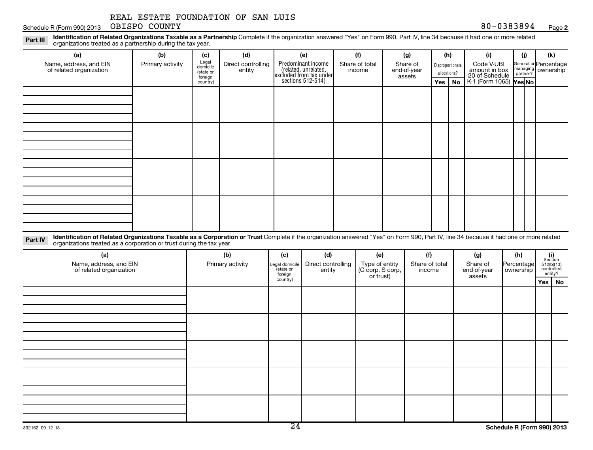Schedule R (Form 990) 2013 OBISPO COUNTY Names and Schedule R (Form 990) 2013 OBISPO COUNTY

Part III Identification of Related Organizations Taxable as a Partnership Complete if the organization answered "Yes" on Form 990, Part IV, line 34 because it had one or more related<br>Read to consistions tracted as a partne organizations treated as a partnership during the tax year.

|         | organizations treated as a partnership during the tax year.                                                                                                                                                                                                    |                  |                                           |                              |                      |                                                                       |                               |                                   |              |                  |                                               |                                               |                          |  |
|---------|----------------------------------------------------------------------------------------------------------------------------------------------------------------------------------------------------------------------------------------------------------------|------------------|-------------------------------------------|------------------------------|----------------------|-----------------------------------------------------------------------|-------------------------------|-----------------------------------|--------------|------------------|-----------------------------------------------|-----------------------------------------------|--------------------------|--|
|         | (a)                                                                                                                                                                                                                                                            | (b)              | (c)                                       | (d)                          |                      | (e)                                                                   | (f)                           | (g)                               |              | (h)              | (i)                                           | (i)                                           | (k)                      |  |
|         | Name, address, and EIN<br>of related organization                                                                                                                                                                                                              | Primary activity | Legal<br>domicile<br>(state or<br>foreign | Direct controlling<br>entity |                      | Predominant income<br>(related, unrelated,<br>excluded from tax under | Share of total<br>income      | Share of<br>end-of-year<br>assets | allocations? | Disproportionate | Code V-UBI<br>amount in box<br>20 of Schedule | General or Percentage<br>managing<br>partner? | ownership                |  |
|         |                                                                                                                                                                                                                                                                |                  | country)                                  |                              |                      | sections $512-514$ )                                                  |                               |                                   | Yes          | <b>No</b>        | K-1 (Form 1065) Yes No                        |                                               |                          |  |
|         |                                                                                                                                                                                                                                                                |                  |                                           |                              |                      |                                                                       |                               |                                   |              |                  |                                               |                                               |                          |  |
|         |                                                                                                                                                                                                                                                                |                  |                                           |                              |                      |                                                                       |                               |                                   |              |                  |                                               |                                               |                          |  |
|         |                                                                                                                                                                                                                                                                |                  |                                           |                              |                      |                                                                       |                               |                                   |              |                  |                                               |                                               |                          |  |
|         |                                                                                                                                                                                                                                                                |                  |                                           |                              |                      |                                                                       |                               |                                   |              |                  |                                               |                                               |                          |  |
|         |                                                                                                                                                                                                                                                                |                  |                                           |                              |                      |                                                                       |                               |                                   |              |                  |                                               |                                               |                          |  |
|         |                                                                                                                                                                                                                                                                |                  |                                           |                              |                      |                                                                       |                               |                                   |              |                  |                                               |                                               |                          |  |
|         |                                                                                                                                                                                                                                                                |                  |                                           |                              |                      |                                                                       |                               |                                   |              |                  |                                               |                                               |                          |  |
|         |                                                                                                                                                                                                                                                                |                  |                                           |                              |                      |                                                                       |                               |                                   |              |                  |                                               |                                               |                          |  |
|         |                                                                                                                                                                                                                                                                |                  |                                           |                              |                      |                                                                       |                               |                                   |              |                  |                                               |                                               |                          |  |
|         |                                                                                                                                                                                                                                                                |                  |                                           |                              |                      |                                                                       |                               |                                   |              |                  |                                               |                                               |                          |  |
|         |                                                                                                                                                                                                                                                                |                  |                                           |                              |                      |                                                                       |                               |                                   |              |                  |                                               |                                               |                          |  |
|         |                                                                                                                                                                                                                                                                |                  |                                           |                              |                      |                                                                       |                               |                                   |              |                  |                                               |                                               |                          |  |
|         |                                                                                                                                                                                                                                                                |                  |                                           |                              |                      |                                                                       |                               |                                   |              |                  |                                               |                                               |                          |  |
|         |                                                                                                                                                                                                                                                                |                  |                                           |                              |                      |                                                                       |                               |                                   |              |                  |                                               |                                               |                          |  |
|         |                                                                                                                                                                                                                                                                |                  |                                           |                              |                      |                                                                       |                               |                                   |              |                  |                                               |                                               |                          |  |
| Part IV | Identification of Related Organizations Taxable as a Corporation or Trust Complete if the organization answered "Yes" on Form 990, Part IV, line 34 because it had one or more related<br>organizations treated as a corporation or trust during the tax year. |                  |                                           |                              |                      |                                                                       |                               |                                   |              |                  |                                               |                                               |                          |  |
|         | (a)                                                                                                                                                                                                                                                            |                  |                                           | (b)                          | (c)                  | (d)                                                                   | (e)                           | (f)                               |              |                  | (g)                                           | (h)                                           | (i)<br>Section           |  |
|         | Name, address, and EIN                                                                                                                                                                                                                                         |                  |                                           | Primary activity             | Legal domicile       | Direct controlling                                                    | Type of entity                | Share of total                    |              |                  | Share of                                      | Percentage                                    | 512(b)(13)<br>controlled |  |
|         | of related organization                                                                                                                                                                                                                                        |                  |                                           |                              | (state or<br>foreign | entity                                                                | (C corp, S corp,<br>or trust) | income                            |              |                  | end-of-year<br>assets                         | ownership                                     | entity?                  |  |
|         |                                                                                                                                                                                                                                                                |                  |                                           |                              | country)             |                                                                       |                               |                                   |              |                  |                                               |                                               | Yes   No                 |  |
|         |                                                                                                                                                                                                                                                                |                  |                                           |                              |                      |                                                                       |                               |                                   |              |                  |                                               |                                               |                          |  |
|         |                                                                                                                                                                                                                                                                |                  |                                           |                              |                      |                                                                       |                               |                                   |              |                  |                                               |                                               |                          |  |
|         |                                                                                                                                                                                                                                                                |                  |                                           |                              |                      |                                                                       |                               |                                   |              |                  |                                               |                                               |                          |  |
|         |                                                                                                                                                                                                                                                                |                  |                                           |                              |                      |                                                                       |                               |                                   |              |                  |                                               |                                               |                          |  |
|         |                                                                                                                                                                                                                                                                |                  |                                           |                              |                      |                                                                       |                               |                                   |              |                  |                                               |                                               |                          |  |
|         |                                                                                                                                                                                                                                                                |                  |                                           |                              |                      |                                                                       |                               |                                   |              |                  |                                               |                                               |                          |  |
|         |                                                                                                                                                                                                                                                                |                  |                                           |                              |                      |                                                                       |                               |                                   |              |                  |                                               |                                               |                          |  |
|         |                                                                                                                                                                                                                                                                |                  |                                           |                              |                      |                                                                       |                               |                                   |              |                  |                                               |                                               |                          |  |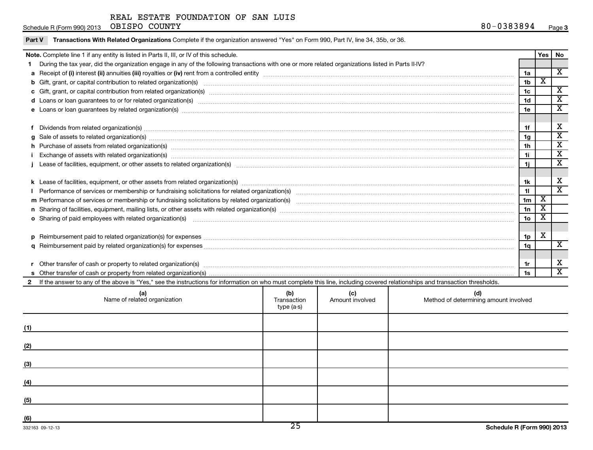Part V Transactions With Related Organizations Complete if the organization answered "Yes" on Form 990, Part IV, line 34, 35b, or 36.

#### Schedule R (Form 990) 2013 OBISPO COUNTY 600 COUNTY OBISPO COUNTY

|     | Note. Complete line 1 if any entity is listed in Parts II, III, or IV of this schedule.                                                                                                                                        |             |                 |                                       |                | Yes                     | No                      |
|-----|--------------------------------------------------------------------------------------------------------------------------------------------------------------------------------------------------------------------------------|-------------|-----------------|---------------------------------------|----------------|-------------------------|-------------------------|
|     | 1 During the tax year, did the organization engage in any of the following transactions with one or more related organizations listed in Parts II-IV?                                                                          |             |                 |                                       |                |                         |                         |
|     |                                                                                                                                                                                                                                |             |                 |                                       | 1a             |                         | $\overline{\mathbf{X}}$ |
|     | b Gift, grant, or capital contribution to related organization(s) manufactured content to content and contribution to related organization(s) manufactured content and content of the content of the content of the content of |             |                 |                                       | 1 <sub>b</sub> | $\overline{\mathbf{x}}$ |                         |
|     |                                                                                                                                                                                                                                |             |                 |                                       | 1c             |                         | $\overline{\mathbf{X}}$ |
|     | d Loans or loan guarantees to or for related organization(s) www.communities.com/www.communities.com/www.communities.com/www.communities.com/www.communities.com/www.communities.com/www.communities.com/www.communities.com/w |             |                 |                                       | 1d             |                         | $\overline{\textbf{x}}$ |
|     | e Loans or loan guarantees by related organization(s) www.assession.com/www.assession.com/www.assession.com/www.assession.com/www.assession.com/www.assession.com/www.assession.com/www.assession.com/www.assession.com/www.as |             |                 |                                       | 1e             |                         | $\overline{\textbf{x}}$ |
|     |                                                                                                                                                                                                                                |             |                 |                                       |                |                         |                         |
|     |                                                                                                                                                                                                                                |             |                 |                                       | 1f             |                         | X                       |
|     |                                                                                                                                                                                                                                |             |                 |                                       | 1g             |                         | $\overline{\textbf{x}}$ |
|     |                                                                                                                                                                                                                                |             |                 |                                       | 1h             |                         | $\overline{\mathbf{x}}$ |
|     | i Exchange of assets with related organization(s) manufactured and content and content and content and content and content and content and content and content and content and content and content and content and content and |             |                 |                                       | 1i             |                         | $\overline{\textbf{x}}$ |
|     | Lease of facilities, equipment, or other assets to related organization(s) encontant content to consume the content of facilities, equipment, or other assets to related organization(s)                                       |             |                 |                                       | 1i.            |                         | $\overline{\textbf{x}}$ |
|     |                                                                                                                                                                                                                                |             |                 |                                       |                |                         |                         |
|     |                                                                                                                                                                                                                                |             |                 |                                       | 1k             |                         | X                       |
|     |                                                                                                                                                                                                                                |             |                 |                                       | 11             |                         | $\overline{\mathbf{x}}$ |
|     |                                                                                                                                                                                                                                |             |                 |                                       | 1 <sub>m</sub> | X                       |                         |
|     | n Sharing of facilities, equipment, mailing lists, or other assets with related organization(s) marror manufactured manufactured manufactured manufactured manufactured manufactured manufactured manufactured manufactured ma |             |                 |                                       | 1n             | $\overline{\mathbf{X}}$ |                         |
|     | o Sharing of paid employees with related organization(s) manufaction(s) and all contracts are seen as a set of the state or starting of paid employees with related organization(s) manufactured and contracts are set of the  |             |                 |                                       | 1o             | х                       |                         |
|     |                                                                                                                                                                                                                                |             |                 |                                       |                |                         |                         |
|     |                                                                                                                                                                                                                                |             |                 |                                       | 1 <sub>p</sub> | X                       |                         |
|     |                                                                                                                                                                                                                                |             |                 |                                       | 1q             |                         | X                       |
|     |                                                                                                                                                                                                                                |             |                 |                                       |                |                         |                         |
|     |                                                                                                                                                                                                                                |             |                 |                                       | 1r             |                         | х                       |
|     |                                                                                                                                                                                                                                |             |                 |                                       | 1s             |                         | $\overline{\texttt{x}}$ |
|     | 2 If the answer to any of the above is "Yes," see the instructions for information on who must complete this line, including covered relationships and transaction thresholds.                                                 |             |                 |                                       |                |                         |                         |
|     | (a)                                                                                                                                                                                                                            | (b)         | (c)             | (d)                                   |                |                         |                         |
|     | Name of related organization                                                                                                                                                                                                   | Transaction | Amount involved | Method of determining amount involved |                |                         |                         |
|     |                                                                                                                                                                                                                                | type (a-s)  |                 |                                       |                |                         |                         |
|     |                                                                                                                                                                                                                                |             |                 |                                       |                |                         |                         |
|     |                                                                                                                                                                                                                                |             |                 |                                       |                |                         |                         |
|     |                                                                                                                                                                                                                                |             |                 |                                       |                |                         |                         |
| (2) |                                                                                                                                                                                                                                |             |                 |                                       |                |                         |                         |
|     |                                                                                                                                                                                                                                |             |                 |                                       |                |                         |                         |
| (3) |                                                                                                                                                                                                                                |             |                 |                                       |                |                         |                         |
|     |                                                                                                                                                                                                                                |             |                 |                                       |                |                         |                         |
| (4) |                                                                                                                                                                                                                                |             |                 |                                       |                |                         |                         |
|     |                                                                                                                                                                                                                                |             |                 |                                       |                |                         |                         |
| (5) |                                                                                                                                                                                                                                |             |                 |                                       |                |                         |                         |
|     |                                                                                                                                                                                                                                |             |                 |                                       |                |                         |                         |
| (6) |                                                                                                                                                                                                                                |             |                 |                                       |                |                         |                         |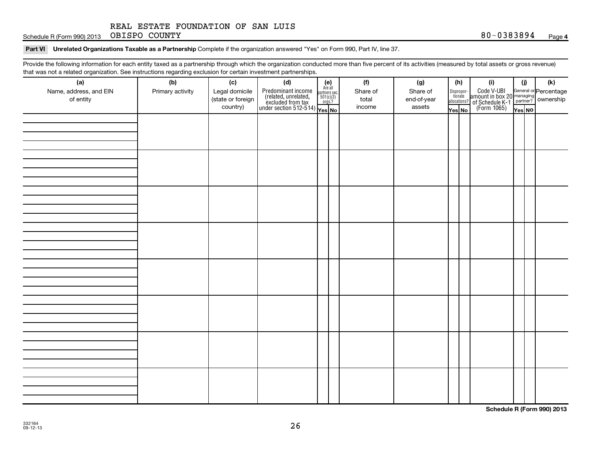Schedule R (Form 990) 2013 OBISPO COUNTY 38 and 2013 08 a general control of the SCHEDULE R (Form 990) 2013 08 38 94 OBISPO COUNTY

#### Part VI Unrelated Organizations Taxable as a Partnership Complete if the organization answered "Yes" on Form 990, Part IV, line 37.

Provide the following information for each entity taxed as a partnership through which the organization conducted more than five percent of its activities (measured by total assets or gross revenue) that was not a related organization. See instructions regarding exclusion for certain investment partnerships.

| (a)<br>Name, address, and EIN<br>of entity | ັ<br>ັ<br>(b)<br>Primary activity | (c)<br>Legal domicile<br>(state or foreign<br>country) | . .<br>(d)<br>Predominant income<br>(related, unrelated, $\frac{\text{Area}}{\text{501(c)(3)}}$<br>excluded from tax<br>under section 512-514)<br>Ves No | $(e)$<br>Are all | (f)<br>Share of<br>total<br>income | (g)<br>Share of<br>end-of-year<br>assets | (h)<br>Dispropor-<br>tionate<br>Yes No | allocations? | (i)<br>Code V-UBI<br>amount in box 20<br>of Schedule K-1<br>(Form 1065)<br>$\frac{1}{\sqrt{1+\frac{1}{2}}}\sqrt{\frac{1}{2}}$<br>(Form 1065)<br>These No | (j)<br>Yes NO | (k) |
|--------------------------------------------|-----------------------------------|--------------------------------------------------------|----------------------------------------------------------------------------------------------------------------------------------------------------------|------------------|------------------------------------|------------------------------------------|----------------------------------------|--------------|----------------------------------------------------------------------------------------------------------------------------------------------------------|---------------|-----|
|                                            |                                   |                                                        |                                                                                                                                                          |                  |                                    |                                          |                                        |              |                                                                                                                                                          |               |     |
|                                            |                                   |                                                        |                                                                                                                                                          |                  |                                    |                                          |                                        |              |                                                                                                                                                          |               |     |
|                                            |                                   |                                                        |                                                                                                                                                          |                  |                                    |                                          |                                        |              |                                                                                                                                                          |               |     |
|                                            |                                   |                                                        |                                                                                                                                                          |                  |                                    |                                          |                                        |              |                                                                                                                                                          |               |     |
|                                            |                                   |                                                        |                                                                                                                                                          |                  |                                    |                                          |                                        |              |                                                                                                                                                          |               |     |
|                                            |                                   |                                                        |                                                                                                                                                          |                  |                                    |                                          |                                        |              |                                                                                                                                                          |               |     |
|                                            |                                   |                                                        |                                                                                                                                                          |                  |                                    |                                          |                                        |              |                                                                                                                                                          |               |     |
|                                            |                                   |                                                        |                                                                                                                                                          |                  |                                    |                                          |                                        |              |                                                                                                                                                          |               |     |

**Schedule R (Form 990) 2013**